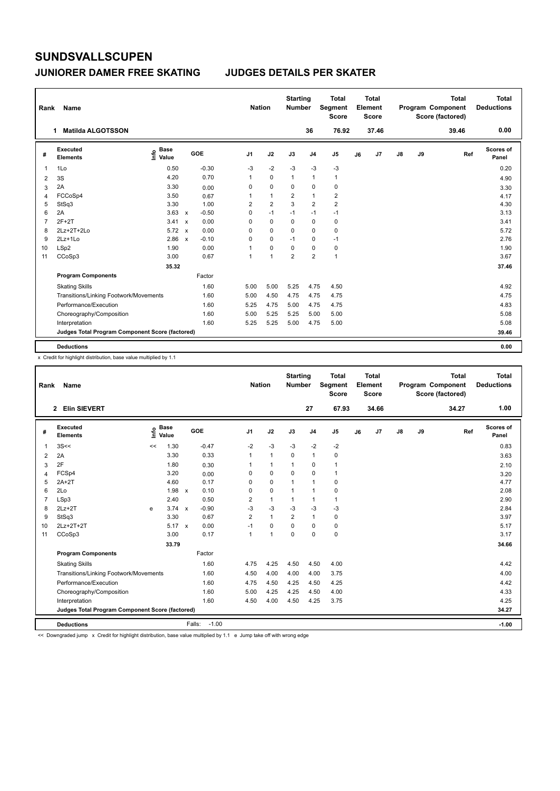#### **JUNIORER DAMER FREE SKATING JUDGES DETAILS PER SKATER**

| Rank | Name                                            |                            |              |            |                | <b>Nation</b>  |                | <b>Starting</b><br><b>Number</b> |                | <b>Total</b><br>Segment<br><b>Score</b> |    | <b>Total</b><br>Element<br><b>Score</b> |               |    | <b>Total</b><br><b>Program Component</b><br>Score (factored) | Total<br><b>Deductions</b> |
|------|-------------------------------------------------|----------------------------|--------------|------------|----------------|----------------|----------------|----------------------------------|----------------|-----------------------------------------|----|-----------------------------------------|---------------|----|--------------------------------------------------------------|----------------------------|
|      | <b>Matilda ALGOTSSON</b><br>1                   |                            |              |            |                |                |                |                                  | 36             | 76.92                                   |    | 37.46                                   |               |    | 39.46                                                        | 0.00                       |
| #    | Executed<br><b>Elements</b>                     | <b>Base</b><br>۴ô<br>Value |              | <b>GOE</b> | J <sub>1</sub> |                | J2             | J3                               | J <sub>4</sub> | J <sub>5</sub>                          | J6 | J7                                      | $\mathsf{J}8$ | J9 | Ref                                                          | Scores of<br>Panel         |
| 1    | 1Lo                                             | 0.50                       |              | $-0.30$    |                | $-3$           | $-2$           | $-3$                             | $-3$           | $-3$                                    |    |                                         |               |    |                                                              | 0.20                       |
| 2    | 3S                                              | 4.20                       |              | 0.70       |                | 1              | 0              | $\mathbf{1}$                     | $\mathbf{1}$   | $\mathbf{1}$                            |    |                                         |               |    |                                                              | 4.90                       |
| 3    | 2A                                              | 3.30                       |              | 0.00       |                | 0              | $\mathbf 0$    | 0                                | 0              | 0                                       |    |                                         |               |    |                                                              | 3.30                       |
| 4    | FCCoSp4                                         | 3.50                       |              | 0.67       |                | 1              | $\mathbf{1}$   | $\overline{\mathbf{c}}$          | $\mathbf{1}$   | $\overline{2}$                          |    |                                         |               |    |                                                              | 4.17                       |
| 5    | StSq3                                           | 3.30                       |              | 1.00       |                | $\overline{2}$ | $\overline{2}$ | 3                                | $\overline{2}$ | $\overline{2}$                          |    |                                         |               |    |                                                              | 4.30                       |
| 6    | 2A                                              | 3.63                       | $\mathbf{x}$ | $-0.50$    |                | 0              | $-1$           | $-1$                             | $-1$           | $-1$                                    |    |                                         |               |    |                                                              | 3.13                       |
| 7    | $2F+2T$                                         | 3.41                       | $\mathbf{x}$ | 0.00       |                | 0              | $\mathbf 0$    | 0                                | $\mathbf 0$    | 0                                       |    |                                         |               |    |                                                              | 3.41                       |
| 8    | 2Lz+2T+2Lo                                      | $5.72 \times$              |              | 0.00       |                | 0              | 0              | 0                                | 0              | 0                                       |    |                                         |               |    |                                                              | 5.72                       |
| 9    | $2Lz+1Lo$                                       | 2.86                       | $\mathbf{x}$ | $-0.10$    |                | 0              | $\Omega$       | $-1$                             | $\mathbf 0$    | $-1$                                    |    |                                         |               |    |                                                              | 2.76                       |
| 10   | LSp2                                            | 1.90                       |              | 0.00       |                | 1              | 0              | 0                                | 0              | 0                                       |    |                                         |               |    |                                                              | 1.90                       |
| 11   | CCoSp3                                          | 3.00                       |              | 0.67       |                | 1              | $\overline{1}$ | $\overline{2}$                   | $\overline{2}$ | $\mathbf{1}$                            |    |                                         |               |    |                                                              | 3.67                       |
|      |                                                 | 35.32                      |              |            |                |                |                |                                  |                |                                         |    |                                         |               |    |                                                              | 37.46                      |
|      | <b>Program Components</b>                       |                            |              | Factor     |                |                |                |                                  |                |                                         |    |                                         |               |    |                                                              |                            |
|      | <b>Skating Skills</b>                           |                            |              | 1.60       |                | 5.00           | 5.00           | 5.25                             | 4.75           | 4.50                                    |    |                                         |               |    |                                                              | 4.92                       |
|      | Transitions/Linking Footwork/Movements          |                            |              | 1.60       |                | 5.00           | 4.50           | 4.75                             | 4.75           | 4.75                                    |    |                                         |               |    |                                                              | 4.75                       |
|      | Performance/Execution                           |                            |              | 1.60       |                | 5.25           | 4.75           | 5.00                             | 4.75           | 4.75                                    |    |                                         |               |    |                                                              | 4.83                       |
|      | Choreography/Composition                        |                            |              | 1.60       |                | 5.00           | 5.25           | 5.25                             | 5.00           | 5.00                                    |    |                                         |               |    |                                                              | 5.08                       |
|      | Interpretation                                  |                            |              | 1.60       |                | 5.25           | 5.25           | 5.00                             | 4.75           | 5.00                                    |    |                                         |               |    |                                                              | 5.08                       |
|      | Judges Total Program Component Score (factored) |                            |              |            |                |                |                |                                  |                |                                         |    |                                         |               |    |                                                              | 39.46                      |
|      | <b>Deductions</b>                               |                            |              |            |                |                |                |                                  |                |                                         |    |                                         |               |    |                                                              | 0.00                       |

x Credit for highlight distribution, base value multiplied by 1.1

| Rank           | Name                                            |     |                      |        |            | <b>Nation</b>  |              | <b>Starting</b><br><b>Number</b> |                | <b>Total</b><br>Segment<br><b>Score</b> |    | <b>Total</b><br>Element<br><b>Score</b> |               |    | <b>Total</b><br>Program Component<br>Score (factored) |     | <b>Total</b><br><b>Deductions</b> |
|----------------|-------------------------------------------------|-----|----------------------|--------|------------|----------------|--------------|----------------------------------|----------------|-----------------------------------------|----|-----------------------------------------|---------------|----|-------------------------------------------------------|-----|-----------------------------------|
|                | 2 Elin SIEVERT                                  |     |                      |        |            |                |              |                                  | 27             | 67.93                                   |    | 34.66                                   |               |    | 34.27                                                 |     | 1.00                              |
| #              | Executed<br><b>Elements</b>                     | ١m٥ | <b>Base</b><br>Value |        | <b>GOE</b> | J <sub>1</sub> | J2           | J3                               | J <sub>4</sub> | J5                                      | J6 | J7                                      | $\mathsf{J}8$ | J9 |                                                       | Ref | Scores of<br>Panel                |
| 1              | 3S<<                                            | <<  | 1.30                 |        | $-0.47$    | $-2$           | $-3$         | $-3$                             | $-2$           | $-2$                                    |    |                                         |               |    |                                                       |     | 0.83                              |
| 2              | 2A                                              |     | 3.30                 |        | 0.33       | 1              | $\mathbf{1}$ | $\Omega$                         | $\mathbf{1}$   | 0                                       |    |                                         |               |    |                                                       |     | 3.63                              |
| 3              | 2F                                              |     | 1.80                 |        | 0.30       | 1              | $\mathbf{1}$ | $\mathbf{1}$                     | $\mathbf 0$    | 1                                       |    |                                         |               |    |                                                       |     | 2.10                              |
| $\overline{4}$ | FCSp4                                           |     | 3.20                 |        | 0.00       | 0              | $\mathbf 0$  | 0                                | $\mathbf 0$    | 1                                       |    |                                         |               |    |                                                       |     | 3.20                              |
| 5              | $2A+2T$                                         |     | 4.60                 |        | 0.17       | 0              | $\mathbf 0$  | $\mathbf{1}$                     | $\mathbf{1}$   | 0                                       |    |                                         |               |    |                                                       |     | 4.77                              |
| 6              | 2Lo                                             |     | $1.98 \times$        |        | 0.10       | $\mathbf 0$    | $\pmb{0}$    | $\mathbf{1}$                     | $\mathbf{1}$   | 0                                       |    |                                         |               |    |                                                       |     | 2.08                              |
| $\overline{7}$ | LSp3                                            |     | 2.40                 |        | 0.50       | $\overline{2}$ | $\mathbf{1}$ | $\mathbf{1}$                     | $\mathbf{1}$   | $\mathbf{1}$                            |    |                                         |               |    |                                                       |     | 2.90                              |
| 8              | $2Lz+2T$                                        | e   | $3.74 \times$        |        | $-0.90$    | $-3$           | $-3$         | $-3$                             | $-3$           | $-3$                                    |    |                                         |               |    |                                                       |     | 2.84                              |
| 9              | StSq3                                           |     | 3.30                 |        | 0.67       | $\overline{2}$ | $\mathbf{1}$ | $\overline{2}$                   | $\mathbf{1}$   | 0                                       |    |                                         |               |    |                                                       |     | 3.97                              |
| 10             | $2Lz+2T+2T$                                     |     | $5.17 \times$        |        | 0.00       | $-1$           | $\Omega$     | $\Omega$                         | $\Omega$       | 0                                       |    |                                         |               |    |                                                       |     | 5.17                              |
| 11             | CCoSp3                                          |     | 3.00                 |        | 0.17       | 1              | 1            | $\Omega$                         | $\Omega$       | 0                                       |    |                                         |               |    |                                                       |     | 3.17                              |
|                |                                                 |     | 33.79                |        |            |                |              |                                  |                |                                         |    |                                         |               |    |                                                       |     | 34.66                             |
|                | <b>Program Components</b>                       |     |                      |        | Factor     |                |              |                                  |                |                                         |    |                                         |               |    |                                                       |     |                                   |
|                | <b>Skating Skills</b>                           |     |                      |        | 1.60       | 4.75           | 4.25         | 4.50                             | 4.50           | 4.00                                    |    |                                         |               |    |                                                       |     | 4.42                              |
|                | Transitions/Linking Footwork/Movements          |     |                      |        | 1.60       | 4.50           | 4.00         | 4.00                             | 4.00           | 3.75                                    |    |                                         |               |    |                                                       |     | 4.00                              |
|                | Performance/Execution                           |     |                      |        | 1.60       | 4.75           | 4.50         | 4.25                             | 4.50           | 4.25                                    |    |                                         |               |    |                                                       |     | 4.42                              |
|                | Choreography/Composition                        |     |                      |        | 1.60       | 5.00           | 4.25         | 4.25                             | 4.50           | 4.00                                    |    |                                         |               |    |                                                       |     | 4.33                              |
|                | Interpretation                                  |     |                      |        | 1.60       | 4.50           | 4.00         | 4.50                             | 4.25           | 3.75                                    |    |                                         |               |    |                                                       |     | 4.25                              |
|                | Judges Total Program Component Score (factored) |     |                      |        |            |                |              |                                  |                |                                         |    |                                         |               |    |                                                       |     | 34.27                             |
|                | <b>Deductions</b>                               |     |                      | Falls: | $-1.00$    |                |              |                                  |                |                                         |    |                                         |               |    |                                                       |     | $-1.00$                           |

<< Downgraded jump x Credit for highlight distribution, base value multiplied by 1.1 e Jump take off with wrong edge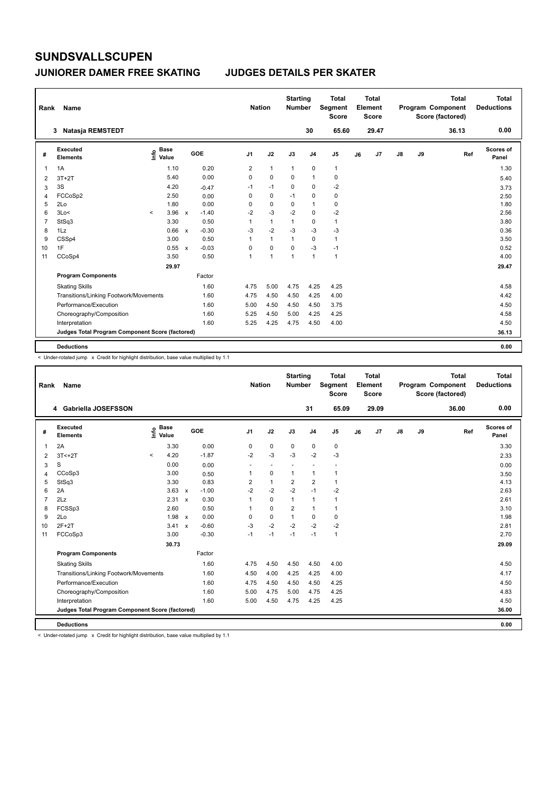#### **JUNIORER DAMER FREE SKATING JUDGES DETAILS PER SKATER**

| Rank           | Name                                            |                              |              |         | <b>Nation</b>  |                | <b>Starting</b><br><b>Number</b> |                | <b>Total</b><br>Segment<br><b>Score</b> |    | <b>Total</b><br>Element<br><b>Score</b> |               |    | <b>Total</b><br>Program Component<br>Score (factored) | <b>Total</b><br><b>Deductions</b> |
|----------------|-------------------------------------------------|------------------------------|--------------|---------|----------------|----------------|----------------------------------|----------------|-----------------------------------------|----|-----------------------------------------|---------------|----|-------------------------------------------------------|-----------------------------------|
|                | Natasja REMSTEDT<br>3                           |                              |              |         |                |                |                                  | 30             | 65.60                                   |    | 29.47                                   |               |    | 36.13                                                 | 0.00                              |
| #              | Executed<br><b>Elements</b>                     | <b>Base</b><br>١nfo<br>Value |              | GOE     | J <sub>1</sub> | J2             | J3                               | J <sub>4</sub> | J <sub>5</sub>                          | J6 | J7                                      | $\mathsf{J}8$ | J9 | Ref                                                   | <b>Scores of</b><br>Panel         |
| 1              | 1A                                              | 1.10                         |              | 0.20    | $\overline{2}$ | $\mathbf{1}$   | $\mathbf{1}$                     | $\pmb{0}$      | $\mathbf{1}$                            |    |                                         |               |    |                                                       | 1.30                              |
| 2              | $3T+2T$                                         | 5.40                         |              | 0.00    | 0              | $\mathbf 0$    | 0                                | $\overline{1}$ | 0                                       |    |                                         |               |    |                                                       | 5.40                              |
| 3              | 3S                                              | 4.20                         |              | $-0.47$ | $-1$           | $-1$           | 0                                | $\mathbf 0$    | $-2$                                    |    |                                         |               |    |                                                       | 3.73                              |
| 4              | FCCoSp2                                         | 2.50                         |              | 0.00    | 0              | 0              | $-1$                             | 0              | 0                                       |    |                                         |               |    |                                                       | 2.50                              |
| 5              | 2Lo                                             | 1.80                         |              | 0.00    | 0              | 0              | 0                                | $\overline{1}$ | $\pmb{0}$                               |    |                                         |               |    |                                                       | 1.80                              |
| 6              | 3Lo<                                            | 3.96<br>$\hat{\phantom{a}}$  | $\mathbf{x}$ | $-1.40$ | $-2$           | $-3$           | $-2$                             | $\pmb{0}$      | $-2$                                    |    |                                         |               |    |                                                       | 2.56                              |
| $\overline{7}$ | StSq3                                           | 3.30                         |              | 0.50    | 1              | $\mathbf{1}$   | $\mathbf{1}$                     | 0              | $\mathbf{1}$                            |    |                                         |               |    |                                                       | 3.80                              |
| 8              | 1Lz                                             | 0.66                         | $\mathbf{x}$ | $-0.30$ | $-3$           | $-2$           | $-3$                             | $-3$           | $-3$                                    |    |                                         |               |    |                                                       | 0.36                              |
| 9              | CSSp4                                           | 3.00                         |              | 0.50    | 1              | $\mathbf{1}$   | $\mathbf{1}$                     | 0              | $\mathbf{1}$                            |    |                                         |               |    |                                                       | 3.50                              |
| 10             | 1F                                              | 0.55                         | $\mathsf{x}$ | $-0.03$ | 0              | $\mathbf 0$    | $\mathbf 0$                      | $-3$           | $-1$                                    |    |                                         |               |    |                                                       | 0.52                              |
| 11             | CCoSp4                                          | 3.50                         |              | 0.50    | 1              | $\overline{1}$ | $\overline{1}$                   | $\overline{1}$ | $\mathbf{1}$                            |    |                                         |               |    |                                                       | 4.00                              |
|                |                                                 | 29.97                        |              |         |                |                |                                  |                |                                         |    |                                         |               |    |                                                       | 29.47                             |
|                | <b>Program Components</b>                       |                              |              | Factor  |                |                |                                  |                |                                         |    |                                         |               |    |                                                       |                                   |
|                | <b>Skating Skills</b>                           |                              |              | 1.60    | 4.75           | 5.00           | 4.75                             | 4.25           | 4.25                                    |    |                                         |               |    |                                                       | 4.58                              |
|                | Transitions/Linking Footwork/Movements          |                              |              | 1.60    | 4.75           | 4.50           | 4.50                             | 4.25           | 4.00                                    |    |                                         |               |    |                                                       | 4.42                              |
|                | Performance/Execution                           |                              |              | 1.60    | 5.00           | 4.50           | 4.50                             | 4.50           | 3.75                                    |    |                                         |               |    |                                                       | 4.50                              |
|                | Choreography/Composition                        |                              |              | 1.60    | 5.25           | 4.50           | 5.00                             | 4.25           | 4.25                                    |    |                                         |               |    |                                                       | 4.58                              |
|                | Interpretation                                  |                              |              | 1.60    | 5.25           | 4.25           | 4.75                             | 4.50           | 4.00                                    |    |                                         |               |    |                                                       | 4.50                              |
|                | Judges Total Program Component Score (factored) |                              |              |         |                |                |                                  |                |                                         |    |                                         |               |    |                                                       | 36.13                             |
|                | <b>Deductions</b>                               |                              |              |         |                |                |                                  |                |                                         |    |                                         |               |    |                                                       | 0.00                              |

< Under-rotated jump x Credit for highlight distribution, base value multiplied by 1.1

| Rank           | Name                                            |         |                      |            | <b>Nation</b> |              | <b>Starting</b><br><b>Number</b> |                          | Total<br>Segment<br><b>Score</b> |    | <b>Total</b><br>Element<br><b>Score</b> |    |    | <b>Total</b><br>Program Component<br>Score (factored) | <b>Total</b><br><b>Deductions</b> |
|----------------|-------------------------------------------------|---------|----------------------|------------|---------------|--------------|----------------------------------|--------------------------|----------------------------------|----|-----------------------------------------|----|----|-------------------------------------------------------|-----------------------------------|
|                | 4 Gabriella JOSEFSSON                           |         |                      |            |               |              |                                  | 31                       | 65.09                            |    | 29.09                                   |    |    | 36.00                                                 | 0.00                              |
| #              | Executed<br><b>Elements</b>                     | ١m      | <b>Base</b><br>Value | <b>GOE</b> | J1            | J2           | J3                               | J <sub>4</sub>           | J <sub>5</sub>                   | J6 | J <sub>7</sub>                          | J8 | J9 | Ref                                                   | Scores of<br>Panel                |
| 1              | 2A                                              |         | 3.30                 | 0.00       | 0             | $\mathbf 0$  | 0                                | 0                        | 0                                |    |                                         |    |    |                                                       | 3.30                              |
| 2              | $3T < +2T$                                      | $\prec$ | 4.20                 | $-1.87$    | $-2$          | $-3$         | $-3$                             | $-2$                     | $-3$                             |    |                                         |    |    |                                                       | 2.33                              |
| 3              | S                                               |         | 0.00                 | 0.00       |               | $\sim$       |                                  | $\overline{\phantom{a}}$ |                                  |    |                                         |    |    |                                                       | 0.00                              |
| $\overline{4}$ | CCoSp3                                          |         | 3.00                 | 0.50       | 1             | $\mathbf 0$  | 1                                | $\mathbf{1}$             | 1                                |    |                                         |    |    |                                                       | 3.50                              |
| 5              | StSq3                                           |         | 3.30                 | 0.83       | 2             | $\mathbf{1}$ | 2                                | $\overline{\mathbf{c}}$  | $\mathbf{1}$                     |    |                                         |    |    |                                                       | 4.13                              |
| 6              | 2A                                              |         | $3.63 \times$        | $-1.00$    | $-2$          | $-2$         | $-2$                             | $-1$                     | $-2$                             |    |                                         |    |    |                                                       | 2.63                              |
| $\overline{7}$ | 2Lz                                             |         | 2.31 x               | 0.30       | 1             | $\Omega$     | 1                                | $\mathbf{1}$             | 1                                |    |                                         |    |    |                                                       | 2.61                              |
| 8              | FCSSp3                                          |         | 2.60                 | 0.50       |               | 0            | 2                                | $\mathbf{1}$             | $\mathbf{1}$                     |    |                                         |    |    |                                                       | 3.10                              |
| 9              | 2Lo                                             |         | 1.98 x               | 0.00       | $\Omega$      | $\mathbf 0$  | $\mathbf 1$                      | 0                        | 0                                |    |                                         |    |    |                                                       | 1.98                              |
| 10             | $2F+2T$                                         |         | 3.41 x               | $-0.60$    | $-3$          | $-2$         | $-2$                             | $-2$                     | $-2$                             |    |                                         |    |    |                                                       | 2.81                              |
| 11             | FCCoSp3                                         |         | 3.00                 | $-0.30$    | $-1$          | $-1$         | $-1$                             | $-1$                     | 1                                |    |                                         |    |    |                                                       | 2.70                              |
|                |                                                 |         | 30.73                |            |               |              |                                  |                          |                                  |    |                                         |    |    |                                                       | 29.09                             |
|                | <b>Program Components</b>                       |         |                      | Factor     |               |              |                                  |                          |                                  |    |                                         |    |    |                                                       |                                   |
|                | <b>Skating Skills</b>                           |         |                      | 1.60       | 4.75          | 4.50         | 4.50                             | 4.50                     | 4.00                             |    |                                         |    |    |                                                       | 4.50                              |
|                | Transitions/Linking Footwork/Movements          |         |                      | 1.60       | 4.50          | 4.00         | 4.25                             | 4.25                     | 4.00                             |    |                                         |    |    |                                                       | 4.17                              |
|                | Performance/Execution                           |         |                      | 1.60       | 4.75          | 4.50         | 4.50                             | 4.50                     | 4.25                             |    |                                         |    |    |                                                       | 4.50                              |
|                | Choreography/Composition                        |         |                      | 1.60       | 5.00          | 4.75         | 5.00                             | 4.75                     | 4.25                             |    |                                         |    |    |                                                       | 4.83                              |
|                | Interpretation                                  |         |                      | 1.60       | 5.00          | 4.50         | 4.75                             | 4.25                     | 4.25                             |    |                                         |    |    |                                                       | 4.50                              |
|                | Judges Total Program Component Score (factored) |         |                      |            |               |              |                                  |                          |                                  |    |                                         |    |    |                                                       | 36.00                             |
|                | <b>Deductions</b>                               |         |                      |            |               |              |                                  |                          |                                  |    |                                         |    |    |                                                       | 0.00                              |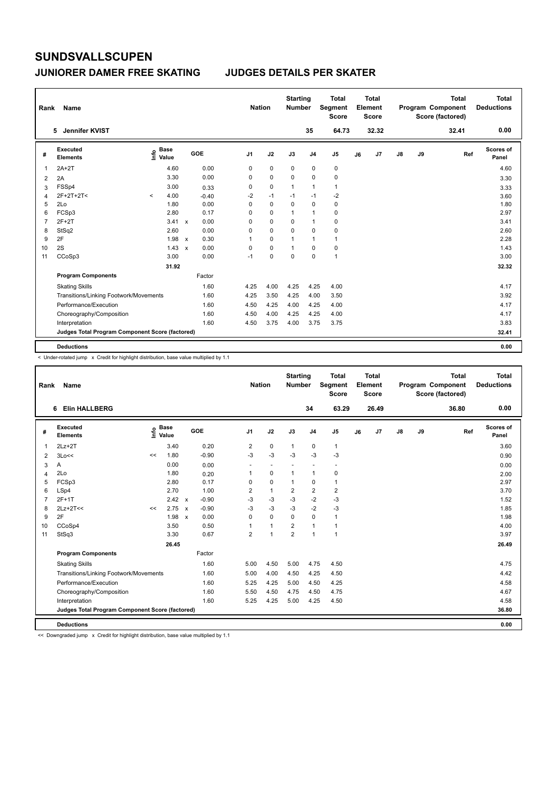#### **JUNIORER DAMER FREE SKATING JUDGES DETAILS PER SKATER**

| Rank           | Name                                            |         |                      |                           |         | <b>Nation</b>  |             | <b>Starting</b><br><b>Number</b> |                | <b>Total</b><br>Segment<br><b>Score</b> |    | <b>Total</b><br>Element<br><b>Score</b> |               |    | <b>Total</b><br>Program Component<br>Score (factored) | <b>Total</b><br><b>Deductions</b> |
|----------------|-------------------------------------------------|---------|----------------------|---------------------------|---------|----------------|-------------|----------------------------------|----------------|-----------------------------------------|----|-----------------------------------------|---------------|----|-------------------------------------------------------|-----------------------------------|
|                | Jennifer KVIST<br>5.                            |         |                      |                           |         |                |             |                                  | 35             | 64.73                                   |    | 32.32                                   |               |    | 32.41                                                 | 0.00                              |
| #              | <b>Executed</b><br><b>Elements</b>              | ١nfo    | <b>Base</b><br>Value |                           | GOE     | J <sub>1</sub> | J2          | J3                               | J <sub>4</sub> | J <sub>5</sub>                          | J6 | J7                                      | $\mathsf{J}8$ | J9 | Ref                                                   | <b>Scores of</b><br>Panel         |
| 1              | $2A+2T$                                         |         | 4.60                 |                           | 0.00    | $\mathbf 0$    | $\mathbf 0$ | $\mathbf 0$                      | $\pmb{0}$      | $\pmb{0}$                               |    |                                         |               |    |                                                       | 4.60                              |
| 2              | 2A                                              |         | 3.30                 |                           | 0.00    | 0              | $\mathbf 0$ | 0                                | 0              | 0                                       |    |                                         |               |    |                                                       | 3.30                              |
| 3              | FSSp4                                           |         | 3.00                 |                           | 0.33    | 0              | $\mathbf 0$ | $\mathbf{1}$                     | $\mathbf{1}$   | $\mathbf{1}$                            |    |                                         |               |    |                                                       | 3.33                              |
| 4              | $2F+2T+2T<$                                     | $\prec$ | 4.00                 |                           | $-0.40$ | $-2$           | $-1$        | $-1$                             | $-1$           | -2                                      |    |                                         |               |    |                                                       | 3.60                              |
| 5              | 2Lo                                             |         | 1.80                 |                           | 0.00    | 0              | $\mathbf 0$ | 0                                | $\mathbf 0$    | $\pmb{0}$                               |    |                                         |               |    |                                                       | 1.80                              |
| 6              | FCSp3                                           |         | 2.80                 |                           | 0.17    | 0              | $\mathbf 0$ | $\mathbf{1}$                     | $\overline{1}$ | $\pmb{0}$                               |    |                                         |               |    |                                                       | 2.97                              |
| $\overline{7}$ | $2F+2T$                                         |         | 3.41                 | $\mathsf{x}$              | 0.00    | 0              | $\mathbf 0$ | 0                                | $\overline{1}$ | 0                                       |    |                                         |               |    |                                                       | 3.41                              |
| 8              | StSq2                                           |         | 2.60                 |                           | 0.00    | 0              | $\mathbf 0$ | 0                                | 0              | 0                                       |    |                                         |               |    |                                                       | 2.60                              |
| 9              | 2F                                              |         | 1.98                 | $\mathsf{x}$              | 0.30    | 1              | 0           | 1                                | $\mathbf{1}$   | $\mathbf{1}$                            |    |                                         |               |    |                                                       | 2.28                              |
| 10             | 2S                                              |         | 1.43                 | $\boldsymbol{\mathsf{x}}$ | 0.00    | 0              | $\mathbf 0$ | 1                                | 0              | $\pmb{0}$                               |    |                                         |               |    |                                                       | 1.43                              |
| 11             | CCoSp3                                          |         | 3.00                 |                           | 0.00    | $-1$           | 0           | $\mathbf 0$                      | $\mathbf 0$    | $\mathbf{1}$                            |    |                                         |               |    |                                                       | 3.00                              |
|                |                                                 |         | 31.92                |                           |         |                |             |                                  |                |                                         |    |                                         |               |    |                                                       | 32.32                             |
|                | <b>Program Components</b>                       |         |                      |                           | Factor  |                |             |                                  |                |                                         |    |                                         |               |    |                                                       |                                   |
|                | <b>Skating Skills</b>                           |         |                      |                           | 1.60    | 4.25           | 4.00        | 4.25                             | 4.25           | 4.00                                    |    |                                         |               |    |                                                       | 4.17                              |
|                | Transitions/Linking Footwork/Movements          |         |                      |                           | 1.60    | 4.25           | 3.50        | 4.25                             | 4.00           | 3.50                                    |    |                                         |               |    |                                                       | 3.92                              |
|                | Performance/Execution                           |         |                      |                           | 1.60    | 4.50           | 4.25        | 4.00                             | 4.25           | 4.00                                    |    |                                         |               |    |                                                       | 4.17                              |
|                | Choreography/Composition                        |         |                      |                           | 1.60    | 4.50           | 4.00        | 4.25                             | 4.25           | 4.00                                    |    |                                         |               |    |                                                       | 4.17                              |
|                | Interpretation                                  |         |                      |                           | 1.60    | 4.50           | 3.75        | 4.00                             | 3.75           | 3.75                                    |    |                                         |               |    |                                                       | 3.83                              |
|                | Judges Total Program Component Score (factored) |         |                      |                           |         |                |             |                                  |                |                                         |    |                                         |               |    |                                                       | 32.41                             |
|                | <b>Deductions</b>                               |         |                      |                           |         |                |             |                                  |                |                                         |    |                                         |               |    |                                                       | 0.00                              |

< Under-rotated jump x Credit for highlight distribution, base value multiplied by 1.1

| Rank           | Name                                            |    |                      |         |                | <b>Nation</b>  |                | <b>Starting</b><br><b>Number</b> |                          | <b>Total</b><br>Segment<br><b>Score</b> |    | <b>Total</b><br>Element<br><b>Score</b> |    |    | <b>Total</b><br>Program Component<br>Score (factored) |     | <b>Total</b><br><b>Deductions</b> |
|----------------|-------------------------------------------------|----|----------------------|---------|----------------|----------------|----------------|----------------------------------|--------------------------|-----------------------------------------|----|-----------------------------------------|----|----|-------------------------------------------------------|-----|-----------------------------------|
|                | <b>Elin HALLBERG</b><br>6                       |    |                      |         |                |                |                |                                  | 34                       | 63.29                                   |    | 26.49                                   |    |    | 36.80                                                 |     | 0.00                              |
| #              | Executed<br><b>Elements</b>                     | ١m | <b>Base</b><br>Value | GOE     | J <sub>1</sub> |                | J2             | J3                               | J <sub>4</sub>           | J5                                      | J6 | J7                                      | J8 | J9 |                                                       | Ref | Scores of<br>Panel                |
| 1              | $2Lz+2T$                                        |    | 3.40                 | 0.20    |                | 2              | $\mathbf 0$    | $\mathbf{1}$                     | 0                        | $\mathbf{1}$                            |    |                                         |    |    |                                                       |     | 3.60                              |
| 2              | 3Lo<<                                           | << | 1.80                 | $-0.90$ |                | $-3$           | $-3$           | $-3$                             | $-3$                     | $-3$                                    |    |                                         |    |    |                                                       |     | 0.90                              |
| 3              | Α                                               |    | 0.00                 | 0.00    |                |                | $\sim$         |                                  | $\overline{\phantom{a}}$ |                                         |    |                                         |    |    |                                                       |     | 0.00                              |
| $\overline{4}$ | 2Lo                                             |    | 1.80                 | 0.20    |                | $\mathbf{1}$   | 0              | 1                                | $\mathbf{1}$             | 0                                       |    |                                         |    |    |                                                       |     | 2.00                              |
| 5              | FCSp3                                           |    | 2.80                 | 0.17    |                | $\Omega$       | $\mathbf 0$    | $\mathbf 1$                      | 0                        | 1                                       |    |                                         |    |    |                                                       |     | 2.97                              |
| 6              | LSp4                                            |    | 2.70                 | 1.00    |                | $\overline{2}$ | $\mathbf{1}$   | $\overline{2}$                   | $\overline{2}$           | $\overline{\mathbf{c}}$                 |    |                                         |    |    |                                                       |     | 3.70                              |
|                | $2F+1T$                                         |    | $2.42 \times$        | $-0.90$ |                | $-3$           | $-3$           | $-3$                             | $-2$                     | $-3$                                    |    |                                         |    |    |                                                       |     | 1.52                              |
| 8              | $2Lz+2T<<$                                      | << | 2.75 x               | $-0.90$ |                | $-3$           | $-3$           | $-3$                             | $-2$                     | $-3$                                    |    |                                         |    |    |                                                       |     | 1.85                              |
| 9              | 2F                                              |    | 1.98 x               | 0.00    |                | $\Omega$       | $\Omega$       | $\Omega$                         | $\Omega$                 | 1                                       |    |                                         |    |    |                                                       |     | 1.98                              |
| 10             | CCoSp4                                          |    | 3.50                 | 0.50    |                |                | $\mathbf{1}$   | $\overline{2}$                   | $\mathbf{1}$             | $\mathbf{1}$                            |    |                                         |    |    |                                                       |     | 4.00                              |
| 11             | StSq3                                           |    | 3.30                 | 0.67    |                | $\overline{2}$ | $\overline{1}$ | $\overline{2}$                   | $\mathbf{1}$             | $\mathbf{1}$                            |    |                                         |    |    |                                                       |     | 3.97                              |
|                |                                                 |    | 26.45                |         |                |                |                |                                  |                          |                                         |    |                                         |    |    |                                                       |     | 26.49                             |
|                | <b>Program Components</b>                       |    |                      | Factor  |                |                |                |                                  |                          |                                         |    |                                         |    |    |                                                       |     |                                   |
|                | <b>Skating Skills</b>                           |    |                      | 1.60    |                | 5.00           | 4.50           | 5.00                             | 4.75                     | 4.50                                    |    |                                         |    |    |                                                       |     | 4.75                              |
|                | Transitions/Linking Footwork/Movements          |    |                      | 1.60    |                | 5.00           | 4.00           | 4.50                             | 4.25                     | 4.50                                    |    |                                         |    |    |                                                       |     | 4.42                              |
|                | Performance/Execution                           |    |                      | 1.60    |                | 5.25           | 4.25           | 5.00                             | 4.50                     | 4.25                                    |    |                                         |    |    |                                                       |     | 4.58                              |
|                | Choreography/Composition                        |    |                      | 1.60    |                | 5.50           | 4.50           | 4.75                             | 4.50                     | 4.75                                    |    |                                         |    |    |                                                       |     | 4.67                              |
|                | Interpretation                                  |    |                      | 1.60    |                | 5.25           | 4.25           | 5.00                             | 4.25                     | 4.50                                    |    |                                         |    |    |                                                       |     | 4.58                              |
|                | Judges Total Program Component Score (factored) |    |                      |         |                |                |                |                                  |                          |                                         |    |                                         |    |    |                                                       |     | 36.80                             |
|                | <b>Deductions</b>                               |    |                      |         |                |                |                |                                  |                          |                                         |    |                                         |    |    |                                                       |     | 0.00                              |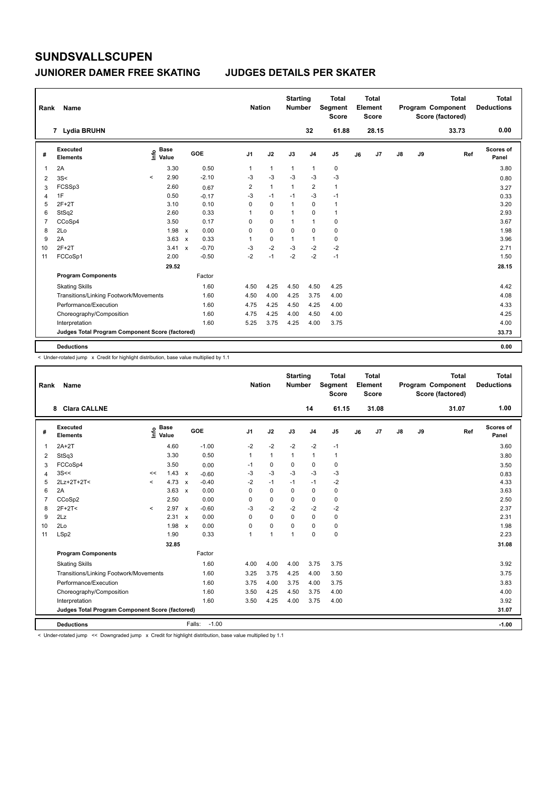#### **JUNIORER DAMER FREE SKATING JUDGES DETAILS PER SKATER**

| Rank           | Name                                            |          |                      |              |         | <b>Nation</b>  |              | <b>Starting</b><br><b>Number</b> |                | <b>Total</b><br>Segment<br><b>Score</b> |    | Total<br>Element<br><b>Score</b> |               |    | <b>Total</b><br>Program Component<br>Score (factored) | Total<br><b>Deductions</b> |
|----------------|-------------------------------------------------|----------|----------------------|--------------|---------|----------------|--------------|----------------------------------|----------------|-----------------------------------------|----|----------------------------------|---------------|----|-------------------------------------------------------|----------------------------|
|                | 7 Lydia BRUHN                                   |          |                      |              |         |                |              |                                  | 32             | 61.88                                   |    | 28.15                            |               |    | 33.73                                                 | 0.00                       |
| #              | Executed<br><b>Elements</b>                     | ١nfo     | <b>Base</b><br>Value |              | GOE     | J <sub>1</sub> | J2           | J3                               | J <sub>4</sub> | J <sub>5</sub>                          | J6 | J7                               | $\mathsf{J}8$ | J9 | Ref                                                   | Scores of<br>Panel         |
| 1              | 2A                                              |          | 3.30                 |              | 0.50    | $\mathbf{1}$   | $\mathbf{1}$ | $\mathbf{1}$                     | $\mathbf{1}$   | $\pmb{0}$                               |    |                                  |               |    |                                                       | 3.80                       |
| 2              | 3S<                                             | $\hat{}$ | 2.90                 |              | $-2.10$ | -3             | $-3$         | -3                               | -3             | $-3$                                    |    |                                  |               |    |                                                       | 0.80                       |
| 3              | FCSSp3                                          |          | 2.60                 |              | 0.67    | 2              | $\mathbf{1}$ | $\overline{1}$                   | $\overline{2}$ | $\mathbf{1}$                            |    |                                  |               |    |                                                       | 3.27                       |
| 4              | 1F                                              |          | 0.50                 |              | $-0.17$ | $-3$           | $-1$         | $-1$                             | $-3$           | $-1$                                    |    |                                  |               |    |                                                       | 0.33                       |
| 5              | $2F+2T$                                         |          | 3.10                 |              | 0.10    | 0              | 0            | 1                                | 0              | $\mathbf{1}$                            |    |                                  |               |    |                                                       | 3.20                       |
| 6              | StSq2                                           |          | 2.60                 |              | 0.33    | 1              | $\mathbf 0$  | $\mathbf{1}$                     | $\mathbf 0$    | $\mathbf{1}$                            |    |                                  |               |    |                                                       | 2.93                       |
| $\overline{7}$ | CCoSp4                                          |          | 3.50                 |              | 0.17    | 0              | $\mathbf 0$  | 1                                | $\mathbf{1}$   | 0                                       |    |                                  |               |    |                                                       | 3.67                       |
| 8              | 2Lo                                             |          | 1.98                 | $\mathbf{x}$ | 0.00    | 0              | $\mathbf 0$  | $\mathbf 0$                      | $\mathbf 0$    | $\pmb{0}$                               |    |                                  |               |    |                                                       | 1.98                       |
| 9              | 2A                                              |          | 3.63                 | $\mathsf{x}$ | 0.33    | 1              | $\mathbf 0$  | 1                                | $\mathbf{1}$   | $\mathbf 0$                             |    |                                  |               |    |                                                       | 3.96                       |
| 10             | $2F+2T$                                         |          | 3.41                 | $\mathbf{x}$ | $-0.70$ | $-3$           | $-2$         | $-3$                             | $-2$           | $-2$                                    |    |                                  |               |    |                                                       | 2.71                       |
| 11             | FCCoSp1                                         |          | 2.00                 |              | $-0.50$ | $-2$           | $-1$         | $-2$                             | $-2$           | $-1$                                    |    |                                  |               |    |                                                       | 1.50                       |
|                |                                                 |          | 29.52                |              |         |                |              |                                  |                |                                         |    |                                  |               |    |                                                       | 28.15                      |
|                | <b>Program Components</b>                       |          |                      |              | Factor  |                |              |                                  |                |                                         |    |                                  |               |    |                                                       |                            |
|                | <b>Skating Skills</b>                           |          |                      |              | 1.60    | 4.50           | 4.25         | 4.50                             | 4.50           | 4.25                                    |    |                                  |               |    |                                                       | 4.42                       |
|                | Transitions/Linking Footwork/Movements          |          |                      |              | 1.60    | 4.50           | 4.00         | 4.25                             | 3.75           | 4.00                                    |    |                                  |               |    |                                                       | 4.08                       |
|                | Performance/Execution                           |          |                      |              | 1.60    | 4.75           | 4.25         | 4.50                             | 4.25           | 4.00                                    |    |                                  |               |    |                                                       | 4.33                       |
|                | Choreography/Composition                        |          |                      |              | 1.60    | 4.75           | 4.25         | 4.00                             | 4.50           | 4.00                                    |    |                                  |               |    |                                                       | 4.25                       |
|                | Interpretation                                  |          |                      |              | 1.60    | 5.25           | 3.75         | 4.25                             | 4.00           | 3.75                                    |    |                                  |               |    |                                                       | 4.00                       |
|                | Judges Total Program Component Score (factored) |          |                      |              |         |                |              |                                  |                |                                         |    |                                  |               |    |                                                       | 33.73                      |
|                | <b>Deductions</b>                               |          |                      |              |         |                |              |                                  |                |                                         |    |                                  |               |    |                                                       | 0.00                       |

< Under-rotated jump x Credit for highlight distribution, base value multiplied by 1.1

| Rank | Name                                            |         |                      |                   | <b>Nation</b>  |              | <b>Starting</b><br><b>Number</b> |                | <b>Total</b><br>Segment<br><b>Score</b> |    | <b>Total</b><br>Element<br><b>Score</b> |    |    | <b>Total</b><br>Program Component<br>Score (factored) | <b>Total</b><br><b>Deductions</b> |
|------|-------------------------------------------------|---------|----------------------|-------------------|----------------|--------------|----------------------------------|----------------|-----------------------------------------|----|-----------------------------------------|----|----|-------------------------------------------------------|-----------------------------------|
|      | <b>Clara CALLNE</b><br>8                        |         |                      |                   |                |              |                                  | 14             | 61.15                                   |    | 31.08                                   |    |    | 31.07                                                 | 1.00                              |
| #    | Executed<br><b>Elements</b>                     | ١m      | <b>Base</b><br>Value | GOE               | J <sub>1</sub> | J2           | J3                               | J <sub>4</sub> | J5                                      | J6 | J7                                      | J8 | J9 | Ref                                                   | Scores of<br>Panel                |
| 1    | $2A+2T$                                         |         | 4.60                 | $-1.00$           | $-2$           | $-2$         | $-2$                             | $-2$           | $-1$                                    |    |                                         |    |    |                                                       | 3.60                              |
| 2    | StSq3                                           |         | 3.30                 | 0.50              | 1              | $\mathbf{1}$ | $\mathbf{1}$                     | $\mathbf{1}$   | 1                                       |    |                                         |    |    |                                                       | 3.80                              |
| 3    | FCCoSp4                                         |         | 3.50                 | 0.00              | $-1$           | 0            | $\Omega$                         | 0              | 0                                       |    |                                         |    |    |                                                       | 3.50                              |
| 4    | 3S<<                                            | <<      | $1.43 \times$        | $-0.60$           | -3             | $-3$         | $-3$                             | $-3$           | $-3$                                    |    |                                         |    |    |                                                       | 0.83                              |
| 5    | 2Lz+2T+2T<                                      | $\prec$ | 4.73 $\times$        | $-0.40$           | $-2$           | $-1$         | $-1$                             | $-1$           | $-2$                                    |    |                                         |    |    |                                                       | 4.33                              |
| 6    | 2A                                              |         | $3.63 \times$        | 0.00              | $\Omega$       | 0            | $\Omega$                         | 0              | 0                                       |    |                                         |    |    |                                                       | 3.63                              |
| 7    | CCoSp2                                          |         | 2.50                 | 0.00              | $\Omega$       | $\mathbf 0$  | $\Omega$                         | 0              | 0                                       |    |                                         |    |    |                                                       | 2.50                              |
| 8    | $2F+2T<$                                        | $\prec$ | 2.97 x               | $-0.60$           | $-3$           | $-2$         | $-2$                             | $-2$           | $-2$                                    |    |                                         |    |    |                                                       | 2.37                              |
| 9    | 2Lz                                             |         | 2.31 x               | 0.00              | $\Omega$       | $\Omega$     | $\Omega$                         | $\Omega$       | 0                                       |    |                                         |    |    |                                                       | 2.31                              |
| 10   | 2Lo                                             |         | $1.98 \times$        | 0.00              | $\Omega$       | $\mathbf 0$  | $\Omega$                         | $\Omega$       | 0                                       |    |                                         |    |    |                                                       | 1.98                              |
| 11   | LSp2                                            |         | 1.90                 | 0.33              | 1              | $\mathbf{1}$ | 1                                | $\Omega$       | 0                                       |    |                                         |    |    |                                                       | 2.23                              |
|      |                                                 |         | 32.85                |                   |                |              |                                  |                |                                         |    |                                         |    |    |                                                       | 31.08                             |
|      | <b>Program Components</b>                       |         |                      | Factor            |                |              |                                  |                |                                         |    |                                         |    |    |                                                       |                                   |
|      | <b>Skating Skills</b>                           |         |                      | 1.60              | 4.00           | 4.00         | 4.00                             | 3.75           | 3.75                                    |    |                                         |    |    |                                                       | 3.92                              |
|      | Transitions/Linking Footwork/Movements          |         |                      | 1.60              | 3.25           | 3.75         | 4.25                             | 4.00           | 3.50                                    |    |                                         |    |    |                                                       | 3.75                              |
|      | Performance/Execution                           |         |                      | 1.60              | 3.75           | 4.00         | 3.75                             | 4.00           | 3.75                                    |    |                                         |    |    |                                                       | 3.83                              |
|      | Choreography/Composition                        |         |                      | 1.60              | 3.50           | 4.25         | 4.50                             | 3.75           | 4.00                                    |    |                                         |    |    |                                                       | 4.00                              |
|      | Interpretation                                  |         |                      | 1.60              | 3.50           | 4.25         | 4.00                             | 3.75           | 4.00                                    |    |                                         |    |    |                                                       | 3.92                              |
|      | Judges Total Program Component Score (factored) |         |                      |                   |                |              |                                  |                |                                         |    |                                         |    |    |                                                       | 31.07                             |
|      | <b>Deductions</b>                               |         |                      | $-1.00$<br>Falls: |                |              |                                  |                |                                         |    |                                         |    |    |                                                       | $-1.00$                           |

< Under-rotated jump << Downgraded jump x Credit for highlight distribution, base value multiplied by 1.1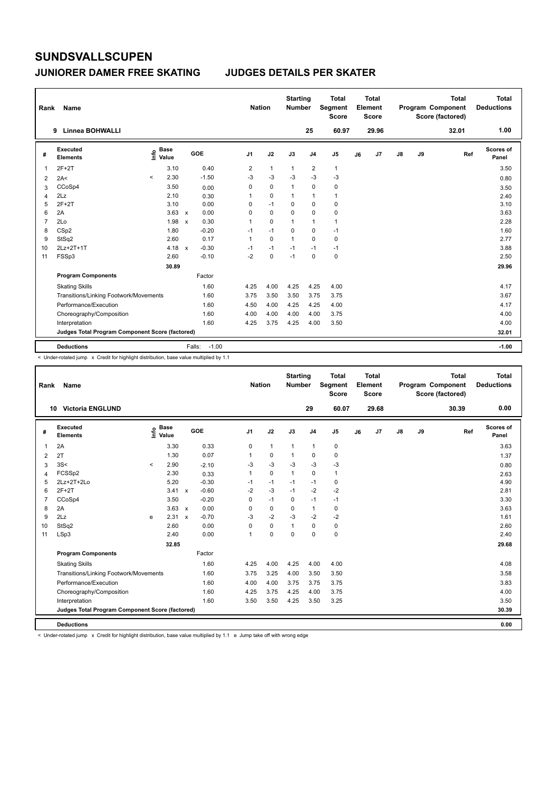#### **JUNIORER DAMER FREE SKATING JUDGES DETAILS PER SKATER**

| Rank | Name                                            |         |                      |             |         | <b>Nation</b>  |              | <b>Starting</b><br><b>Number</b> |                | <b>Total</b><br>Segment<br><b>Score</b> |    | Total<br>Element<br><b>Score</b> |               |    | <b>Total</b><br>Program Component<br>Score (factored) | Total<br><b>Deductions</b> |
|------|-------------------------------------------------|---------|----------------------|-------------|---------|----------------|--------------|----------------------------------|----------------|-----------------------------------------|----|----------------------------------|---------------|----|-------------------------------------------------------|----------------------------|
|      | Linnea BOHWALLI<br>9                            |         |                      |             |         |                |              |                                  | 25             | 60.97                                   |    | 29.96                            |               |    | 32.01                                                 | 1.00                       |
| #    | <b>Executed</b><br><b>Elements</b>              | ١nfo    | <b>Base</b><br>Value |             | GOE     | J <sub>1</sub> | J2           | J3                               | J <sub>4</sub> | J <sub>5</sub>                          | J6 | J7                               | $\mathsf{J}8$ | J9 | Ref                                                   | Scores of<br>Panel         |
| 1    | $2F+2T$                                         |         | 3.10                 |             | 0.40    | 2              | $\mathbf{1}$ | $\mathbf{1}$                     | 2              | $\mathbf{1}$                            |    |                                  |               |    |                                                       | 3.50                       |
| 2    | 2A<                                             | $\prec$ | 2.30                 |             | $-1.50$ | $-3$           | $-3$         | $-3$                             | $-3$           | $-3$                                    |    |                                  |               |    |                                                       | 0.80                       |
| 3    | CCoSp4                                          |         | 3.50                 |             | 0.00    | 0              | $\mathbf 0$  | 1                                | $\mathbf 0$    | $\pmb{0}$                               |    |                                  |               |    |                                                       | 3.50                       |
| 4    | 2Lz                                             |         | 2.10                 |             | 0.30    | 1              | $\mathbf 0$  | 1                                | $\overline{1}$ | $\mathbf{1}$                            |    |                                  |               |    |                                                       | 2.40                       |
| 5    | $2F+2T$                                         |         | 3.10                 |             | 0.00    | 0              | $-1$         | 0                                | $\mathbf 0$    | 0                                       |    |                                  |               |    |                                                       | 3.10                       |
| 6    | 2A                                              |         | $3.63 \times$        |             | 0.00    | 0              | $\mathbf 0$  | 0                                | $\mathbf 0$    | $\pmb{0}$                               |    |                                  |               |    |                                                       | 3.63                       |
| 7    | 2Lo                                             |         | 1.98                 | $\mathbf x$ | 0.30    | 1              | $\Omega$     | $\overline{1}$                   | $\mathbf{1}$   | $\mathbf{1}$                            |    |                                  |               |    |                                                       | 2.28                       |
| 8    | CSp2                                            |         | 1.80                 |             | $-0.20$ | $-1$           | $-1$         | $\Omega$                         | $\mathbf 0$    | $-1$                                    |    |                                  |               |    |                                                       | 1.60                       |
| 9    | StSq2                                           |         | 2.60                 |             | 0.17    | 1              | $\mathbf 0$  | $\overline{1}$                   | $\Omega$       | $\pmb{0}$                               |    |                                  |               |    |                                                       | 2.77                       |
| 10   | 2Lz+2T+1T                                       |         | 4.18 $x$             |             | $-0.30$ | $-1$           | $-1$         | $-1$                             | $-1$           | $-1$                                    |    |                                  |               |    |                                                       | 3.88                       |
| 11   | FSSp3                                           |         | 2.60                 |             | $-0.10$ | $-2$           | $\mathbf 0$  | $-1$                             | $\mathbf 0$    | $\pmb{0}$                               |    |                                  |               |    |                                                       | 2.50                       |
|      |                                                 |         | 30.89                |             |         |                |              |                                  |                |                                         |    |                                  |               |    |                                                       | 29.96                      |
|      | <b>Program Components</b>                       |         |                      |             | Factor  |                |              |                                  |                |                                         |    |                                  |               |    |                                                       |                            |
|      | <b>Skating Skills</b>                           |         |                      |             | 1.60    | 4.25           | 4.00         | 4.25                             | 4.25           | 4.00                                    |    |                                  |               |    |                                                       | 4.17                       |
|      | Transitions/Linking Footwork/Movements          |         |                      |             | 1.60    | 3.75           | 3.50         | 3.50                             | 3.75           | 3.75                                    |    |                                  |               |    |                                                       | 3.67                       |
|      | Performance/Execution                           |         |                      |             | 1.60    | 4.50           | 4.00         | 4.25                             | 4.25           | 4.00                                    |    |                                  |               |    |                                                       | 4.17                       |
|      | Choreography/Composition                        |         |                      |             | 1.60    | 4.00           | 4.00         | 4.00                             | 4.00           | 3.75                                    |    |                                  |               |    |                                                       | 4.00                       |
|      | Interpretation                                  |         |                      |             | 1.60    | 4.25           | 3.75         | 4.25                             | 4.00           | 3.50                                    |    |                                  |               |    |                                                       | 4.00                       |
|      | Judges Total Program Component Score (factored) |         |                      |             |         |                |              |                                  |                |                                         |    |                                  |               |    |                                                       | 32.01                      |
|      | <b>Deductions</b>                               |         |                      | Falls:      | $-1.00$ |                |              |                                  |                |                                         |    |                                  |               |    |                                                       | $-1.00$                    |

< Under-rotated jump x Credit for highlight distribution, base value multiplied by 1.1

| Rank           | <b>Name</b>                                     |         |                      |                           |         | <b>Nation</b>  |              | <b>Starting</b><br><b>Number</b> |                | <b>Total</b><br>Segment<br><b>Score</b> |    | <b>Total</b><br>Element<br><b>Score</b> |               |    | <b>Total</b><br>Program Component<br>Score (factored) | Total<br><b>Deductions</b> |
|----------------|-------------------------------------------------|---------|----------------------|---------------------------|---------|----------------|--------------|----------------------------------|----------------|-----------------------------------------|----|-----------------------------------------|---------------|----|-------------------------------------------------------|----------------------------|
|                | <b>Victoria ENGLUND</b><br>10                   |         |                      |                           |         |                |              |                                  | 29             | 60.07                                   |    | 29.68                                   |               |    | 30.39                                                 | 0.00                       |
| #              | Executed<br><b>Elements</b>                     | ١m      | <b>Base</b><br>Value |                           | GOE     | J <sub>1</sub> | J2           | J3                               | J <sub>4</sub> | J <sub>5</sub>                          | J6 | J <sub>7</sub>                          | $\mathsf{J}8$ | J9 | Ref                                                   | Scores of<br>Panel         |
| $\mathbf{1}$   | 2A                                              |         | 3.30                 |                           | 0.33    | 0              | $\mathbf{1}$ | $\mathbf{1}$                     | 1              | 0                                       |    |                                         |               |    |                                                       | 3.63                       |
| 2              | 2T                                              |         | 1.30                 |                           | 0.07    |                | $\mathbf 0$  | $\mathbf{1}$                     | 0              | $\mathbf 0$                             |    |                                         |               |    |                                                       | 1.37                       |
| 3              | 3S<                                             | $\prec$ | 2.90                 |                           | $-2.10$ | -3             | $-3$         | $-3$                             | $-3$           | $-3$                                    |    |                                         |               |    |                                                       | 0.80                       |
| $\overline{4}$ | FCSSp2                                          |         | 2.30                 |                           | 0.33    | $\mathbf{1}$   | $\mathbf 0$  | $\mathbf{1}$                     | $\mathbf 0$    | $\mathbf{1}$                            |    |                                         |               |    |                                                       | 2.63                       |
| 5              | $2Lz+2T+2Lo$                                    |         | 5.20                 |                           | $-0.30$ | $-1$           | $-1$         | $-1$                             | $-1$           | 0                                       |    |                                         |               |    |                                                       | 4.90                       |
| 6              | $2F+2T$                                         |         | $3.41 \times$        |                           | $-0.60$ | $-2$           | $-3$         | $-1$                             | $-2$           | $-2$                                    |    |                                         |               |    |                                                       | 2.81                       |
| $\overline{7}$ | CCoSp4                                          |         | 3.50                 |                           | $-0.20$ | 0              | $-1$         | $\Omega$                         | $-1$           | $-1$                                    |    |                                         |               |    |                                                       | 3.30                       |
| 8              | 2A                                              |         | $3.63 \times$        |                           | 0.00    | $\Omega$       | $\mathbf 0$  | $\Omega$                         | $\mathbf{1}$   | $\mathbf 0$                             |    |                                         |               |    |                                                       | 3.63                       |
| 9              | 2Lz                                             | e       | 2.31                 | $\boldsymbol{\mathsf{x}}$ | $-0.70$ | $-3$           | $-2$         | $-3$                             | $-2$           | $-2$                                    |    |                                         |               |    |                                                       | 1.61                       |
| 10             | StSq2                                           |         | 2.60                 |                           | 0.00    | $\Omega$       | $\mathbf 0$  | $\mathbf{1}$                     | $\mathbf 0$    | 0                                       |    |                                         |               |    |                                                       | 2.60                       |
| 11             | LSp3                                            |         | 2.40                 |                           | 0.00    | $\overline{1}$ | $\mathbf 0$  | $\mathbf 0$                      | $\mathbf 0$    | $\mathbf 0$                             |    |                                         |               |    |                                                       | 2.40                       |
|                |                                                 |         | 32.85                |                           |         |                |              |                                  |                |                                         |    |                                         |               |    |                                                       | 29.68                      |
|                | <b>Program Components</b>                       |         |                      |                           | Factor  |                |              |                                  |                |                                         |    |                                         |               |    |                                                       |                            |
|                | <b>Skating Skills</b>                           |         |                      |                           | 1.60    | 4.25           | 4.00         | 4.25                             | 4.00           | 4.00                                    |    |                                         |               |    |                                                       | 4.08                       |
|                | Transitions/Linking Footwork/Movements          |         |                      |                           | 1.60    | 3.75           | 3.25         | 4.00                             | 3.50           | 3.50                                    |    |                                         |               |    |                                                       | 3.58                       |
|                | Performance/Execution                           |         |                      |                           | 1.60    | 4.00           | 4.00         | 3.75                             | 3.75           | 3.75                                    |    |                                         |               |    |                                                       | 3.83                       |
|                | Choreography/Composition                        |         |                      |                           | 1.60    | 4.25           | 3.75         | 4.25                             | 4.00           | 3.75                                    |    |                                         |               |    |                                                       | 4.00                       |
|                | Interpretation                                  |         |                      |                           | 1.60    | 3.50           | 3.50         | 4.25                             | 3.50           | 3.25                                    |    |                                         |               |    |                                                       | 3.50                       |
|                | Judges Total Program Component Score (factored) |         |                      |                           |         |                |              |                                  |                |                                         |    |                                         |               |    |                                                       | 30.39                      |
|                | <b>Deductions</b>                               |         |                      |                           |         |                |              |                                  |                |                                         |    |                                         |               |    |                                                       | 0.00                       |

< Under-rotated jump x Credit for highlight distribution, base value multiplied by 1.1 e Jump take off with wrong edge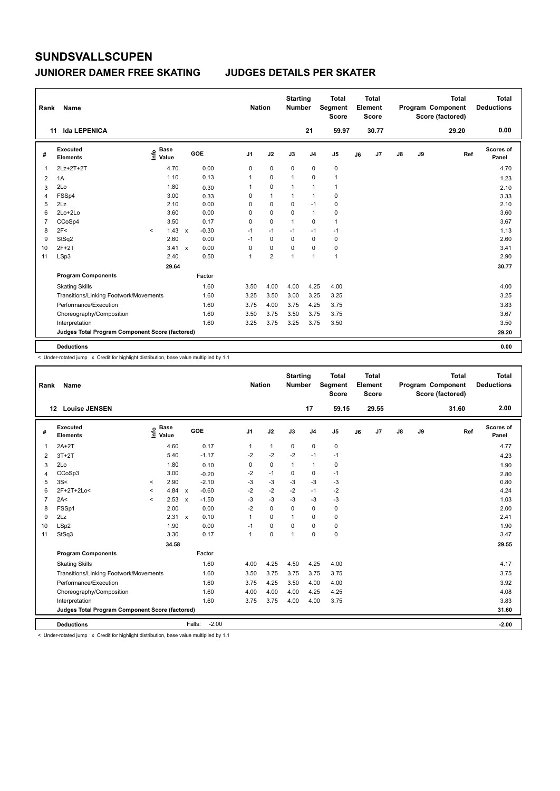#### **JUNIORER DAMER FREE SKATING JUDGES DETAILS PER SKATER**

| Rank | Name                                            |         |                      |              |            | <b>Nation</b>  |                         | <b>Starting</b><br><b>Number</b> |                | <b>Total</b><br>Segment<br><b>Score</b> |    | Total<br>Element<br><b>Score</b> |               |    | <b>Total</b><br><b>Program Component</b><br>Score (factored) | Total<br><b>Deductions</b> |
|------|-------------------------------------------------|---------|----------------------|--------------|------------|----------------|-------------------------|----------------------------------|----------------|-----------------------------------------|----|----------------------------------|---------------|----|--------------------------------------------------------------|----------------------------|
|      | <b>Ida LEPENICA</b><br>11                       |         |                      |              |            |                |                         |                                  | 21             | 59.97                                   |    | 30.77                            |               |    | 29.20                                                        | 0.00                       |
| #    | <b>Executed</b><br><b>Elements</b>              | ۴ô      | <b>Base</b><br>Value |              | <b>GOE</b> | J <sub>1</sub> | J2                      | J3                               | J <sub>4</sub> | J <sub>5</sub>                          | J6 | J7                               | $\mathsf{J}8$ | J9 | Ref                                                          | Scores of<br>Panel         |
| 1    | 2Lz+2T+2T                                       |         | 4.70                 |              | 0.00       | 0              | $\mathbf 0$             | $\mathbf 0$                      | $\mathbf 0$    | $\pmb{0}$                               |    |                                  |               |    |                                                              | 4.70                       |
| 2    | 1A                                              |         | 1.10                 |              | 0.13       | 1              | 0                       | 1                                | 0              | $\mathbf{1}$                            |    |                                  |               |    |                                                              | 1.23                       |
| 3    | 2Lo                                             |         | 1.80                 |              | 0.30       | 1              | $\mathbf 0$             | 1                                | $\overline{1}$ | $\mathbf{1}$                            |    |                                  |               |    |                                                              | 2.10                       |
| 4    | FSSp4                                           |         | 3.00                 |              | 0.33       | 0              | $\mathbf{1}$            | $\overline{1}$                   | $\mathbf{1}$   | 0                                       |    |                                  |               |    |                                                              | 3.33                       |
| 5    | 2Lz                                             |         | 2.10                 |              | 0.00       | 0              | 0                       | 0                                | $-1$           | 0                                       |    |                                  |               |    |                                                              | 2.10                       |
| 6    | $2Lo+2Lo$                                       |         | 3.60                 |              | 0.00       | 0              | $\mathbf 0$             | $\Omega$                         | $\mathbf{1}$   | 0                                       |    |                                  |               |    |                                                              | 3.60                       |
| 7    | CCoSp4                                          |         | 3.50                 |              | 0.17       | 0              | $\mathbf 0$             | 1                                | $\mathbf 0$    | $\mathbf{1}$                            |    |                                  |               |    |                                                              | 3.67                       |
| 8    | 2F<                                             | $\prec$ | 1.43                 | $\mathsf{x}$ | $-0.30$    | $-1$           | $-1$                    | $-1$                             | $-1$           | $-1$                                    |    |                                  |               |    |                                                              | 1.13                       |
| 9    | StSq2                                           |         | 2.60                 |              | 0.00       | $-1$           | $\mathbf 0$             | $\Omega$                         | $\Omega$       | $\pmb{0}$                               |    |                                  |               |    |                                                              | 2.60                       |
| 10   | $2F+2T$                                         |         | 3.41                 | $\mathsf{x}$ | 0.00       | 0              | 0                       | 0                                | 0              | 0                                       |    |                                  |               |    |                                                              | 3.41                       |
| 11   | LSp3                                            |         | 2.40                 |              | 0.50       | 1              | $\overline{\mathbf{c}}$ | $\overline{1}$                   | $\overline{1}$ | $\mathbf{1}$                            |    |                                  |               |    |                                                              | 2.90                       |
|      |                                                 |         | 29.64                |              |            |                |                         |                                  |                |                                         |    |                                  |               |    |                                                              | 30.77                      |
|      | <b>Program Components</b>                       |         |                      |              | Factor     |                |                         |                                  |                |                                         |    |                                  |               |    |                                                              |                            |
|      | <b>Skating Skills</b>                           |         |                      |              | 1.60       | 3.50           | 4.00                    | 4.00                             | 4.25           | 4.00                                    |    |                                  |               |    |                                                              | 4.00                       |
|      | Transitions/Linking Footwork/Movements          |         |                      |              | 1.60       | 3.25           | 3.50                    | 3.00                             | 3.25           | 3.25                                    |    |                                  |               |    |                                                              | 3.25                       |
|      | Performance/Execution                           |         |                      |              | 1.60       | 3.75           | 4.00                    | 3.75                             | 4.25           | 3.75                                    |    |                                  |               |    |                                                              | 3.83                       |
|      | Choreography/Composition                        |         |                      |              | 1.60       | 3.50           | 3.75                    | 3.50                             | 3.75           | 3.75                                    |    |                                  |               |    |                                                              | 3.67                       |
|      | Interpretation                                  |         |                      |              | 1.60       | 3.25           | 3.75                    | 3.25                             | 3.75           | 3.50                                    |    |                                  |               |    |                                                              | 3.50                       |
|      | Judges Total Program Component Score (factored) |         |                      |              |            |                |                         |                                  |                |                                         |    |                                  |               |    |                                                              | 29.20                      |
|      | <b>Deductions</b>                               |         |                      |              |            |                |                         |                                  |                |                                         |    |                                  |               |    |                                                              | 0.00                       |

< Under-rotated jump x Credit for highlight distribution, base value multiplied by 1.1

| Rank           | <b>Name</b>                                     |          |                      |              |                   | <b>Nation</b>  |              | <b>Starting</b><br><b>Number</b> |                | Total<br>Segment<br><b>Score</b> |    | <b>Total</b><br>Element<br><b>Score</b> |               |    | <b>Total</b><br>Program Component<br>Score (factored) | <b>Total</b><br><b>Deductions</b> |
|----------------|-------------------------------------------------|----------|----------------------|--------------|-------------------|----------------|--------------|----------------------------------|----------------|----------------------------------|----|-----------------------------------------|---------------|----|-------------------------------------------------------|-----------------------------------|
|                | <b>Louise JENSEN</b><br>12                      |          |                      |              |                   |                |              |                                  | 17             | 59.15                            |    | 29.55                                   |               |    | 31.60                                                 | 2.00                              |
| #              | Executed<br><b>Elements</b>                     | ١mfo     | <b>Base</b><br>Value |              | <b>GOE</b>        | J <sub>1</sub> | J2           | J3                               | J <sub>4</sub> | J <sub>5</sub>                   | J6 | J7                                      | $\mathsf{J}8$ | J9 | Ref                                                   | Scores of<br>Panel                |
| 1              | $2A+2T$                                         |          | 4.60                 |              | 0.17              | 1              | $\mathbf{1}$ | 0                                | $\mathbf 0$    | 0                                |    |                                         |               |    |                                                       | 4.77                              |
| 2              | $3T+2T$                                         |          | 5.40                 |              | $-1.17$           | $-2$           | $-2$         | $-2$                             | $-1$           | $-1$                             |    |                                         |               |    |                                                       | 4.23                              |
| 3              | 2Lo                                             |          | 1.80                 |              | 0.10              | 0              | $\mathbf 0$  | $\mathbf{1}$                     | $\mathbf{1}$   | 0                                |    |                                         |               |    |                                                       | 1.90                              |
| $\overline{4}$ | CCoSp3                                          |          | 3.00                 |              | $-0.20$           | -2             | $-1$         | 0                                | $\mathbf 0$    | $-1$                             |    |                                         |               |    |                                                       | 2.80                              |
| 5              | 3S<                                             | $\,<\,$  | 2.90                 |              | $-2.10$           | -3             | -3           | $-3$                             | $-3$           | $-3$                             |    |                                         |               |    |                                                       | 0.80                              |
| 6              | 2F+2T+2Lo<                                      | $\hat{}$ | 4.84                 | $\mathsf{x}$ | $-0.60$           | $-2$           | $-2$         | $-2$                             | $-1$           | $-2$                             |    |                                         |               |    |                                                       | 4.24                              |
| $\overline{7}$ | 2A<                                             | $\prec$  | 2.53                 | $\mathsf{x}$ | $-1.50$           | $-3$           | $-3$         | $-3$                             | $-3$           | $-3$                             |    |                                         |               |    |                                                       | 1.03                              |
| 8              | FSSp1                                           |          | 2.00                 |              | 0.00              | $-2$           | 0            | 0                                | $\mathbf 0$    | 0                                |    |                                         |               |    |                                                       | 2.00                              |
| 9              | 2Lz                                             |          | 2.31 x               |              | 0.10              | $\mathbf{1}$   | $\Omega$     | $\mathbf{1}$                     | $\Omega$       | 0                                |    |                                         |               |    |                                                       | 2.41                              |
| 10             | LSp2                                            |          | 1.90                 |              | 0.00              | $-1$           | 0            | $\Omega$                         | $\Omega$       | 0                                |    |                                         |               |    |                                                       | 1.90                              |
| 11             | StSq3                                           |          | 3.30                 |              | 0.17              | $\mathbf 1$    | $\mathbf 0$  | 1                                | $\Omega$       | 0                                |    |                                         |               |    |                                                       | 3.47                              |
|                |                                                 |          | 34.58                |              |                   |                |              |                                  |                |                                  |    |                                         |               |    |                                                       | 29.55                             |
|                | <b>Program Components</b>                       |          |                      |              | Factor            |                |              |                                  |                |                                  |    |                                         |               |    |                                                       |                                   |
|                | <b>Skating Skills</b>                           |          |                      |              | 1.60              | 4.00           | 4.25         | 4.50                             | 4.25           | 4.00                             |    |                                         |               |    |                                                       | 4.17                              |
|                | Transitions/Linking Footwork/Movements          |          |                      |              | 1.60              | 3.50           | 3.75         | 3.75                             | 3.75           | 3.75                             |    |                                         |               |    |                                                       | 3.75                              |
|                | Performance/Execution                           |          |                      |              | 1.60              | 3.75           | 4.25         | 3.50                             | 4.00           | 4.00                             |    |                                         |               |    |                                                       | 3.92                              |
|                | Choreography/Composition                        |          |                      |              | 1.60              | 4.00           | 4.00         | 4.00                             | 4.25           | 4.25                             |    |                                         |               |    |                                                       | 4.08                              |
|                | Interpretation                                  |          |                      |              | 1.60              | 3.75           | 3.75         | 4.00                             | 4.00           | 3.75                             |    |                                         |               |    |                                                       | 3.83                              |
|                | Judges Total Program Component Score (factored) |          |                      |              |                   |                |              |                                  |                |                                  |    |                                         |               |    |                                                       | 31.60                             |
|                | <b>Deductions</b>                               |          |                      |              | $-2.00$<br>Falls: |                |              |                                  |                |                                  |    |                                         |               |    |                                                       | $-2.00$                           |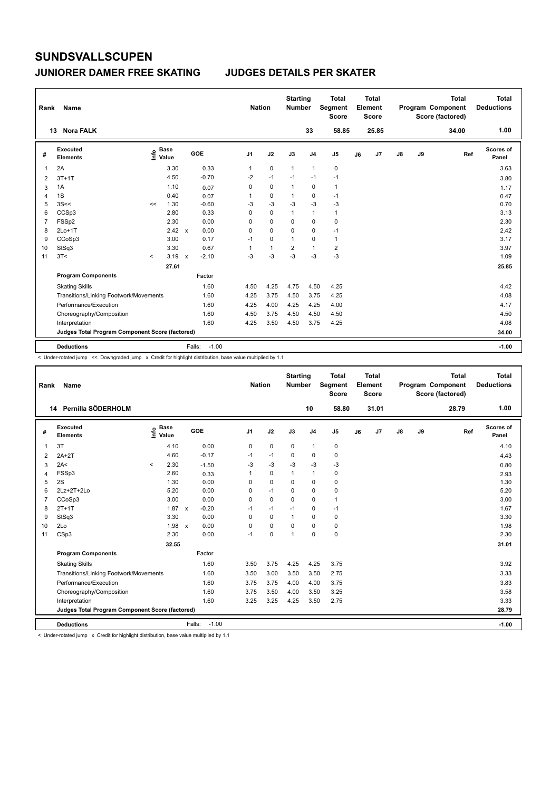#### **JUNIORER DAMER FREE SKATING JUDGES DETAILS PER SKATER**

| Rank | Name                                            |           |                      |                           |                   | <b>Nation</b>  |              | <b>Starting</b><br><b>Number</b> |                | <b>Total</b><br>Segment<br><b>Score</b> |    | <b>Total</b><br>Element<br>Score |               |    | <b>Total</b><br>Program Component<br>Score (factored) | <b>Total</b><br><b>Deductions</b> |
|------|-------------------------------------------------|-----------|----------------------|---------------------------|-------------------|----------------|--------------|----------------------------------|----------------|-----------------------------------------|----|----------------------------------|---------------|----|-------------------------------------------------------|-----------------------------------|
|      | 13 Nora FALK                                    |           |                      |                           |                   |                |              |                                  | 33             | 58.85                                   |    | 25.85                            |               |    | 34.00                                                 | 1.00                              |
| #    | <b>Executed</b><br><b>Elements</b>              | ۴ô        | <b>Base</b><br>Value |                           | <b>GOE</b>        | J <sub>1</sub> | J2           | J3                               | J <sub>4</sub> | J <sub>5</sub>                          | J6 | J7                               | $\mathsf{J}8$ | J9 | Ref                                                   | <b>Scores of</b><br>Panel         |
| 1    | 2A                                              |           | 3.30                 |                           | 0.33              | 1              | $\pmb{0}$    | $\mathbf{1}$                     | $\overline{1}$ | $\pmb{0}$                               |    |                                  |               |    |                                                       | 3.63                              |
| 2    | $3T+1T$                                         |           | 4.50                 |                           | $-0.70$           | $-2$           | $-1$         | $-1$                             | $-1$           | $-1$                                    |    |                                  |               |    |                                                       | 3.80                              |
| 3    | 1A                                              |           | 1.10                 |                           | 0.07              | 0              | $\mathbf 0$  | $\mathbf{1}$                     | 0              | $\mathbf{1}$                            |    |                                  |               |    |                                                       | 1.17                              |
| 4    | 1S                                              |           | 0.40                 |                           | 0.07              | 1              | 0            | $\mathbf{1}$                     | 0              | $-1$                                    |    |                                  |               |    |                                                       | 0.47                              |
| 5    | 3S<<                                            | <<        | 1.30                 |                           | $-0.60$           | -3             | $-3$         | $-3$                             | $-3$           | $-3$                                    |    |                                  |               |    |                                                       | 0.70                              |
| 6    | CCSp3                                           |           | 2.80                 |                           | 0.33              | 0              | $\mathbf 0$  | $\mathbf{1}$                     | $\mathbf{1}$   | $\mathbf{1}$                            |    |                                  |               |    |                                                       | 3.13                              |
| 7    | FSSp2                                           |           | 2.30                 |                           | 0.00              | 0              | $\mathbf 0$  | 0                                | 0              | 0                                       |    |                                  |               |    |                                                       | 2.30                              |
| 8    | $2Lo+1T$                                        |           | 2.42                 | $\mathbf{x}$              | 0.00              | 0              | $\mathbf 0$  | $\Omega$                         | 0              | -1                                      |    |                                  |               |    |                                                       | 2.42                              |
| 9    | CCoSp3                                          |           | 3.00                 |                           | 0.17              | $-1$           | 0            | 1                                | 0              | $\mathbf{1}$                            |    |                                  |               |    |                                                       | 3.17                              |
| 10   | StSq3                                           |           | 3.30                 |                           | 0.67              | 1              | $\mathbf{1}$ | $\overline{2}$                   | $\overline{1}$ | $\overline{2}$                          |    |                                  |               |    |                                                       | 3.97                              |
| 11   | 3T<                                             | $\hat{~}$ | 3.19                 | $\boldsymbol{\mathsf{x}}$ | $-2.10$           | $-3$           | $-3$         | $-3$                             | $-3$           | $-3$                                    |    |                                  |               |    |                                                       | 1.09                              |
|      |                                                 |           | 27.61                |                           |                   |                |              |                                  |                |                                         |    |                                  |               |    |                                                       | 25.85                             |
|      | <b>Program Components</b>                       |           |                      |                           | Factor            |                |              |                                  |                |                                         |    |                                  |               |    |                                                       |                                   |
|      | <b>Skating Skills</b>                           |           |                      |                           | 1.60              | 4.50           | 4.25         | 4.75                             | 4.50           | 4.25                                    |    |                                  |               |    |                                                       | 4.42                              |
|      | Transitions/Linking Footwork/Movements          |           |                      |                           | 1.60              | 4.25           | 3.75         | 4.50                             | 3.75           | 4.25                                    |    |                                  |               |    |                                                       | 4.08                              |
|      | Performance/Execution                           |           |                      |                           | 1.60              | 4.25           | 4.00         | 4.25                             | 4.25           | 4.00                                    |    |                                  |               |    |                                                       | 4.17                              |
|      | Choreography/Composition                        |           |                      |                           | 1.60              | 4.50           | 3.75         | 4.50                             | 4.50           | 4.50                                    |    |                                  |               |    |                                                       | 4.50                              |
|      | Interpretation                                  |           |                      |                           | 1.60              | 4.25           | 3.50         | 4.50                             | 3.75           | 4.25                                    |    |                                  |               |    |                                                       | 4.08                              |
|      | Judges Total Program Component Score (factored) |           |                      |                           |                   |                |              |                                  |                |                                         |    |                                  |               |    |                                                       | 34.00                             |
|      | <b>Deductions</b>                               |           |                      |                           | $-1.00$<br>Falls: |                |              |                                  |                |                                         |    |                                  |               |    |                                                       | $-1.00$                           |

< Under-rotated jump << Downgraded jump x Credit for highlight distribution, base value multiplied by 1.1

| Rank           | Name                                            |         |                      |              |         | <b>Nation</b>  |             | <b>Starting</b><br><b>Number</b> |                | <b>Total</b><br>Segment<br><b>Score</b> |    | <b>Total</b><br>Element<br><b>Score</b> |               |    | <b>Total</b><br>Program Component<br>Score (factored) | <b>Total</b><br><b>Deductions</b> |
|----------------|-------------------------------------------------|---------|----------------------|--------------|---------|----------------|-------------|----------------------------------|----------------|-----------------------------------------|----|-----------------------------------------|---------------|----|-------------------------------------------------------|-----------------------------------|
|                | 14 Pernilla SÖDERHOLM                           |         |                      |              |         |                |             |                                  | 10             | 58.80                                   |    | 31.01                                   |               |    | 28.79                                                 | 1.00                              |
| #              | Executed<br><b>Elements</b>                     | ١m٥     | <b>Base</b><br>Value |              | GOE     | J <sub>1</sub> | J2          | J3                               | J <sub>4</sub> | J <sub>5</sub>                          | J6 | J7                                      | $\mathsf{J}8$ | J9 | Ref                                                   | Scores of<br>Panel                |
| 1              | 3T                                              |         | 4.10                 |              | 0.00    | 0              | $\mathbf 0$ | 0                                | $\mathbf{1}$   | 0                                       |    |                                         |               |    |                                                       | 4.10                              |
| 2              | $2A+2T$                                         |         | 4.60                 |              | $-0.17$ | $-1$           | $-1$        | $\mathbf 0$                      | $\mathbf 0$    | 0                                       |    |                                         |               |    |                                                       | 4.43                              |
| 3              | 2A<                                             | $\,<\,$ | 2.30                 |              | $-1.50$ | -3             | $-3$        | $-3$                             | $-3$           | -3                                      |    |                                         |               |    |                                                       | 0.80                              |
| 4              | FSSp3                                           |         | 2.60                 |              | 0.33    | 1              | $\mathbf 0$ | 1                                | $\mathbf{1}$   | 0                                       |    |                                         |               |    |                                                       | 2.93                              |
| 5              | 2S                                              |         | 1.30                 |              | 0.00    | 0              | $\mathbf 0$ | $\Omega$                         | $\mathbf 0$    | 0                                       |    |                                         |               |    |                                                       | 1.30                              |
| 6              | 2Lz+2T+2Lo                                      |         | 5.20                 |              | 0.00    | 0              | $-1$        | 0                                | $\mathbf 0$    | 0                                       |    |                                         |               |    |                                                       | 5.20                              |
| $\overline{7}$ | CCoSp3                                          |         | 3.00                 |              | 0.00    | $\Omega$       | $\Omega$    | $\Omega$                         | $\Omega$       | $\mathbf{1}$                            |    |                                         |               |    |                                                       | 3.00                              |
| 8              | $2T+1T$                                         |         | 1.87                 | $\mathsf{x}$ | $-0.20$ | $-1$           | $-1$        | $-1$                             | $\mathbf 0$    | $-1$                                    |    |                                         |               |    |                                                       | 1.67                              |
| 9              | StSq3                                           |         | 3.30                 |              | 0.00    | $\Omega$       | $\Omega$    | $\mathbf{1}$                     | $\Omega$       | 0                                       |    |                                         |               |    |                                                       | 3.30                              |
| 10             | 2Lo                                             |         | 1.98                 | $\mathbf{x}$ | 0.00    | 0              | $\mathbf 0$ | 0                                | $\mathbf 0$    | 0                                       |    |                                         |               |    |                                                       | 1.98                              |
| 11             | CSp3                                            |         | 2.30                 |              | 0.00    | $-1$           | $\mathbf 0$ | 1                                | $\Omega$       | $\pmb{0}$                               |    |                                         |               |    |                                                       | 2.30                              |
|                |                                                 |         | 32.55                |              |         |                |             |                                  |                |                                         |    |                                         |               |    |                                                       | 31.01                             |
|                | <b>Program Components</b>                       |         |                      |              | Factor  |                |             |                                  |                |                                         |    |                                         |               |    |                                                       |                                   |
|                | <b>Skating Skills</b>                           |         |                      |              | 1.60    | 3.50           | 3.75        | 4.25                             | 4.25           | 3.75                                    |    |                                         |               |    |                                                       | 3.92                              |
|                | Transitions/Linking Footwork/Movements          |         |                      |              | 1.60    | 3.50           | 3.00        | 3.50                             | 3.50           | 2.75                                    |    |                                         |               |    |                                                       | 3.33                              |
|                | Performance/Execution                           |         |                      |              | 1.60    | 3.75           | 3.75        | 4.00                             | 4.00           | 3.75                                    |    |                                         |               |    |                                                       | 3.83                              |
|                | Choreography/Composition                        |         |                      |              | 1.60    | 3.75           | 3.50        | 4.00                             | 3.50           | 3.25                                    |    |                                         |               |    |                                                       | 3.58                              |
|                | Interpretation                                  |         |                      |              | 1.60    | 3.25           | 3.25        | 4.25                             | 3.50           | 2.75                                    |    |                                         |               |    |                                                       | 3.33                              |
|                | Judges Total Program Component Score (factored) |         |                      |              |         |                |             |                                  |                |                                         |    |                                         |               |    |                                                       | 28.79                             |
|                | <b>Deductions</b>                               |         |                      | Falls:       | $-1.00$ |                |             |                                  |                |                                         |    |                                         |               |    |                                                       | $-1.00$                           |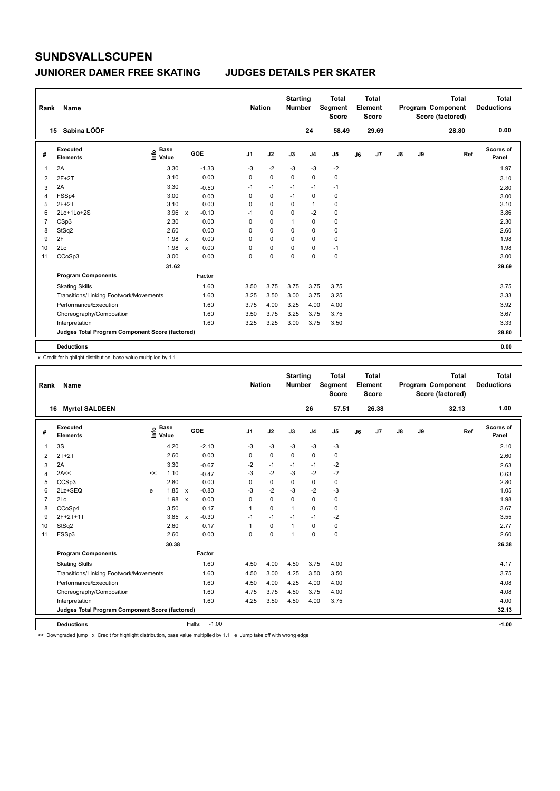#### **JUNIORER DAMER FREE SKATING JUDGES DETAILS PER SKATER**

| Rank           | Name                                            |                              |              |         | <b>Nation</b>  |             | <b>Starting</b><br><b>Number</b> |                | <b>Total</b><br>Segment<br><b>Score</b> |    | <b>Total</b><br>Element<br><b>Score</b> |               |    | <b>Total</b><br>Program Component<br>Score (factored) | <b>Total</b><br><b>Deductions</b> |
|----------------|-------------------------------------------------|------------------------------|--------------|---------|----------------|-------------|----------------------------------|----------------|-----------------------------------------|----|-----------------------------------------|---------------|----|-------------------------------------------------------|-----------------------------------|
|                | Sabina LÖÖF<br>15                               |                              |              |         |                |             |                                  | 24             | 58.49                                   |    | 29.69                                   |               |    | 28.80                                                 | 0.00                              |
| #              | <b>Executed</b><br><b>Elements</b>              | <b>Base</b><br>١nfo<br>Value |              | GOE     | J <sub>1</sub> | J2          | J3                               | J <sub>4</sub> | J <sub>5</sub>                          | J6 | J7                                      | $\mathsf{J}8$ | J9 | Ref                                                   | <b>Scores of</b><br>Panel         |
| 1              | 2A                                              | 3.30                         |              | $-1.33$ | $-3$           | $-2$        | $-3$                             | $-3$           | $-2$                                    |    |                                         |               |    |                                                       | 1.97                              |
| 2              | $2F+2T$                                         | 3.10                         |              | 0.00    | 0              | $\mathbf 0$ | 0                                | 0              | $\pmb{0}$                               |    |                                         |               |    |                                                       | 3.10                              |
| 3              | 2A                                              | 3.30                         |              | $-0.50$ | $-1$           | $-1$        | $-1$                             | $-1$           | $-1$                                    |    |                                         |               |    |                                                       | 2.80                              |
| 4              | FSSp4                                           | 3.00                         |              | 0.00    | 0              | 0           | $-1$                             | 0              | 0                                       |    |                                         |               |    |                                                       | 3.00                              |
| 5              | $2F+2T$                                         | 3.10                         |              | 0.00    | 0              | 0           | 0                                | $\mathbf{1}$   | $\pmb{0}$                               |    |                                         |               |    |                                                       | 3.10                              |
| 6              | 2Lo+1Lo+2S                                      | 3.96                         | $\mathsf{x}$ | $-0.10$ | $-1$           | $\mathbf 0$ | $\Omega$                         | $-2$           | $\pmb{0}$                               |    |                                         |               |    |                                                       | 3.86                              |
| $\overline{7}$ | CSp3                                            | 2.30                         |              | 0.00    | 0              | $\mathbf 0$ | 1                                | 0              | $\pmb{0}$                               |    |                                         |               |    |                                                       | 2.30                              |
| 8              | StSq2                                           | 2.60                         |              | 0.00    | 0              | $\mathbf 0$ | $\Omega$                         | 0              | 0                                       |    |                                         |               |    |                                                       | 2.60                              |
| 9              | 2F                                              | 1.98                         | $\mathsf{x}$ | 0.00    | 0              | 0           | 0                                | 0              | 0                                       |    |                                         |               |    |                                                       | 1.98                              |
| 10             | 2Lo                                             | 1.98                         | $\mathsf{x}$ | 0.00    | 0              | $\mathbf 0$ | 0                                | 0              | $-1$                                    |    |                                         |               |    |                                                       | 1.98                              |
| 11             | CCoSp3                                          | 3.00                         |              | 0.00    | 0              | 0           | $\Omega$                         | $\mathbf 0$    | $\pmb{0}$                               |    |                                         |               |    |                                                       | 3.00                              |
|                |                                                 | 31.62                        |              |         |                |             |                                  |                |                                         |    |                                         |               |    |                                                       | 29.69                             |
|                | <b>Program Components</b>                       |                              |              | Factor  |                |             |                                  |                |                                         |    |                                         |               |    |                                                       |                                   |
|                | <b>Skating Skills</b>                           |                              |              | 1.60    | 3.50           | 3.75        | 3.75                             | 3.75           | 3.75                                    |    |                                         |               |    |                                                       | 3.75                              |
|                | Transitions/Linking Footwork/Movements          |                              |              | 1.60    | 3.25           | 3.50        | 3.00                             | 3.75           | 3.25                                    |    |                                         |               |    |                                                       | 3.33                              |
|                | Performance/Execution                           |                              |              | 1.60    | 3.75           | 4.00        | 3.25                             | 4.00           | 4.00                                    |    |                                         |               |    |                                                       | 3.92                              |
|                | Choreography/Composition                        |                              |              | 1.60    | 3.50           | 3.75        | 3.25                             | 3.75           | 3.75                                    |    |                                         |               |    |                                                       | 3.67                              |
|                | Interpretation                                  |                              |              | 1.60    | 3.25           | 3.25        | 3.00                             | 3.75           | 3.50                                    |    |                                         |               |    |                                                       | 3.33                              |
|                | Judges Total Program Component Score (factored) |                              |              |         |                |             |                                  |                |                                         |    |                                         |               |    |                                                       | 28.80                             |
|                | <b>Deductions</b>                               |                              |              |         |                |             |                                  |                |                                         |    |                                         |               |    |                                                       | 0.00                              |

x Credit for highlight distribution, base value multiplied by 1.1

| Rank | Name                                            |    |                                  |              |         | <b>Nation</b>  |             | <b>Starting</b><br><b>Number</b> |                | <b>Total</b><br>Segment<br><b>Score</b> |    | <b>Total</b><br>Element<br><b>Score</b> |               |    | <b>Total</b><br>Program Component<br>Score (factored) |     | <b>Total</b><br><b>Deductions</b> |
|------|-------------------------------------------------|----|----------------------------------|--------------|---------|----------------|-------------|----------------------------------|----------------|-----------------------------------------|----|-----------------------------------------|---------------|----|-------------------------------------------------------|-----|-----------------------------------|
| 16   | <b>Myrtel SALDEEN</b>                           |    |                                  |              |         |                |             |                                  | 26             | 57.51                                   |    | 26.38                                   |               |    | 32.13                                                 |     | 1.00                              |
| #    | Executed<br><b>Elements</b>                     |    | <b>Base</b><br>e Base<br>E Value | GOE          |         | J <sub>1</sub> | J2          | J3                               | J <sub>4</sub> | J5                                      | J6 | J7                                      | $\mathsf{J}8$ | J9 |                                                       | Ref | Scores of<br>Panel                |
| 1    | 3S                                              |    | 4.20                             |              | $-2.10$ | $-3$           | $-3$        | $-3$                             | $-3$           | $-3$                                    |    |                                         |               |    |                                                       |     | 2.10                              |
| 2    | $2T+2T$                                         |    | 2.60                             |              | 0.00    | $\Omega$       | $\mathbf 0$ | $\Omega$                         | $\Omega$       | 0                                       |    |                                         |               |    |                                                       |     | 2.60                              |
| 3    | 2A                                              |    | 3.30                             |              | $-0.67$ | $-2$           | $-1$        | $-1$                             | $-1$           | $-2$                                    |    |                                         |               |    |                                                       |     | 2.63                              |
| 4    | 2A<<                                            | << | 1.10                             |              | $-0.47$ | $-3$           | $-2$        | $-3$                             | $-2$           | $-2$                                    |    |                                         |               |    |                                                       |     | 0.63                              |
| 5    | CCSp3                                           |    | 2.80                             |              | 0.00    | $\Omega$       | $\mathbf 0$ | $\Omega$                         | 0              | 0                                       |    |                                         |               |    |                                                       |     | 2.80                              |
| 6    | 2Lz+SEQ                                         | e  | 1.85                             | $\mathsf{x}$ | $-0.80$ | -3             | $-2$        | $-3$                             | $-2$           | $-3$                                    |    |                                         |               |    |                                                       |     | 1.05                              |
| 7    | 2Lo                                             |    | 1.98                             | $\mathsf{x}$ | 0.00    | $\Omega$       | $\mathbf 0$ | 0                                | $\Omega$       | 0                                       |    |                                         |               |    |                                                       |     | 1.98                              |
| 8    | CCoSp4                                          |    | 3.50                             |              | 0.17    | $\mathbf{1}$   | 0           | 1                                | 0              | 0                                       |    |                                         |               |    |                                                       |     | 3.67                              |
| 9    | 2F+2T+1T                                        |    | $3.85 \times$                    |              | $-0.30$ | $-1$           | $-1$        | $-1$                             | $-1$           | $-2$                                    |    |                                         |               |    |                                                       |     | 3.55                              |
| 10   | StSq2                                           |    | 2.60                             |              | 0.17    | $\mathbf{1}$   | $\mathbf 0$ | 1                                | 0              | 0                                       |    |                                         |               |    |                                                       |     | 2.77                              |
| 11   | FSSp3                                           |    | 2.60                             |              | 0.00    | $\Omega$       | $\mathbf 0$ | 1                                | $\Omega$       | 0                                       |    |                                         |               |    |                                                       |     | 2.60                              |
|      |                                                 |    | 30.38                            |              |         |                |             |                                  |                |                                         |    |                                         |               |    |                                                       |     | 26.38                             |
|      | <b>Program Components</b>                       |    |                                  |              | Factor  |                |             |                                  |                |                                         |    |                                         |               |    |                                                       |     |                                   |
|      | <b>Skating Skills</b>                           |    |                                  |              | 1.60    | 4.50           | 4.00        | 4.50                             | 3.75           | 4.00                                    |    |                                         |               |    |                                                       |     | 4.17                              |
|      | Transitions/Linking Footwork/Movements          |    |                                  |              | 1.60    | 4.50           | 3.00        | 4.25                             | 3.50           | 3.50                                    |    |                                         |               |    |                                                       |     | 3.75                              |
|      | Performance/Execution                           |    |                                  |              | 1.60    | 4.50           | 4.00        | 4.25                             | 4.00           | 4.00                                    |    |                                         |               |    |                                                       |     | 4.08                              |
|      | Choreography/Composition                        |    |                                  |              | 1.60    | 4.75           | 3.75        | 4.50                             | 3.75           | 4.00                                    |    |                                         |               |    |                                                       |     | 4.08                              |
|      | Interpretation                                  |    |                                  |              | 1.60    | 4.25           | 3.50        | 4.50                             | 4.00           | 3.75                                    |    |                                         |               |    |                                                       |     | 4.00                              |
|      | Judges Total Program Component Score (factored) |    |                                  |              |         |                |             |                                  |                |                                         |    |                                         |               |    |                                                       |     | 32.13                             |
|      | <b>Deductions</b>                               |    |                                  | Falls:       | $-1.00$ |                |             |                                  |                |                                         |    |                                         |               |    |                                                       |     | $-1.00$                           |

<< Downgraded jump x Credit for highlight distribution, base value multiplied by 1.1 e Jump take off with wrong edge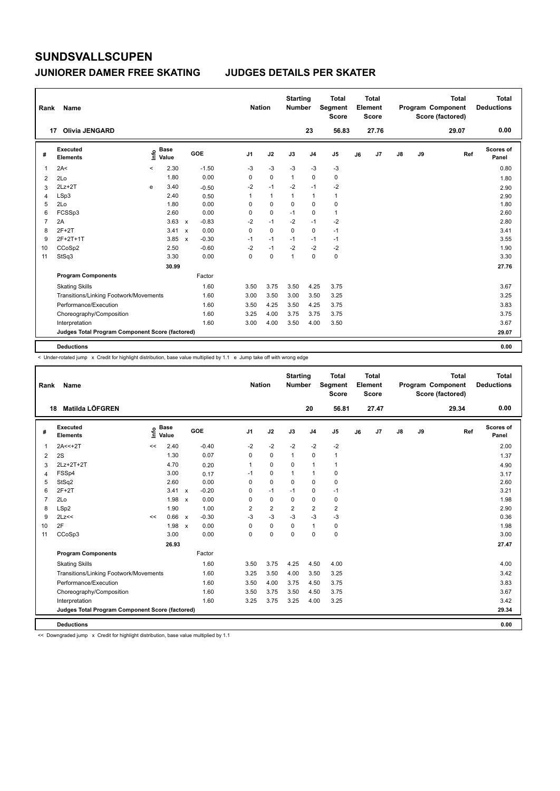#### **JUNIORER DAMER FREE SKATING JUDGES DETAILS PER SKATER**

| Rank           | Name                                            |       |                      |              |         | <b>Nation</b>  |              | <b>Starting</b><br><b>Number</b> |                | <b>Total</b><br><b>Segment</b><br><b>Score</b> |    | <b>Total</b><br>Element<br>Score |    |    | <b>Total</b><br>Program Component<br>Score (factored) | Total<br><b>Deductions</b> |
|----------------|-------------------------------------------------|-------|----------------------|--------------|---------|----------------|--------------|----------------------------------|----------------|------------------------------------------------|----|----------------------------------|----|----|-------------------------------------------------------|----------------------------|
|                | <b>Olivia JENGARD</b><br>17                     |       |                      |              |         |                |              |                                  | 23             | 56.83                                          |    | 27.76                            |    |    | 29.07                                                 | 0.00                       |
| #              | Executed<br><b>Elements</b>                     | ١nfo  | <b>Base</b><br>Value |              | GOE     | J <sub>1</sub> | J2           | J3                               | J <sub>4</sub> | J <sub>5</sub>                                 | J6 | J7                               | J8 | J9 | Ref                                                   | Scores of<br>Panel         |
| 1              | 2A<                                             | $\,<$ | 2.30                 |              | $-1.50$ | $-3$           | $-3$         | $-3$                             | $-3$           | $-3$                                           |    |                                  |    |    |                                                       | 0.80                       |
| 2              | 2Lo                                             |       | 1.80                 |              | 0.00    | 0              | $\mathbf 0$  | $\mathbf{1}$                     | $\mathbf 0$    | 0                                              |    |                                  |    |    |                                                       | 1.80                       |
| 3              | $2Lz+2T$                                        | e     | 3.40                 |              | $-0.50$ | $-2$           | $-1$         | $-2$                             | $-1$           | $-2$                                           |    |                                  |    |    |                                                       | 2.90                       |
| 4              | LSp3                                            |       | 2.40                 |              | 0.50    | 1              | $\mathbf{1}$ | $\mathbf{1}$                     | $\mathbf{1}$   | $\mathbf{1}$                                   |    |                                  |    |    |                                                       | 2.90                       |
| 5              | 2Lo                                             |       | 1.80                 |              | 0.00    | 0              | 0            | 0                                | $\mathbf 0$    | $\mathbf 0$                                    |    |                                  |    |    |                                                       | 1.80                       |
| 6              | FCSSp3                                          |       | 2.60                 |              | 0.00    | 0              | $\mathbf 0$  | $-1$                             | $\pmb{0}$      | $\mathbf{1}$                                   |    |                                  |    |    |                                                       | 2.60                       |
| $\overline{7}$ | 2A                                              |       | 3.63                 | $\mathsf{x}$ | $-0.83$ | $-2$           | $-1$         | $-2$                             | $-1$           | -2                                             |    |                                  |    |    |                                                       | 2.80                       |
| 8              | $2F+2T$                                         |       | 3.41                 | $\mathbf{x}$ | 0.00    | $\Omega$       | $\Omega$     | $\Omega$                         | $\mathbf 0$    | $-1$                                           |    |                                  |    |    |                                                       | 3.41                       |
| 9              | 2F+2T+1T                                        |       | 3.85                 | $\mathsf{x}$ | $-0.30$ | $-1$           | $-1$         | $-1$                             | $-1$           | $-1$                                           |    |                                  |    |    |                                                       | 3.55                       |
| 10             | CCoSp2                                          |       | 2.50                 |              | $-0.60$ | $-2$           | $-1$         | $-2$                             | $-2$           | $-2$                                           |    |                                  |    |    |                                                       | 1.90                       |
| 11             | StSq3                                           |       | 3.30                 |              | 0.00    | 0              | $\mathbf 0$  | $\overline{1}$                   | $\mathbf 0$    | $\mathbf 0$                                    |    |                                  |    |    |                                                       | 3.30                       |
|                |                                                 |       | 30.99                |              |         |                |              |                                  |                |                                                |    |                                  |    |    |                                                       | 27.76                      |
|                | <b>Program Components</b>                       |       |                      |              | Factor  |                |              |                                  |                |                                                |    |                                  |    |    |                                                       |                            |
|                | <b>Skating Skills</b>                           |       |                      |              | 1.60    | 3.50           | 3.75         | 3.50                             | 4.25           | 3.75                                           |    |                                  |    |    |                                                       | 3.67                       |
|                | Transitions/Linking Footwork/Movements          |       |                      |              | 1.60    | 3.00           | 3.50         | 3.00                             | 3.50           | 3.25                                           |    |                                  |    |    |                                                       | 3.25                       |
|                | Performance/Execution                           |       |                      |              | 1.60    | 3.50           | 4.25         | 3.50                             | 4.25           | 3.75                                           |    |                                  |    |    |                                                       | 3.83                       |
|                | Choreography/Composition                        |       |                      |              | 1.60    | 3.25           | 4.00         | 3.75                             | 3.75           | 3.75                                           |    |                                  |    |    |                                                       | 3.75                       |
|                | Interpretation                                  |       |                      |              | 1.60    | 3.00           | 4.00         | 3.50                             | 4.00           | 3.50                                           |    |                                  |    |    |                                                       | 3.67                       |
|                | Judges Total Program Component Score (factored) |       |                      |              |         |                |              |                                  |                |                                                |    |                                  |    |    |                                                       | 29.07                      |
|                | <b>Deductions</b>                               |       |                      |              |         |                |              |                                  |                |                                                |    |                                  |    |    |                                                       | 0.00                       |

< Under-rotated jump x Credit for highlight distribution, base value multiplied by 1.1 e Jump take off with wrong edge

| Rank           | Name                                            |    |                      |                           |            | <b>Nation</b>  |                | <b>Starting</b><br><b>Number</b> |                | <b>Total</b><br>Segment<br><b>Score</b> |    | <b>Total</b><br>Element<br><b>Score</b> |    |    | <b>Total</b><br>Program Component<br>Score (factored) | <b>Total</b><br><b>Deductions</b> |
|----------------|-------------------------------------------------|----|----------------------|---------------------------|------------|----------------|----------------|----------------------------------|----------------|-----------------------------------------|----|-----------------------------------------|----|----|-------------------------------------------------------|-----------------------------------|
|                | Matilda LÖFGREN<br>18                           |    |                      |                           |            |                |                |                                  | 20             | 56.81                                   |    | 27.47                                   |    |    | 29.34                                                 | 0.00                              |
| #              | <b>Executed</b><br><b>Elements</b>              | ١m | <b>Base</b><br>Value |                           | <b>GOE</b> | J <sub>1</sub> | J2             | J3                               | J <sub>4</sub> | J <sub>5</sub>                          | J6 | J7                                      | J8 | J9 | Ref                                                   | Scores of<br>Panel                |
| 1              | $2A < +2T$                                      | << | 2.40                 |                           | $-0.40$    | $-2$           | $-2$           | $-2$                             | $-2$           | $-2$                                    |    |                                         |    |    |                                                       | 2.00                              |
| 2              | 2S                                              |    | 1.30                 |                           | 0.07       | 0              | $\mathbf 0$    | $\mathbf{1}$                     | 0              | $\mathbf{1}$                            |    |                                         |    |    |                                                       | 1.37                              |
| 3              | 2Lz+2T+2T                                       |    | 4.70                 |                           | 0.20       | 1              | $\mathbf 0$    | 0                                | $\overline{1}$ | $\mathbf{1}$                            |    |                                         |    |    |                                                       | 4.90                              |
| 4              | FSSp4                                           |    | 3.00                 |                           | 0.17       | $-1$           | 0              | $\mathbf{1}$                     | $\mathbf{1}$   | 0                                       |    |                                         |    |    |                                                       | 3.17                              |
| 5              | StSq2                                           |    | 2.60                 |                           | 0.00       | 0              | $\mathbf 0$    | $\Omega$                         | $\mathbf 0$    | $\mathbf 0$                             |    |                                         |    |    |                                                       | 2.60                              |
| 6              | $2F+2T$                                         |    | 3.41                 | $\mathsf{x}$              | $-0.20$    | 0              | $-1$           | $-1$                             | 0              | $-1$                                    |    |                                         |    |    |                                                       | 3.21                              |
| $\overline{7}$ | 2Lo                                             |    | 1.98                 | $\mathsf{x}$              | 0.00       | 0              | $\pmb{0}$      | $\mathbf 0$                      | $\pmb{0}$      | $\pmb{0}$                               |    |                                         |    |    |                                                       | 1.98                              |
| 8              | LSp2                                            |    | 1.90                 |                           | 1.00       | $\overline{2}$ | $\overline{2}$ | $\overline{2}$                   | $\overline{2}$ | $\overline{2}$                          |    |                                         |    |    |                                                       | 2.90                              |
| 9              | 2Lz<<                                           | << | 0.66                 | $\mathsf{x}$              | $-0.30$    | $-3$           | $-3$           | $-3$                             | $-3$           | $-3$                                    |    |                                         |    |    |                                                       | 0.36                              |
| 10             | 2F                                              |    | 1.98                 | $\boldsymbol{\mathsf{x}}$ | 0.00       | 0              | $\mathbf 0$    | $\Omega$                         | $\mathbf{1}$   | $\pmb{0}$                               |    |                                         |    |    |                                                       | 1.98                              |
| 11             | CCoSp3                                          |    | 3.00                 |                           | 0.00       | 0              | 0              | 0                                | $\mathbf 0$    | $\pmb{0}$                               |    |                                         |    |    |                                                       | 3.00                              |
|                |                                                 |    | 26.93                |                           |            |                |                |                                  |                |                                         |    |                                         |    |    |                                                       | 27.47                             |
|                | <b>Program Components</b>                       |    |                      |                           | Factor     |                |                |                                  |                |                                         |    |                                         |    |    |                                                       |                                   |
|                | <b>Skating Skills</b>                           |    |                      |                           | 1.60       | 3.50           | 3.75           | 4.25                             | 4.50           | 4.00                                    |    |                                         |    |    |                                                       | 4.00                              |
|                | Transitions/Linking Footwork/Movements          |    |                      |                           | 1.60       | 3.25           | 3.50           | 4.00                             | 3.50           | 3.25                                    |    |                                         |    |    |                                                       | 3.42                              |
|                | Performance/Execution                           |    |                      |                           | 1.60       | 3.50           | 4.00           | 3.75                             | 4.50           | 3.75                                    |    |                                         |    |    |                                                       | 3.83                              |
|                | Choreography/Composition                        |    |                      |                           | 1.60       | 3.50           | 3.75           | 3.50                             | 4.50           | 3.75                                    |    |                                         |    |    |                                                       | 3.67                              |
|                | Interpretation                                  |    |                      |                           | 1.60       | 3.25           | 3.75           | 3.25                             | 4.00           | 3.25                                    |    |                                         |    |    |                                                       | 3.42                              |
|                | Judges Total Program Component Score (factored) |    |                      |                           |            |                |                |                                  |                |                                         |    |                                         |    |    |                                                       | 29.34                             |
|                | <b>Deductions</b>                               |    |                      |                           |            |                |                |                                  |                |                                         |    |                                         |    |    |                                                       | 0.00                              |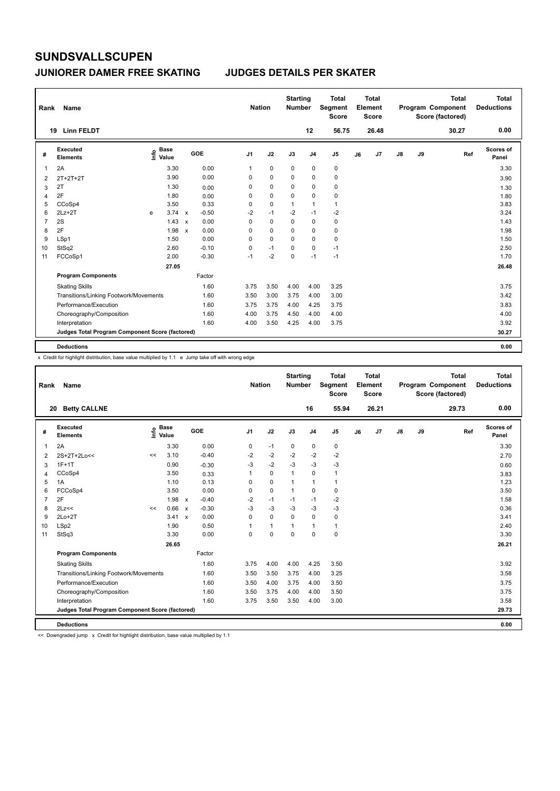#### **JUNIORER DAMER FREE SKATING JUDGES DETAILS PER SKATER**

| Rank           | Name                                            |      |                      |                           |            | <b>Nation</b>  |             | <b>Starting</b><br><b>Number</b> |                | <b>Total</b><br>Segment<br><b>Score</b> |    | <b>Total</b><br>Element<br><b>Score</b> |               |    | <b>Total</b><br>Program Component<br>Score (factored) | <b>Total</b><br><b>Deductions</b> |
|----------------|-------------------------------------------------|------|----------------------|---------------------------|------------|----------------|-------------|----------------------------------|----------------|-----------------------------------------|----|-----------------------------------------|---------------|----|-------------------------------------------------------|-----------------------------------|
|                | <b>Linn FELDT</b><br>19                         |      |                      |                           |            |                |             |                                  | 12             | 56.75                                   |    | 26.48                                   |               |    | 30.27                                                 | 0.00                              |
| #              | Executed<br><b>Elements</b>                     | ١nfo | <b>Base</b><br>Value |                           | <b>GOE</b> | J <sub>1</sub> | J2          | J3                               | J <sub>4</sub> | J <sub>5</sub>                          | J6 | J <sub>7</sub>                          | $\mathsf{J}8$ | J9 | Ref                                                   | Scores of<br>Panel                |
| 1              | 2A                                              |      | 3.30                 |                           | 0.00       | 1              | $\mathbf 0$ | $\mathbf 0$                      | $\mathbf 0$    | $\pmb{0}$                               |    |                                         |               |    |                                                       | 3.30                              |
| $\overline{2}$ | $2T+2T+2T$                                      |      | 3.90                 |                           | 0.00       | $\Omega$       | 0           | $\Omega$                         | 0              | 0                                       |    |                                         |               |    |                                                       | 3.90                              |
| 3              | 2T                                              |      | 1.30                 |                           | 0.00       | 0              | $\mathbf 0$ | 0                                | $\mathbf 0$    | 0                                       |    |                                         |               |    |                                                       | 1.30                              |
| 4              | 2F                                              |      | 1.80                 |                           | 0.00       | 0              | $\mathbf 0$ | $\mathbf 0$                      | $\mathbf 0$    | 0                                       |    |                                         |               |    |                                                       | 1.80                              |
| 5              | CCoSp4                                          |      | 3.50                 |                           | 0.33       | 0              | $\mathbf 0$ | $\mathbf{1}$                     | $\mathbf{1}$   | $\mathbf{1}$                            |    |                                         |               |    |                                                       | 3.83                              |
| 6              | $2Lz + 2T$                                      | e    | 3.74                 | $\mathsf{x}$              | $-0.50$    | $-2$           | $-1$        | $-2$                             | $-1$           | $-2$                                    |    |                                         |               |    |                                                       | 3.24                              |
| 7              | 2S                                              |      | 1.43                 | $\boldsymbol{\mathsf{x}}$ | 0.00       | 0              | $\mathbf 0$ | $\mathbf 0$                      | $\mathbf 0$    | $\pmb{0}$                               |    |                                         |               |    |                                                       | 1.43                              |
| 8              | 2F                                              |      | 1.98                 | $\mathsf{x}$              | 0.00       | 0              | 0           | $\Omega$                         | 0              | 0                                       |    |                                         |               |    |                                                       | 1.98                              |
| 9              | LSp1                                            |      | 1.50                 |                           | 0.00       | 0              | $\mathbf 0$ | $\mathbf 0$                      | $\mathbf 0$    | $\pmb{0}$                               |    |                                         |               |    |                                                       | 1.50                              |
| 10             | StSq2                                           |      | 2.60                 |                           | $-0.10$    | 0              | $-1$        | $\Omega$                         | $\mathbf 0$    | $-1$                                    |    |                                         |               |    |                                                       | 2.50                              |
| 11             | FCCoSp1                                         |      | 2.00                 |                           | $-0.30$    | $-1$           | $-2$        | $\mathbf 0$                      | $-1$           | $-1$                                    |    |                                         |               |    |                                                       | 1.70                              |
|                |                                                 |      | 27.05                |                           |            |                |             |                                  |                |                                         |    |                                         |               |    |                                                       | 26.48                             |
|                | <b>Program Components</b>                       |      |                      |                           | Factor     |                |             |                                  |                |                                         |    |                                         |               |    |                                                       |                                   |
|                | <b>Skating Skills</b>                           |      |                      |                           | 1.60       | 3.75           | 3.50        | 4.00                             | 4.00           | 3.25                                    |    |                                         |               |    |                                                       | 3.75                              |
|                | Transitions/Linking Footwork/Movements          |      |                      |                           | 1.60       | 3.50           | 3.00        | 3.75                             | 4.00           | 3.00                                    |    |                                         |               |    |                                                       | 3.42                              |
|                | Performance/Execution                           |      |                      |                           | 1.60       | 3.75           | 3.75        | 4.00                             | 4.25           | 3.75                                    |    |                                         |               |    |                                                       | 3.83                              |
|                | Choreography/Composition                        |      |                      |                           | 1.60       | 4.00           | 3.75        | 4.50                             | 4.00           | 4.00                                    |    |                                         |               |    |                                                       | 4.00                              |
|                | Interpretation                                  |      |                      |                           | 1.60       | 4.00           | 3.50        | 4.25                             | 4.00           | 3.75                                    |    |                                         |               |    |                                                       | 3.92                              |
|                | Judges Total Program Component Score (factored) |      |                      |                           |            |                |             |                                  |                |                                         |    |                                         |               |    |                                                       | 30.27                             |
|                | <b>Deductions</b>                               |      |                      |                           |            |                |             |                                  |                |                                         |    |                                         |               |    |                                                       | 0.00                              |

x Credit for highlight distribution, base value multiplied by 1.1 e Jump take off with wrong edge

| Rank           | <b>Name</b>                                     |      |                      |              |         | <b>Nation</b>  |              | <b>Starting</b><br><b>Number</b> |                | <b>Total</b><br>Segment<br><b>Score</b> |    | Total<br>Element<br><b>Score</b> |    |    | <b>Total</b><br>Program Component<br>Score (factored) | <b>Total</b><br><b>Deductions</b> |
|----------------|-------------------------------------------------|------|----------------------|--------------|---------|----------------|--------------|----------------------------------|----------------|-----------------------------------------|----|----------------------------------|----|----|-------------------------------------------------------|-----------------------------------|
| 20             | <b>Betty CALLNE</b>                             |      |                      |              |         |                |              |                                  | 16             | 55.94                                   |    | 26.21                            |    |    | 29.73                                                 | 0.00                              |
| #              | Executed<br><b>Elements</b>                     | lnfo | <b>Base</b><br>Value |              | GOE     | J <sub>1</sub> | J2           | J3                               | J <sub>4</sub> | J <sub>5</sub>                          | J6 | J7                               | J8 | J9 | Ref                                                   | Scores of<br>Panel                |
| $\overline{1}$ | 2A                                              |      | 3.30                 |              | 0.00    | 0              | $-1$         | 0                                | $\mathbf 0$    | 0                                       |    |                                  |    |    |                                                       | 3.30                              |
| 2              | $2S+2T+2Lo<<$                                   | <<   | 3.10                 |              | $-0.40$ | $-2$           | $-2$         | $-2$                             | $-2$           | $-2$                                    |    |                                  |    |    |                                                       | 2.70                              |
| 3              | $1F+1T$                                         |      | 0.90                 |              | $-0.30$ | $-3$           | $-2$         | $-3$                             | $-3$           | $-3$                                    |    |                                  |    |    |                                                       | 0.60                              |
| 4              | CCoSp4                                          |      | 3.50                 |              | 0.33    | 1              | $\mathbf 0$  | $\mathbf{1}$                     | $\mathbf 0$    | 1                                       |    |                                  |    |    |                                                       | 3.83                              |
| 5              | 1A                                              |      | 1.10                 |              | 0.13    | 0              | $\mathbf 0$  | $\mathbf{1}$                     | 1              | 1                                       |    |                                  |    |    |                                                       | 1.23                              |
| 6              | FCCoSp4                                         |      | 3.50                 |              | 0.00    | 0              | $\mathbf 0$  | $\mathbf{1}$                     | $\mathbf 0$    | 0                                       |    |                                  |    |    |                                                       | 3.50                              |
| $\overline{7}$ | 2F                                              |      | 1.98                 | $\mathsf{x}$ | $-0.40$ | $-2$           | $-1$         | $-1$                             | $-1$           | $-2$                                    |    |                                  |    |    |                                                       | 1.58                              |
| 8              | 2Lz<<                                           | <<   | 0.66                 | $\mathsf{x}$ | $-0.30$ | $-3$           | -3           | $-3$                             | $-3$           | $-3$                                    |    |                                  |    |    |                                                       | 0.36                              |
| 9              | $2Lo+2T$                                        |      | 3.41                 | $\mathbf{x}$ | 0.00    | $\Omega$       | $\Omega$     | $\Omega$                         | $\Omega$       | 0                                       |    |                                  |    |    |                                                       | 3.41                              |
| 10             | LSp2                                            |      | 1.90                 |              | 0.50    | 1              | $\mathbf{1}$ | $\overline{1}$                   | 1              | 1                                       |    |                                  |    |    |                                                       | 2.40                              |
| 11             | StSq3                                           |      | 3.30                 |              | 0.00    | 0              | $\mathbf 0$  | $\Omega$                         | $\mathbf 0$    | 0                                       |    |                                  |    |    |                                                       | 3.30                              |
|                |                                                 |      | 26.65                |              |         |                |              |                                  |                |                                         |    |                                  |    |    |                                                       | 26.21                             |
|                | <b>Program Components</b>                       |      |                      |              | Factor  |                |              |                                  |                |                                         |    |                                  |    |    |                                                       |                                   |
|                | <b>Skating Skills</b>                           |      |                      |              | 1.60    | 3.75           | 4.00         | 4.00                             | 4.25           | 3.50                                    |    |                                  |    |    |                                                       | 3.92                              |
|                | Transitions/Linking Footwork/Movements          |      |                      |              | 1.60    | 3.50           | 3.50         | 3.75                             | 4.00           | 3.25                                    |    |                                  |    |    |                                                       | 3.58                              |
|                | Performance/Execution                           |      |                      |              | 1.60    | 3.50           | 4.00         | 3.75                             | 4.00           | 3.50                                    |    |                                  |    |    |                                                       | 3.75                              |
|                | Choreography/Composition                        |      |                      |              | 1.60    | 3.50           | 3.75         | 4.00                             | 4.00           | 3.50                                    |    |                                  |    |    |                                                       | 3.75                              |
|                | Interpretation                                  |      |                      |              | 1.60    | 3.75           | 3.50         | 3.50                             | 4.00           | 3.00                                    |    |                                  |    |    |                                                       | 3.58                              |
|                | Judges Total Program Component Score (factored) |      |                      |              |         |                |              |                                  |                |                                         |    |                                  |    |    |                                                       | 29.73                             |
|                | <b>Deductions</b>                               |      |                      |              |         |                |              |                                  |                |                                         |    |                                  |    |    |                                                       | 0.00                              |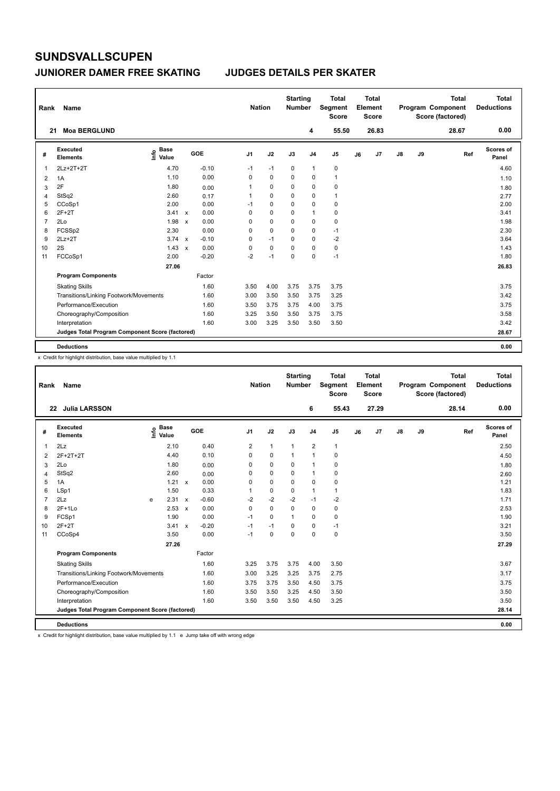#### **JUNIORER DAMER FREE SKATING JUDGES DETAILS PER SKATER**

| Rank | Name                                            |                              |              |         |                | <b>Nation</b> |             | <b>Starting</b><br><b>Number</b> |                | <b>Total</b><br>Segment<br><b>Score</b> |    | <b>Total</b><br>Element<br><b>Score</b> |               |    | <b>Total</b><br>Program Component<br>Score (factored) | Total<br><b>Deductions</b> |
|------|-------------------------------------------------|------------------------------|--------------|---------|----------------|---------------|-------------|----------------------------------|----------------|-----------------------------------------|----|-----------------------------------------|---------------|----|-------------------------------------------------------|----------------------------|
|      | <b>Moa BERGLUND</b><br>21                       |                              |              |         |                |               |             |                                  | 4              | 55.50                                   |    | 26.83                                   |               |    | 28.67                                                 | 0.00                       |
| #    | <b>Executed</b><br><b>Elements</b>              | <b>Base</b><br>١nf٥<br>Value |              | GOE     | J <sub>1</sub> |               | J2          | J3                               | J <sub>4</sub> | J <sub>5</sub>                          | J6 | J7                                      | $\mathsf{J}8$ | J9 | Ref                                                   | Scores of<br>Panel         |
| 1    | 2Lz+2T+2T                                       | 4.70                         |              | $-0.10$ | $-1$           |               | $-1$        | $\mathbf 0$                      | $\mathbf{1}$   | $\pmb{0}$                               |    |                                         |               |    |                                                       | 4.60                       |
| 2    | 1A                                              | 1.10                         |              | 0.00    | 0              |               | 0           | 0                                | 0              | $\mathbf{1}$                            |    |                                         |               |    |                                                       | 1.10                       |
| 3    | 2F                                              | 1.80                         |              | 0.00    | 1              |               | 0           | 0                                | 0              | $\mathbf 0$                             |    |                                         |               |    |                                                       | 1.80                       |
| 4    | StSq2                                           | 2.60                         |              | 0.17    | 1              |               | 0           | 0                                | 0              | $\mathbf{1}$                            |    |                                         |               |    |                                                       | 2.77                       |
| 5    | CCoSp1                                          | 2.00                         |              | 0.00    | $-1$           |               | 0           | 0                                | 0              | 0                                       |    |                                         |               |    |                                                       | 2.00                       |
| 6    | $2F+2T$                                         | 3.41                         | $\mathsf{x}$ | 0.00    | 0              |               | $\mathbf 0$ | 0                                | $\mathbf{1}$   | $\pmb{0}$                               |    |                                         |               |    |                                                       | 3.41                       |
| 7    | 2Lo                                             | 1.98                         | $\mathsf{x}$ | 0.00    | 0              |               | 0           | 0                                | 0              | 0                                       |    |                                         |               |    |                                                       | 1.98                       |
| 8    | FCSSp2                                          | 2.30                         |              | 0.00    | 0              |               | $\Omega$    | $\Omega$                         | $\pmb{0}$      | $-1$                                    |    |                                         |               |    |                                                       | 2.30                       |
| 9    | $2Lz+2T$                                        | 3.74                         | $\mathbf{x}$ | $-0.10$ | 0              |               | $-1$        | 0                                | $\mathbf 0$    | $-2$                                    |    |                                         |               |    |                                                       | 3.64                       |
| 10   | 2S                                              | 1.43                         | $\mathsf{x}$ | 0.00    | 0              |               | $\mathbf 0$ | $\Omega$                         | $\mathbf 0$    | $\pmb{0}$                               |    |                                         |               |    |                                                       | 1.43                       |
| 11   | FCCoSp1                                         | 2.00                         |              | $-0.20$ | $-2$           |               | $-1$        | 0                                | 0              | $-1$                                    |    |                                         |               |    |                                                       | 1.80                       |
|      |                                                 | 27.06                        |              |         |                |               |             |                                  |                |                                         |    |                                         |               |    |                                                       | 26.83                      |
|      | <b>Program Components</b>                       |                              |              | Factor  |                |               |             |                                  |                |                                         |    |                                         |               |    |                                                       |                            |
|      | <b>Skating Skills</b>                           |                              |              | 1.60    | 3.50           |               | 4.00        | 3.75                             | 3.75           | 3.75                                    |    |                                         |               |    |                                                       | 3.75                       |
|      | Transitions/Linking Footwork/Movements          |                              |              | 1.60    | 3.00           |               | 3.50        | 3.50                             | 3.75           | 3.25                                    |    |                                         |               |    |                                                       | 3.42                       |
|      | Performance/Execution                           |                              |              | 1.60    | 3.50           |               | 3.75        | 3.75                             | 4.00           | 3.75                                    |    |                                         |               |    |                                                       | 3.75                       |
|      | Choreography/Composition                        |                              |              | 1.60    | 3.25           |               | 3.50        | 3.50                             | 3.75           | 3.75                                    |    |                                         |               |    |                                                       | 3.58                       |
|      | Interpretation                                  |                              |              | 1.60    | 3.00           |               | 3.25        | 3.50                             | 3.50           | 3.50                                    |    |                                         |               |    |                                                       | 3.42                       |
|      | Judges Total Program Component Score (factored) |                              |              |         |                |               |             |                                  |                |                                         |    |                                         |               |    |                                                       | 28.67                      |
|      | <b>Deductions</b>                               |                              |              |         |                |               |             |                                  |                |                                         |    |                                         |               |    |                                                       | 0.00                       |

x Credit for highlight distribution, base value multiplied by 1.1

| Rank           | <b>Name</b>                                     |   |                                       |              |         |                | <b>Nation</b> |              | <b>Starting</b><br><b>Number</b> |                | <b>Total</b><br>Segment<br><b>Score</b> |    | <b>Total</b><br>Element<br><b>Score</b> |               |    | <b>Total</b><br>Program Component<br>Score (factored) |     | <b>Total</b><br><b>Deductions</b> |
|----------------|-------------------------------------------------|---|---------------------------------------|--------------|---------|----------------|---------------|--------------|----------------------------------|----------------|-----------------------------------------|----|-----------------------------------------|---------------|----|-------------------------------------------------------|-----|-----------------------------------|
|                | 22 Julia LARSSON                                |   |                                       |              |         |                |               |              |                                  | 6              | 55.43                                   |    | 27.29                                   |               |    | 28.14                                                 |     | 0.00                              |
| #              | Executed<br><b>Elements</b>                     |   | <b>Base</b><br>$\sum_{i=1}^{6}$ Value |              | GOE     | J <sub>1</sub> |               | J2           | J3                               | J <sub>4</sub> | J <sub>5</sub>                          | J6 | J <sub>7</sub>                          | $\mathsf{J}8$ | J9 |                                                       | Ref | Scores of<br>Panel                |
| $\overline{1}$ | 2Lz                                             |   | 2.10                                  |              | 0.40    | $\overline{2}$ |               | $\mathbf{1}$ | $\mathbf{1}$                     | $\overline{2}$ | $\mathbf{1}$                            |    |                                         |               |    |                                                       |     | 2.50                              |
| 2              | 2F+2T+2T                                        |   | 4.40                                  |              | 0.10    | $\Omega$       |               | $\mathbf 0$  | $\mathbf{1}$                     | $\mathbf{1}$   | $\mathbf 0$                             |    |                                         |               |    |                                                       |     | 4.50                              |
| 3              | 2Lo                                             |   | 1.80                                  |              | 0.00    | 0              |               | $\mathbf 0$  | 0                                | $\mathbf{1}$   | $\mathbf 0$                             |    |                                         |               |    |                                                       |     | 1.80                              |
| $\overline{4}$ | StSq2                                           |   | 2.60                                  |              | 0.00    | 0              |               | $\mathbf 0$  | $\mathbf 0$                      | $\mathbf{1}$   | 0                                       |    |                                         |               |    |                                                       |     | 2.60                              |
| 5              | 1A                                              |   | 1.21 x                                |              | 0.00    | 0              |               | $\mathbf 0$  | $\Omega$                         | $\mathbf 0$    | $\mathbf 0$                             |    |                                         |               |    |                                                       |     | 1.21                              |
| 6              | LSp1                                            |   | 1.50                                  |              | 0.33    |                |               | $\mathbf 0$  | $\mathbf 0$                      | 1              | 1                                       |    |                                         |               |    |                                                       |     | 1.83                              |
| $\overline{7}$ | 2Lz                                             | e | 2.31 x                                |              | $-0.60$ | $-2$           |               | $-2$         | $-2$                             | $-1$           | $-2$                                    |    |                                         |               |    |                                                       |     | 1.71                              |
| 8              | $2F+1Lo$                                        |   | 2.53                                  | $\mathsf{x}$ | 0.00    | 0              |               | $\mathbf 0$  | $\mathbf 0$                      | $\pmb{0}$      | 0                                       |    |                                         |               |    |                                                       |     | 2.53                              |
| 9              | FCSp1                                           |   | 1.90                                  |              | 0.00    | $-1$           |               | $\mathbf 0$  | $\mathbf{1}$                     | 0              | $\mathbf 0$                             |    |                                         |               |    |                                                       |     | 1.90                              |
| 10             | $2F+2T$                                         |   | 3.41 x                                |              | $-0.20$ | $-1$           |               | $-1$         | 0                                | $\mathbf 0$    | $-1$                                    |    |                                         |               |    |                                                       |     | 3.21                              |
| 11             | CCoSp4                                          |   | 3.50                                  |              | 0.00    | $-1$           |               | $\mathbf 0$  | $\Omega$                         | $\Omega$       | $\mathbf 0$                             |    |                                         |               |    |                                                       |     | 3.50                              |
|                |                                                 |   | 27.26                                 |              |         |                |               |              |                                  |                |                                         |    |                                         |               |    |                                                       |     | 27.29                             |
|                | <b>Program Components</b>                       |   |                                       |              | Factor  |                |               |              |                                  |                |                                         |    |                                         |               |    |                                                       |     |                                   |
|                | <b>Skating Skills</b>                           |   |                                       |              | 1.60    | 3.25           |               | 3.75         | 3.75                             | 4.00           | 3.50                                    |    |                                         |               |    |                                                       |     | 3.67                              |
|                | Transitions/Linking Footwork/Movements          |   |                                       |              | 1.60    | 3.00           |               | 3.25         | 3.25                             | 3.75           | 2.75                                    |    |                                         |               |    |                                                       |     | 3.17                              |
|                | Performance/Execution                           |   |                                       |              | 1.60    | 3.75           |               | 3.75         | 3.50                             | 4.50           | 3.75                                    |    |                                         |               |    |                                                       |     | 3.75                              |
|                | Choreography/Composition                        |   |                                       |              | 1.60    | 3.50           |               | 3.50         | 3.25                             | 4.50           | 3.50                                    |    |                                         |               |    |                                                       |     | 3.50                              |
|                | Interpretation                                  |   |                                       |              | 1.60    | 3.50           |               | 3.50         | 3.50                             | 4.50           | 3.25                                    |    |                                         |               |    |                                                       |     | 3.50                              |
|                | Judges Total Program Component Score (factored) |   |                                       |              |         |                |               |              |                                  |                |                                         |    |                                         |               |    |                                                       |     | 28.14                             |
|                | <b>Deductions</b>                               |   |                                       |              |         |                |               |              |                                  |                |                                         |    |                                         |               |    |                                                       |     | 0.00                              |

x Credit for highlight distribution, base value multiplied by 1.1 e Jump take off with wrong edge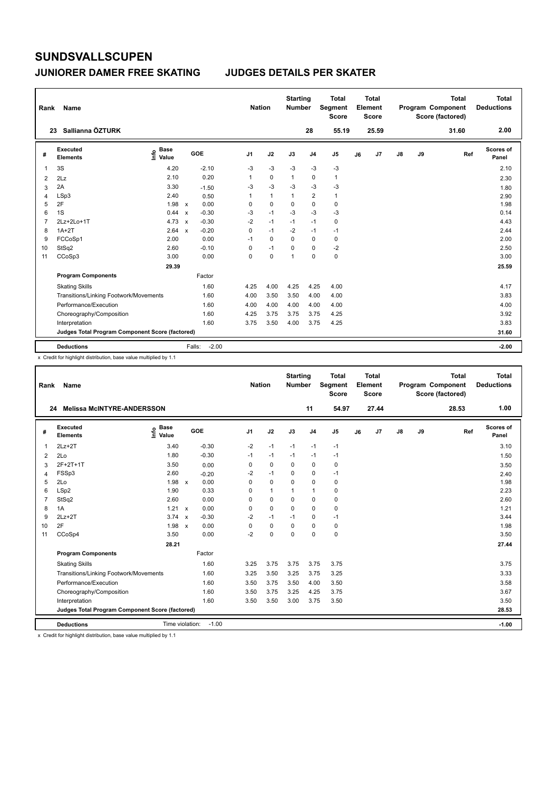#### **JUNIORER DAMER FREE SKATING JUDGES DETAILS PER SKATER**

| Rank | Name                                            |                              |              |            | <b>Nation</b>  |              | <b>Starting</b><br><b>Number</b> |                | <b>Total</b><br>Segment<br><b>Score</b> |    | <b>Total</b><br>Element<br><b>Score</b> |               |    | <b>Total</b><br>Program Component<br>Score (factored) | <b>Total</b><br><b>Deductions</b> |
|------|-------------------------------------------------|------------------------------|--------------|------------|----------------|--------------|----------------------------------|----------------|-----------------------------------------|----|-----------------------------------------|---------------|----|-------------------------------------------------------|-----------------------------------|
|      | Sallianna ÖZTURK<br>23                          |                              |              |            |                |              |                                  | 28             | 55.19                                   |    | 25.59                                   |               |    | 31.60                                                 | 2.00                              |
| #    | Executed<br><b>Elements</b>                     | <b>Base</b><br>١nfo<br>Value |              | <b>GOE</b> | J <sub>1</sub> | J2           | J3                               | J <sub>4</sub> | J <sub>5</sub>                          | J6 | J <sub>7</sub>                          | $\mathsf{J}8$ | J9 | Ref                                                   | <b>Scores of</b><br>Panel         |
| 1    | 3S                                              | 4.20                         |              | $-2.10$    | $-3$           | $-3$         | $-3$                             | $-3$           | $-3$                                    |    |                                         |               |    |                                                       | 2.10                              |
| 2    | 2Lz                                             | 2.10                         |              | 0.20       | 1              | $\mathbf 0$  | $\mathbf{1}$                     | 0              | $\mathbf{1}$                            |    |                                         |               |    |                                                       | 2.30                              |
| 3    | 2A                                              | 3.30                         |              | $-1.50$    | -3             | $-3$         | $-3$                             | $-3$           | $-3$                                    |    |                                         |               |    |                                                       | 1.80                              |
| 4    | LSp3                                            | 2.40                         |              | 0.50       | 1              | $\mathbf{1}$ | $\mathbf{1}$                     | $\overline{2}$ | $\mathbf{1}$                            |    |                                         |               |    |                                                       | 2.90                              |
| 5    | 2F                                              | 1.98                         | $\mathsf{x}$ | 0.00       | 0              | $\mathbf 0$  | $\mathbf 0$                      | $\mathbf 0$    | $\mathbf 0$                             |    |                                         |               |    |                                                       | 1.98                              |
| 6    | 1S                                              | 0.44                         | $\mathsf{x}$ | $-0.30$    | $-3$           | $-1$         | $-3$                             | $-3$           | $-3$                                    |    |                                         |               |    |                                                       | 0.14                              |
| 7    | 2Lz+2Lo+1T                                      | 4.73                         | $\mathsf{x}$ | $-0.30$    | $-2$           | $-1$         | $-1$                             | $-1$           | $\pmb{0}$                               |    |                                         |               |    |                                                       | 4.43                              |
| 8    | $1A+2T$                                         | 2.64                         | $\mathsf{x}$ | $-0.20$    | 0              | $-1$         | $-2$                             | $-1$           | $-1$                                    |    |                                         |               |    |                                                       | 2.44                              |
| 9    | FCCoSp1                                         | 2.00                         |              | 0.00       | $-1$           | $\mathbf 0$  | 0                                | $\mathbf 0$    | $\pmb{0}$                               |    |                                         |               |    |                                                       | 2.00                              |
| 10   | StSq2                                           | 2.60                         |              | $-0.10$    | 0              | $-1$         | $\Omega$                         | $\Omega$       | $-2$                                    |    |                                         |               |    |                                                       | 2.50                              |
| 11   | CCoSp3                                          | 3.00                         |              | 0.00       | 0              | $\mathbf 0$  | $\overline{1}$                   | $\mathbf 0$    | $\pmb{0}$                               |    |                                         |               |    |                                                       | 3.00                              |
|      |                                                 | 29.39                        |              |            |                |              |                                  |                |                                         |    |                                         |               |    |                                                       | 25.59                             |
|      | <b>Program Components</b>                       |                              |              | Factor     |                |              |                                  |                |                                         |    |                                         |               |    |                                                       |                                   |
|      | <b>Skating Skills</b>                           |                              |              | 1.60       | 4.25           | 4.00         | 4.25                             | 4.25           | 4.00                                    |    |                                         |               |    |                                                       | 4.17                              |
|      | Transitions/Linking Footwork/Movements          |                              |              | 1.60       | 4.00           | 3.50         | 3.50                             | 4.00           | 4.00                                    |    |                                         |               |    |                                                       | 3.83                              |
|      | Performance/Execution                           |                              |              | 1.60       | 4.00           | 4.00         | 4.00                             | 4.00           | 4.00                                    |    |                                         |               |    |                                                       | 4.00                              |
|      | Choreography/Composition                        |                              |              | 1.60       | 4.25           | 3.75         | 3.75                             | 3.75           | 4.25                                    |    |                                         |               |    |                                                       | 3.92                              |
|      | Interpretation                                  |                              |              | 1.60       | 3.75           | 3.50         | 4.00                             | 3.75           | 4.25                                    |    |                                         |               |    |                                                       | 3.83                              |
|      | Judges Total Program Component Score (factored) |                              |              |            |                |              |                                  |                |                                         |    |                                         |               |    |                                                       | 31.60                             |
|      | <b>Deductions</b>                               |                              | Falls:       | $-2.00$    |                |              |                                  |                |                                         |    |                                         |               |    |                                                       | $-2.00$                           |

x Credit for highlight distribution, base value multiplied by 1.1

| Rank           | Name                                            |                        |                                      | <b>Nation</b>  |              | <b>Starting</b><br><b>Number</b> |                | <b>Total</b><br>Segment<br><b>Score</b> |    | Total<br>Element<br><b>Score</b> |    |    | <b>Total</b><br>Program Component<br>Score (factored) | <b>Total</b><br><b>Deductions</b> |
|----------------|-------------------------------------------------|------------------------|--------------------------------------|----------------|--------------|----------------------------------|----------------|-----------------------------------------|----|----------------------------------|----|----|-------------------------------------------------------|-----------------------------------|
|                | <b>Melissa McINTYRE-ANDERSSON</b><br>24         |                        |                                      |                |              |                                  | 11             | 54.97                                   |    | 27.44                            |    |    | 28.53                                                 | 1.00                              |
| #              | Executed<br><b>Elements</b>                     | $\sum_{i=1}^{n}$ Value | GOE                                  | J <sub>1</sub> | J2           | J3                               | J <sub>4</sub> | J5                                      | J6 | J7                               | J8 | J9 | Ref                                                   | Scores of<br>Panel                |
| 1              | $2Lz+2T$                                        | 3.40                   | $-0.30$                              | $-2$           | $-1$         | $-1$                             | $-1$           | $-1$                                    |    |                                  |    |    |                                                       | 3.10                              |
| 2              | 2Lo                                             | 1.80                   | $-0.30$                              | $-1$           | $-1$         | $-1$                             | $-1$           | $-1$                                    |    |                                  |    |    |                                                       | 1.50                              |
| 3              | 2F+2T+1T                                        | 3.50                   | 0.00                                 | $\Omega$       | 0            | $\Omega$                         | 0              | 0                                       |    |                                  |    |    |                                                       | 3.50                              |
| $\overline{4}$ | FSSp3                                           | 2.60                   | $-0.20$                              | $-2$           | $-1$         | $\Omega$                         | 0              | $-1$                                    |    |                                  |    |    |                                                       | 2.40                              |
| 5              | 2Lo                                             | 1.98                   | 0.00<br>$\boldsymbol{\mathsf{x}}$    | 0              | 0            | 0                                | 0              | 0                                       |    |                                  |    |    |                                                       | 1.98                              |
| 6              | LSp2                                            | 1.90                   | 0.33                                 | $\Omega$       | $\mathbf{1}$ | 1                                | $\mathbf{1}$   | 0                                       |    |                                  |    |    |                                                       | 2.23                              |
| $\overline{7}$ | StSq2                                           | 2.60                   | 0.00                                 | $\Omega$       | $\mathbf 0$  | 0                                | 0              | 0                                       |    |                                  |    |    |                                                       | 2.60                              |
| 8              | 1A                                              | 1.21 x                 | 0.00                                 | 0              | $\mathbf 0$  | $\Omega$                         | 0              | 0                                       |    |                                  |    |    |                                                       | 1.21                              |
| 9              | $2Lz+2T$                                        | 3.74                   | $-0.30$<br>$\boldsymbol{\mathsf{x}}$ | $-2$           | $-1$         | $-1$                             | 0              | $-1$                                    |    |                                  |    |    |                                                       | 3.44                              |
| 10             | 2F                                              | $1.98 \times$          | 0.00                                 | 0              | $\mathbf 0$  | $\Omega$                         | 0              | 0                                       |    |                                  |    |    |                                                       | 1.98                              |
| 11             | CCoSp4                                          | 3.50                   | 0.00                                 | $-2$           | $\mathbf 0$  | $\Omega$                         | 0              | 0                                       |    |                                  |    |    |                                                       | 3.50                              |
|                |                                                 | 28.21                  |                                      |                |              |                                  |                |                                         |    |                                  |    |    |                                                       | 27.44                             |
|                | <b>Program Components</b>                       |                        | Factor                               |                |              |                                  |                |                                         |    |                                  |    |    |                                                       |                                   |
|                | <b>Skating Skills</b>                           |                        | 1.60                                 | 3.25           | 3.75         | 3.75                             | 3.75           | 3.75                                    |    |                                  |    |    |                                                       | 3.75                              |
|                | Transitions/Linking Footwork/Movements          |                        | 1.60                                 | 3.25           | 3.50         | 3.25                             | 3.75           | 3.25                                    |    |                                  |    |    |                                                       | 3.33                              |
|                | Performance/Execution                           |                        | 1.60                                 | 3.50           | 3.75         | 3.50                             | 4.00           | 3.50                                    |    |                                  |    |    |                                                       | 3.58                              |
|                | Choreography/Composition                        |                        | 1.60                                 | 3.50           | 3.75         | 3.25                             | 4.25           | 3.75                                    |    |                                  |    |    |                                                       | 3.67                              |
|                | Interpretation                                  |                        | 1.60                                 | 3.50           | 3.50         | 3.00                             | 3.75           | 3.50                                    |    |                                  |    |    |                                                       | 3.50                              |
|                | Judges Total Program Component Score (factored) |                        |                                      |                |              |                                  |                |                                         |    |                                  |    |    |                                                       | 28.53                             |
|                | <b>Deductions</b>                               | Time violation:        | $-1.00$                              |                |              |                                  |                |                                         |    |                                  |    |    |                                                       | $-1.00$                           |

x Credit for highlight distribution, base value multiplied by 1.1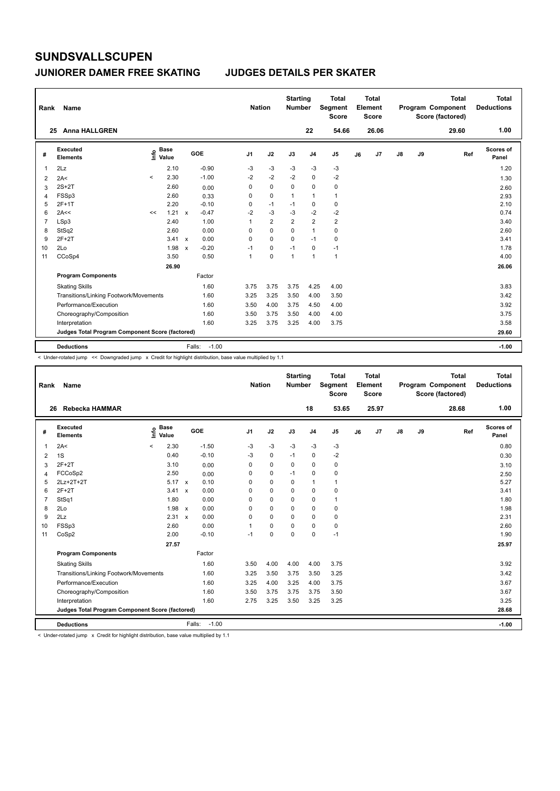#### **JUNIORER DAMER FREE SKATING JUDGES DETAILS PER SKATER**

| Rank | Name                                            |                          |                      |                           |                   | <b>Nation</b>  |                | <b>Starting</b><br><b>Number</b> |                | <b>Total</b><br>Segment<br><b>Score</b> |    | <b>Total</b><br>Element<br>Score |               |    | <b>Total</b><br>Program Component<br>Score (factored) | <b>Total</b><br><b>Deductions</b> |
|------|-------------------------------------------------|--------------------------|----------------------|---------------------------|-------------------|----------------|----------------|----------------------------------|----------------|-----------------------------------------|----|----------------------------------|---------------|----|-------------------------------------------------------|-----------------------------------|
|      | <b>Anna HALLGREN</b><br>25                      |                          |                      |                           |                   |                |                |                                  | 22             | 54.66                                   |    | 26.06                            |               |    | 29.60                                                 | 1.00                              |
| #    | Executed<br><b>Elements</b>                     | ١nf٥                     | <b>Base</b><br>Value |                           | GOE               | J <sub>1</sub> | J2             | J3                               | J <sub>4</sub> | J <sub>5</sub>                          | J6 | J7                               | $\mathsf{J}8$ | J9 | Ref                                                   | <b>Scores of</b><br>Panel         |
| 1    | 2Lz                                             |                          | 2.10                 |                           | $-0.90$           | $-3$           | $-3$           | $-3$                             | $-3$           | $-3$                                    |    |                                  |               |    |                                                       | 1.20                              |
| 2    | 2A<                                             | $\overline{\phantom{a}}$ | 2.30                 |                           | $-1.00$           | $-2$           | $-2$           | $-2$                             | 0              | $-2$                                    |    |                                  |               |    |                                                       | 1.30                              |
| 3    | $2S+2T$                                         |                          | 2.60                 |                           | 0.00              | 0              | $\mathbf 0$    | 0                                | $\mathbf 0$    | $\pmb{0}$                               |    |                                  |               |    |                                                       | 2.60                              |
| 4    | FSSp3                                           |                          | 2.60                 |                           | 0.33              | 0              | 0              | $\mathbf{1}$                     | $\mathbf{1}$   | $\mathbf{1}$                            |    |                                  |               |    |                                                       | 2.93                              |
| 5    | 2F+1T                                           |                          | 2.20                 |                           | $-0.10$           | 0              | $-1$           | $-1$                             | 0              | $\pmb{0}$                               |    |                                  |               |    |                                                       | 2.10                              |
| 6    | 2A<<                                            | <<                       | 1.21                 | $\mathbf{x}$              | $-0.47$           | $-2$           | $-3$           | $-3$                             | $-2$           | $-2$                                    |    |                                  |               |    |                                                       | 0.74                              |
| 7    | LSp3                                            |                          | 2.40                 |                           | 1.00              | 1              | $\overline{2}$ | $\overline{2}$                   | $\overline{2}$ | $\overline{2}$                          |    |                                  |               |    |                                                       | 3.40                              |
| 8    | StSq2                                           |                          | 2.60                 |                           | 0.00              | 0              | $\mathbf 0$    | 0                                | $\mathbf{1}$   | 0                                       |    |                                  |               |    |                                                       | 2.60                              |
| 9    | $2F+2T$                                         |                          | 3.41 x               |                           | 0.00              | 0              | 0              | 0                                | $-1$           | 0                                       |    |                                  |               |    |                                                       | 3.41                              |
| 10   | 2Lo                                             |                          | 1.98                 | $\boldsymbol{\mathsf{x}}$ | $-0.20$           | $-1$           | 0              | $-1$                             | 0              | $-1$                                    |    |                                  |               |    |                                                       | 1.78                              |
| 11   | CCoSp4                                          |                          | 3.50                 |                           | 0.50              | 1              | 0              | $\overline{1}$                   | $\overline{1}$ | $\mathbf{1}$                            |    |                                  |               |    |                                                       | 4.00                              |
|      |                                                 |                          | 26.90                |                           |                   |                |                |                                  |                |                                         |    |                                  |               |    |                                                       | 26.06                             |
|      | <b>Program Components</b>                       |                          |                      |                           | Factor            |                |                |                                  |                |                                         |    |                                  |               |    |                                                       |                                   |
|      | <b>Skating Skills</b>                           |                          |                      |                           | 1.60              | 3.75           | 3.75           | 3.75                             | 4.25           | 4.00                                    |    |                                  |               |    |                                                       | 3.83                              |
|      | Transitions/Linking Footwork/Movements          |                          |                      |                           | 1.60              | 3.25           | 3.25           | 3.50                             | 4.00           | 3.50                                    |    |                                  |               |    |                                                       | 3.42                              |
|      | Performance/Execution                           |                          |                      |                           | 1.60              | 3.50           | 4.00           | 3.75                             | 4.50           | 4.00                                    |    |                                  |               |    |                                                       | 3.92                              |
|      | Choreography/Composition                        |                          |                      |                           | 1.60              | 3.50           | 3.75           | 3.50                             | 4.00           | 4.00                                    |    |                                  |               |    |                                                       | 3.75                              |
|      | Interpretation                                  |                          |                      |                           | 1.60              | 3.25           | 3.75           | 3.25                             | 4.00           | 3.75                                    |    |                                  |               |    |                                                       | 3.58                              |
|      | Judges Total Program Component Score (factored) |                          |                      |                           |                   |                |                |                                  |                |                                         |    |                                  |               |    |                                                       | 29.60                             |
|      | <b>Deductions</b>                               |                          |                      |                           | $-1.00$<br>Falls: |                |                |                                  |                |                                         |    |                                  |               |    |                                                       | $-1.00$                           |

< Under-rotated jump << Downgraded jump x Credit for highlight distribution, base value multiplied by 1.1

| Rank           | Name                                            |                                  |              |         | <b>Nation</b>  |             | <b>Starting</b><br><b>Number</b> |                | <b>Total</b><br>Segment<br><b>Score</b> |    | <b>Total</b><br>Element<br><b>Score</b> |               |    | <b>Total</b><br>Program Component<br>Score (factored) | <b>Total</b><br><b>Deductions</b> |
|----------------|-------------------------------------------------|----------------------------------|--------------|---------|----------------|-------------|----------------------------------|----------------|-----------------------------------------|----|-----------------------------------------|---------------|----|-------------------------------------------------------|-----------------------------------|
| 26             | Rebecka HAMMAR                                  |                                  |              |         |                |             |                                  | 18             | 53.65                                   |    | 25.97                                   |               |    | 28.68                                                 | 1.00                              |
| #              | Executed<br><b>Elements</b>                     | <b>Base</b><br>١m<br>Value       | <b>GOE</b>   |         | J <sub>1</sub> | J2          | J3                               | J <sub>4</sub> | J <sub>5</sub>                          | J6 | J7                                      | $\mathsf{J}8$ | J9 | Ref                                                   | <b>Scores of</b><br>Panel         |
| 1              | 2A<                                             | 2.30<br>$\overline{\phantom{0}}$ |              | $-1.50$ | $-3$           | $-3$        | -3                               | $-3$           | $-3$                                    |    |                                         |               |    |                                                       | 0.80                              |
| 2              | 1S                                              | 0.40                             |              | $-0.10$ | $-3$           | $\mathbf 0$ | $-1$                             | $\mathbf 0$    | $-2$                                    |    |                                         |               |    |                                                       | 0.30                              |
| 3              | $2F+2T$                                         | 3.10                             |              | 0.00    | 0              | $\mathbf 0$ | $\Omega$                         | $\mathbf 0$    | 0                                       |    |                                         |               |    |                                                       | 3.10                              |
| 4              | FCCoSp2                                         | 2.50                             |              | 0.00    | 0              | $\mathbf 0$ | $-1$                             | $\mathbf 0$    | 0                                       |    |                                         |               |    |                                                       | 2.50                              |
| 5              | 2Lz+2T+2T                                       | $5.17 \times$                    |              | 0.10    | 0              | $\mathbf 0$ | 0                                | $\mathbf{1}$   | 1                                       |    |                                         |               |    |                                                       | 5.27                              |
| 6              | $2F+2T$                                         | 3.41                             | $\mathsf{x}$ | 0.00    | 0              | 0           | 0                                | $\mathbf 0$    | 0                                       |    |                                         |               |    |                                                       | 3.41                              |
| $\overline{7}$ | StSq1                                           | 1.80                             |              | 0.00    | 0              | $\Omega$    | $\Omega$                         | $\Omega$       | $\mathbf{1}$                            |    |                                         |               |    |                                                       | 1.80                              |
| 8              | 2Lo                                             | 1.98                             | $\mathsf{x}$ | 0.00    | 0              | $\mathbf 0$ | 0                                | 0              | 0                                       |    |                                         |               |    |                                                       | 1.98                              |
| 9              | 2Lz                                             | 2.31                             | $\mathsf{x}$ | 0.00    | $\Omega$       | $\Omega$    | $\Omega$                         | $\Omega$       | 0                                       |    |                                         |               |    |                                                       | 2.31                              |
| 10             | FSSp3                                           | 2.60                             |              | 0.00    | 1              | $\mathbf 0$ | $\Omega$                         | 0              | $\pmb{0}$                               |    |                                         |               |    |                                                       | 2.60                              |
| 11             | CoSp2                                           | 2.00                             |              | $-0.10$ | $-1$           | $\mathbf 0$ | $\Omega$                         | 0              | $-1$                                    |    |                                         |               |    |                                                       | 1.90                              |
|                |                                                 | 27.57                            |              |         |                |             |                                  |                |                                         |    |                                         |               |    |                                                       | 25.97                             |
|                | <b>Program Components</b>                       |                                  |              | Factor  |                |             |                                  |                |                                         |    |                                         |               |    |                                                       |                                   |
|                | <b>Skating Skills</b>                           |                                  |              | 1.60    | 3.50           | 4.00        | 4.00                             | 4.00           | 3.75                                    |    |                                         |               |    |                                                       | 3.92                              |
|                | Transitions/Linking Footwork/Movements          |                                  |              | 1.60    | 3.25           | 3.50        | 3.75                             | 3.50           | 3.25                                    |    |                                         |               |    |                                                       | 3.42                              |
|                | Performance/Execution                           |                                  |              | 1.60    | 3.25           | 4.00        | 3.25                             | 4.00           | 3.75                                    |    |                                         |               |    |                                                       | 3.67                              |
|                | Choreography/Composition                        |                                  |              | 1.60    | 3.50           | 3.75        | 3.75                             | 3.75           | 3.50                                    |    |                                         |               |    |                                                       | 3.67                              |
|                | Interpretation                                  |                                  |              | 1.60    | 2.75           | 3.25        | 3.50                             | 3.25           | 3.25                                    |    |                                         |               |    |                                                       | 3.25                              |
|                | Judges Total Program Component Score (factored) |                                  |              |         |                |             |                                  |                |                                         |    |                                         |               |    |                                                       | 28.68                             |
|                | <b>Deductions</b>                               |                                  | Falls:       | $-1.00$ |                |             |                                  |                |                                         |    |                                         |               |    |                                                       | $-1.00$                           |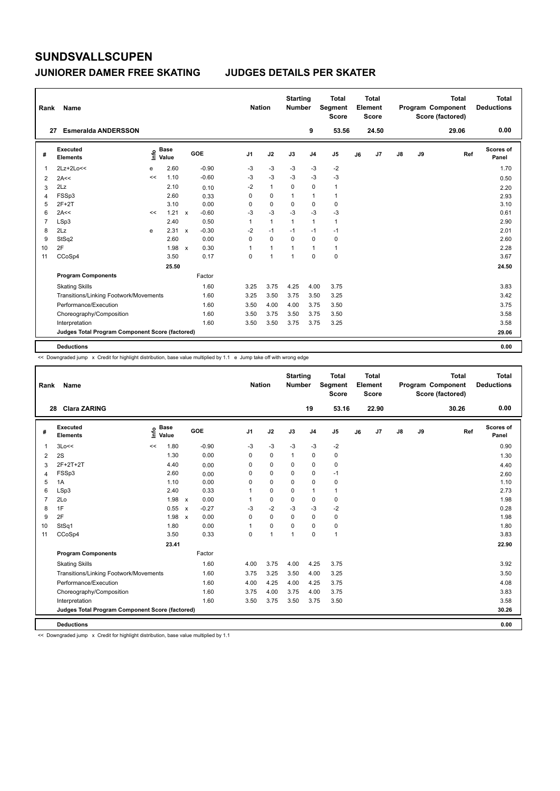#### **JUNIORER DAMER FREE SKATING JUDGES DETAILS PER SKATER**

| Rank           | Name                                            |      |                      |              |         | <b>Nation</b>  |                | <b>Starting</b><br><b>Number</b> |                | <b>Total</b><br>Segment<br><b>Score</b> |    | <b>Total</b><br>Element<br><b>Score</b> |               |    | <b>Total</b><br>Program Component<br>Score (factored) | <b>Total</b><br><b>Deductions</b> |
|----------------|-------------------------------------------------|------|----------------------|--------------|---------|----------------|----------------|----------------------------------|----------------|-----------------------------------------|----|-----------------------------------------|---------------|----|-------------------------------------------------------|-----------------------------------|
| 27             | <b>Esmeralda ANDERSSON</b>                      |      |                      |              |         |                |                |                                  | 9              | 53.56                                   |    | 24.50                                   |               |    | 29.06                                                 | 0.00                              |
| #              | Executed<br><b>Elements</b>                     | ١nfo | <b>Base</b><br>Value |              | GOE     | J <sub>1</sub> | J2             | J3                               | J <sub>4</sub> | J <sub>5</sub>                          | J6 | J <sub>7</sub>                          | $\mathsf{J}8$ | J9 | Ref                                                   | <b>Scores of</b><br>Panel         |
| 1              | 2Lz+2Lo<<                                       | e    | 2.60                 |              | $-0.90$ | -3             | $-3$           | $-3$                             | $-3$           | $-2$                                    |    |                                         |               |    |                                                       | 1.70                              |
| 2              | 2A<<                                            | <<   | 1.10                 |              | $-0.60$ | -3             | $-3$           | $-3$                             | $-3$           | $-3$                                    |    |                                         |               |    |                                                       | 0.50                              |
| 3              | 2Lz                                             |      | 2.10                 |              | 0.10    | $-2$           | $\mathbf{1}$   | 0                                | 0              | $\mathbf{1}$                            |    |                                         |               |    |                                                       | 2.20                              |
| 4              | FSSp3                                           |      | 2.60                 |              | 0.33    | 0              | $\mathbf 0$    | $\mathbf{1}$                     | $\mathbf{1}$   | $\mathbf{1}$                            |    |                                         |               |    |                                                       | 2.93                              |
| 5              | $2F+2T$                                         |      | 3.10                 |              | 0.00    | 0              | $\mathbf 0$    | $\mathbf 0$                      | 0              | $\mathbf 0$                             |    |                                         |               |    |                                                       | 3.10                              |
| 6              | 2A<<                                            | <<   | $1.21 \times$        |              | $-0.60$ | $-3$           | $-3$           | -3                               | $-3$           | $-3$                                    |    |                                         |               |    |                                                       | 0.61                              |
| $\overline{7}$ | LSp3                                            |      | 2.40                 |              | 0.50    | $\mathbf{1}$   | $\mathbf{1}$   | $\mathbf{1}$                     | $\mathbf{1}$   | $\mathbf{1}$                            |    |                                         |               |    |                                                       | 2.90                              |
| 8              | 2Lz                                             | e    | 2.31                 | $\mathsf{x}$ | $-0.30$ | $-2$           | $-1$           | $-1$                             | $-1$           | $-1$                                    |    |                                         |               |    |                                                       | 2.01                              |
| 9              | StSq2                                           |      | 2.60                 |              | 0.00    | 0              | $\mathbf 0$    | $\mathbf 0$                      | 0              | $\pmb{0}$                               |    |                                         |               |    |                                                       | 2.60                              |
| 10             | 2F                                              |      | 1.98                 | $\mathbf{x}$ | 0.30    | 1              | $\mathbf{1}$   | 1                                | $\mathbf{1}$   | $\mathbf{1}$                            |    |                                         |               |    |                                                       | 2.28                              |
| 11             | CCoSp4                                          |      | 3.50                 |              | 0.17    | 0              | $\overline{1}$ | $\overline{1}$                   | $\mathbf 0$    | $\mathbf 0$                             |    |                                         |               |    |                                                       | 3.67                              |
|                |                                                 |      | 25.50                |              |         |                |                |                                  |                |                                         |    |                                         |               |    |                                                       | 24.50                             |
|                | <b>Program Components</b>                       |      |                      |              | Factor  |                |                |                                  |                |                                         |    |                                         |               |    |                                                       |                                   |
|                | <b>Skating Skills</b>                           |      |                      |              | 1.60    | 3.25           | 3.75           | 4.25                             | 4.00           | 3.75                                    |    |                                         |               |    |                                                       | 3.83                              |
|                | Transitions/Linking Footwork/Movements          |      |                      |              | 1.60    | 3.25           | 3.50           | 3.75                             | 3.50           | 3.25                                    |    |                                         |               |    |                                                       | 3.42                              |
|                | Performance/Execution                           |      |                      |              | 1.60    | 3.50           | 4.00           | 4.00                             | 3.75           | 3.50                                    |    |                                         |               |    |                                                       | 3.75                              |
|                | Choreography/Composition                        |      |                      |              | 1.60    | 3.50           | 3.75           | 3.50                             | 3.75           | 3.50                                    |    |                                         |               |    |                                                       | 3.58                              |
|                | Interpretation                                  |      |                      |              | 1.60    | 3.50           | 3.50           | 3.75                             | 3.75           | 3.25                                    |    |                                         |               |    |                                                       | 3.58                              |
|                | Judges Total Program Component Score (factored) |      |                      |              |         |                |                |                                  |                |                                         |    |                                         |               |    |                                                       | 29.06                             |
|                | <b>Deductions</b>                               |      |                      |              |         |                |                |                                  |                |                                         |    |                                         |               |    |                                                       | 0.00                              |

<< Downgraded jump x Credit for highlight distribution, base value multiplied by 1.1 e Jump take off with wrong edge

| Rank           | <b>Name</b>                                     |                            |                                      |                | <b>Nation</b> | <b>Starting</b><br><b>Number</b> |                | <b>Total</b><br>Segment<br><b>Score</b> |    | <b>Total</b><br>Element<br><b>Score</b> |               |    | <b>Total</b><br>Program Component<br>Score (factored) | <b>Total</b><br><b>Deductions</b> |
|----------------|-------------------------------------------------|----------------------------|--------------------------------------|----------------|---------------|----------------------------------|----------------|-----------------------------------------|----|-----------------------------------------|---------------|----|-------------------------------------------------------|-----------------------------------|
|                | <b>Clara ZARING</b><br>28                       |                            |                                      |                |               |                                  | 19             | 53.16                                   |    | 22.90                                   |               |    | 30.26                                                 | 0.00                              |
| #              | Executed<br><b>Elements</b>                     | <b>Base</b><br>١m<br>Value | GOE                                  | J <sub>1</sub> | J2            | J3                               | J <sub>4</sub> | J <sub>5</sub>                          | J6 | J7                                      | $\mathsf{J}8$ | J9 | Ref                                                   | Scores of<br>Panel                |
| $\overline{1}$ | 3Lo<<                                           | 1.80<br><<                 | $-0.90$                              | $-3$           | $-3$          | $-3$                             | $-3$           | $-2$                                    |    |                                         |               |    |                                                       | 0.90                              |
| 2              | 2S                                              | 1.30                       | 0.00                                 | $\Omega$       | $\Omega$      | $\mathbf{1}$                     | $\Omega$       | $\mathbf 0$                             |    |                                         |               |    |                                                       | 1.30                              |
| 3              | 2F+2T+2T                                        | 4.40                       | 0.00                                 | 0              | $\mathbf 0$   | 0                                | $\mathbf 0$    | 0                                       |    |                                         |               |    |                                                       | 4.40                              |
| $\overline{4}$ | FSSp3                                           | 2.60                       | 0.00                                 | $\Omega$       | $\Omega$      | $\Omega$                         | $\mathbf 0$    | $-1$                                    |    |                                         |               |    |                                                       | 2.60                              |
| 5              | 1A                                              | 1.10                       | 0.00                                 | $\Omega$       | $\mathbf 0$   | $\mathbf 0$                      | $\mathbf 0$    | 0                                       |    |                                         |               |    |                                                       | 1.10                              |
| 6              | LSp3                                            | 2.40                       | 0.33                                 |                | $\mathbf 0$   | $\Omega$                         | $\mathbf{1}$   | 1                                       |    |                                         |               |    |                                                       | 2.73                              |
| $\overline{7}$ | 2Lo                                             | 1.98 x                     | 0.00                                 |                | $\mathbf 0$   | $\mathbf 0$                      | $\pmb{0}$      | 0                                       |    |                                         |               |    |                                                       | 1.98                              |
| 8              | 1F                                              | 0.55                       | $-0.27$<br>$\boldsymbol{\mathsf{x}}$ | -3             | $-2$          | $-3$                             | $-3$           | $-2$                                    |    |                                         |               |    |                                                       | 0.28                              |
| 9              | 2F                                              | 1.98                       | 0.00<br>$\mathsf{x}$                 | 0              | $\mathbf 0$   | $\mathbf 0$                      | $\mathbf 0$    | $\mathbf 0$                             |    |                                         |               |    |                                                       | 1.98                              |
| 10             | StSq1                                           | 1.80                       | 0.00                                 | 1              | $\mathbf 0$   | 0                                | $\mathbf 0$    | 0                                       |    |                                         |               |    |                                                       | 1.80                              |
| 11             | CCoSp4                                          | 3.50                       | 0.33                                 | 0              | $\mathbf{1}$  | $\mathbf{1}$                     | $\mathbf 0$    | $\mathbf{1}$                            |    |                                         |               |    |                                                       | 3.83                              |
|                |                                                 | 23.41                      |                                      |                |               |                                  |                |                                         |    |                                         |               |    |                                                       | 22.90                             |
|                | <b>Program Components</b>                       |                            | Factor                               |                |               |                                  |                |                                         |    |                                         |               |    |                                                       |                                   |
|                | <b>Skating Skills</b>                           |                            | 1.60                                 | 4.00           | 3.75          | 4.00                             | 4.25           | 3.75                                    |    |                                         |               |    |                                                       | 3.92                              |
|                | Transitions/Linking Footwork/Movements          |                            | 1.60                                 | 3.75           | 3.25          | 3.50                             | 4.00           | 3.25                                    |    |                                         |               |    |                                                       | 3.50                              |
|                | Performance/Execution                           |                            | 1.60                                 | 4.00           | 4.25          | 4.00                             | 4.25           | 3.75                                    |    |                                         |               |    |                                                       | 4.08                              |
|                | Choreography/Composition                        |                            | 1.60                                 | 3.75           | 4.00          | 3.75                             | 4.00           | 3.75                                    |    |                                         |               |    |                                                       | 3.83                              |
|                | Interpretation                                  |                            | 1.60                                 | 3.50           | 3.75          | 3.50                             | 3.75           | 3.50                                    |    |                                         |               |    |                                                       | 3.58                              |
|                | Judges Total Program Component Score (factored) |                            |                                      |                |               |                                  |                |                                         |    |                                         |               |    |                                                       | 30.26                             |
|                | <b>Deductions</b>                               |                            |                                      |                |               |                                  |                |                                         |    |                                         |               |    |                                                       | 0.00                              |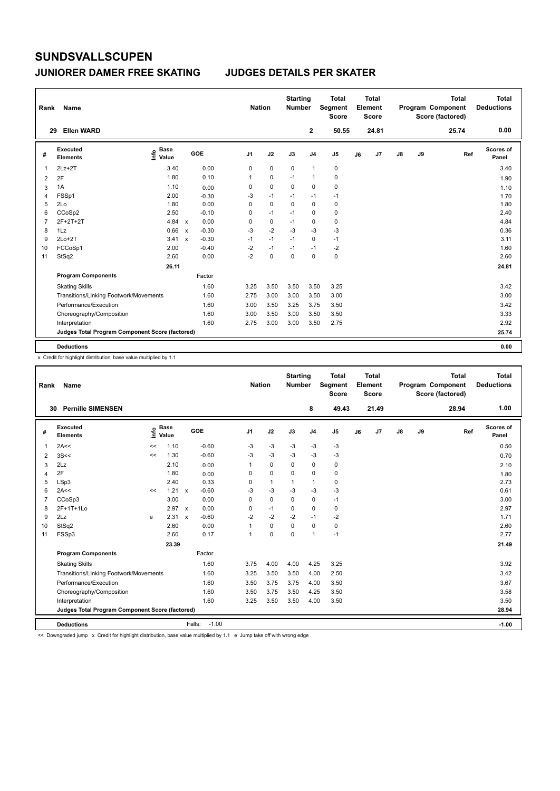#### **JUNIORER DAMER FREE SKATING JUDGES DETAILS PER SKATER**

| Rank           | Name                                            |                            |              |            | <b>Nation</b>  |             | <b>Starting</b><br><b>Number</b> |                | <b>Total</b><br>Segment<br><b>Score</b> |    | <b>Total</b><br>Element<br><b>Score</b> |               |    | <b>Total</b><br><b>Program Component</b><br>Score (factored) | Total<br><b>Deductions</b> |
|----------------|-------------------------------------------------|----------------------------|--------------|------------|----------------|-------------|----------------------------------|----------------|-----------------------------------------|----|-----------------------------------------|---------------|----|--------------------------------------------------------------|----------------------------|
|                | <b>Ellen WARD</b><br>29                         |                            |              |            |                |             |                                  | 2              | 50.55                                   |    | 24.81                                   |               |    | 25.74                                                        | 0.00                       |
| #              | Executed<br><b>Elements</b>                     | <b>Base</b><br>۴ô<br>Value |              | <b>GOE</b> | J <sub>1</sub> | J2          | J3                               | J <sub>4</sub> | J <sub>5</sub>                          | J6 | J7                                      | $\mathsf{J}8$ | J9 | Ref                                                          | Scores of<br>Panel         |
| 1              | $2Lz+2T$                                        | 3.40                       |              | 0.00       | 0              | $\mathbf 0$ | $\mathbf 0$                      | $\overline{1}$ | $\pmb{0}$                               |    |                                         |               |    |                                                              | 3.40                       |
| 2              | 2F                                              | 1.80                       |              | 0.10       | 1              | 0           | $-1$                             | $\mathbf{1}$   | 0                                       |    |                                         |               |    |                                                              | 1.90                       |
| 3              | 1A                                              | 1.10                       |              | 0.00       | 0              | $\mathbf 0$ | $\mathbf 0$                      | $\mathbf 0$    | $\mathbf 0$                             |    |                                         |               |    |                                                              | 1.10                       |
| 4              | FSSp1                                           | 2.00                       |              | $-0.30$    | -3             | $-1$        | $-1$                             | $-1$           | $-1$                                    |    |                                         |               |    |                                                              | 1.70                       |
| 5              | 2Lo                                             | 1.80                       |              | 0.00       | 0              | 0           | $\Omega$                         | 0              | 0                                       |    |                                         |               |    |                                                              | 1.80                       |
| 6              | CCoSp2                                          | 2.50                       |              | $-0.10$    | 0              | $-1$        | $-1$                             | $\mathbf 0$    | $\pmb{0}$                               |    |                                         |               |    |                                                              | 2.40                       |
| $\overline{7}$ | 2F+2T+2T                                        | 4.84                       | $\mathsf{x}$ | 0.00       | 0              | $\mathbf 0$ | $-1$                             | $\mathbf 0$    | $\mathbf 0$                             |    |                                         |               |    |                                                              | 4.84                       |
| 8              | 1Lz                                             | 0.66                       | $\mathsf{x}$ | $-0.30$    | $-3$           | $-2$        | $-3$                             | $-3$           | $-3$                                    |    |                                         |               |    |                                                              | 0.36                       |
| 9              | $2Lo+2T$                                        | 3.41                       | $\mathsf{x}$ | $-0.30$    | $-1$           | $-1$        | $-1$                             | $\mathbf 0$    | $-1$                                    |    |                                         |               |    |                                                              | 3.11                       |
| 10             | FCCoSp1                                         | 2.00                       |              | $-0.40$    | $-2$           | $-1$        | $-1$                             | $-1$           | -2                                      |    |                                         |               |    |                                                              | 1.60                       |
| 11             | StSq2                                           | 2.60                       |              | 0.00       | $-2$           | $\mathbf 0$ | $\mathbf 0$                      | $\mathbf 0$    | $\pmb{0}$                               |    |                                         |               |    |                                                              | 2.60                       |
|                |                                                 | 26.11                      |              |            |                |             |                                  |                |                                         |    |                                         |               |    |                                                              | 24.81                      |
|                | <b>Program Components</b>                       |                            |              | Factor     |                |             |                                  |                |                                         |    |                                         |               |    |                                                              |                            |
|                | <b>Skating Skills</b>                           |                            |              | 1.60       | 3.25           | 3.50        | 3.50                             | 3.50           | 3.25                                    |    |                                         |               |    |                                                              | 3.42                       |
|                | Transitions/Linking Footwork/Movements          |                            |              | 1.60       | 2.75           | 3.00        | 3.00                             | 3.50           | 3.00                                    |    |                                         |               |    |                                                              | 3.00                       |
|                | Performance/Execution                           |                            |              | 1.60       | 3.00           | 3.50        | 3.25                             | 3.75           | 3.50                                    |    |                                         |               |    |                                                              | 3.42                       |
|                | Choreography/Composition                        |                            |              | 1.60       | 3.00           | 3.50        | 3.00                             | 3.50           | 3.50                                    |    |                                         |               |    |                                                              | 3.33                       |
|                | Interpretation                                  |                            |              | 1.60       | 2.75           | 3.00        | 3.00                             | 3.50           | 2.75                                    |    |                                         |               |    |                                                              | 2.92                       |
|                | Judges Total Program Component Score (factored) |                            |              |            |                |             |                                  |                |                                         |    |                                         |               |    |                                                              | 25.74                      |
|                | <b>Deductions</b>                               |                            |              |            |                |             |                                  |                |                                         |    |                                         |               |    |                                                              | 0.00                       |

x Credit for highlight distribution, base value multiplied by 1.1

| Rank           | Name                                            |    |                      |                           |                   | <b>Nation</b>  |              | <b>Starting</b><br><b>Number</b> |                | <b>Total</b><br>Segment<br><b>Score</b> |    | Total<br>Element<br>Score |               |    | <b>Total</b><br>Program Component<br>Score (factored) | <b>Total</b><br><b>Deductions</b> |
|----------------|-------------------------------------------------|----|----------------------|---------------------------|-------------------|----------------|--------------|----------------------------------|----------------|-----------------------------------------|----|---------------------------|---------------|----|-------------------------------------------------------|-----------------------------------|
| 30             | <b>Pernille SIMENSEN</b>                        |    |                      |                           |                   |                |              |                                  | 8              | 49.43                                   |    | 21.49                     |               |    | 28.94                                                 | 1.00                              |
| #              | Executed<br><b>Elements</b>                     | ١m | <b>Base</b><br>Value |                           | GOE               | J <sub>1</sub> | J2           | J3                               | J <sub>4</sub> | J5                                      | J6 | J7                        | $\mathsf{J}8$ | J9 | Ref                                                   | Scores of<br>Panel                |
| 1              | 2A<<                                            | << | 1.10                 |                           | $-0.60$           | $-3$           | $-3$         | $-3$                             | $-3$           | $-3$                                    |    |                           |               |    |                                                       | 0.50                              |
| 2              | 3S <                                            | << | 1.30                 |                           | $-0.60$           | $-3$           | $-3$         | $-3$                             | $-3$           | $-3$                                    |    |                           |               |    |                                                       | 0.70                              |
| 3              | 2Lz                                             |    | 2.10                 |                           | 0.00              | 1              | $\mathbf 0$  | 0                                | 0              | 0                                       |    |                           |               |    |                                                       | 2.10                              |
| $\overline{4}$ | 2F                                              |    | 1.80                 |                           | 0.00              | $\Omega$       | $\Omega$     | $\Omega$                         | $\Omega$       | 0                                       |    |                           |               |    |                                                       | 1.80                              |
| 5              | LSp3                                            |    | 2.40                 |                           | 0.33              | 0              | $\mathbf{1}$ | 1                                | $\mathbf{1}$   | 0                                       |    |                           |               |    |                                                       | 2.73                              |
| 6              | 2A<<                                            | << | 1.21                 | $\boldsymbol{\mathsf{x}}$ | $-0.60$           | $-3$           | $-3$         | $-3$                             | $-3$           | $-3$                                    |    |                           |               |    |                                                       | 0.61                              |
| $\overline{7}$ | CCoSp3                                          |    | 3.00                 |                           | 0.00              | $\Omega$       | $\Omega$     | $\Omega$                         | $\Omega$       | $-1$                                    |    |                           |               |    |                                                       | 3.00                              |
| 8              | 2F+1T+1Lo                                       |    | 2.97                 | $\boldsymbol{\mathsf{x}}$ | 0.00              | 0              | $-1$         | 0                                | 0              | 0                                       |    |                           |               |    |                                                       | 2.97                              |
| 9              | 2Lz                                             | e  | 2.31                 | $\boldsymbol{\mathsf{x}}$ | $-0.60$           | $-2$           | $-2$         | $-2$                             | $-1$           | $-2$                                    |    |                           |               |    |                                                       | 1.71                              |
| 10             | StSq2                                           |    | 2.60                 |                           | 0.00              | 1              | 0            | $\mathbf 0$                      | 0              | 0                                       |    |                           |               |    |                                                       | 2.60                              |
| 11             | FSSp3                                           |    | 2.60                 |                           | 0.17              | $\mathbf{1}$   | $\mathbf 0$  | $\Omega$                         | $\mathbf{1}$   | $-1$                                    |    |                           |               |    |                                                       | 2.77                              |
|                |                                                 |    | 23.39                |                           |                   |                |              |                                  |                |                                         |    |                           |               |    |                                                       | 21.49                             |
|                | <b>Program Components</b>                       |    |                      |                           | Factor            |                |              |                                  |                |                                         |    |                           |               |    |                                                       |                                   |
|                | <b>Skating Skills</b>                           |    |                      |                           | 1.60              | 3.75           | 4.00         | 4.00                             | 4.25           | 3.25                                    |    |                           |               |    |                                                       | 3.92                              |
|                | Transitions/Linking Footwork/Movements          |    |                      |                           | 1.60              | 3.25           | 3.50         | 3.50                             | 4.00           | 2.50                                    |    |                           |               |    |                                                       | 3.42                              |
|                | Performance/Execution                           |    |                      |                           | 1.60              | 3.50           | 3.75         | 3.75                             | 4.00           | 3.50                                    |    |                           |               |    |                                                       | 3.67                              |
|                | Choreography/Composition                        |    |                      |                           | 1.60              | 3.50           | 3.75         | 3.50                             | 4.25           | 3.50                                    |    |                           |               |    |                                                       | 3.58                              |
|                | Interpretation                                  |    |                      |                           | 1.60              | 3.25           | 3.50         | 3.50                             | 4.00           | 3.50                                    |    |                           |               |    |                                                       | 3.50                              |
|                | Judges Total Program Component Score (factored) |    |                      |                           |                   |                |              |                                  |                |                                         |    |                           |               |    |                                                       | 28.94                             |
|                | <b>Deductions</b>                               |    |                      |                           | $-1.00$<br>Falls: |                |              |                                  |                |                                         |    |                           |               |    |                                                       | $-1.00$                           |

<< Downgraded jump x Credit for highlight distribution, base value multiplied by 1.1 e Jump take off with wrong edge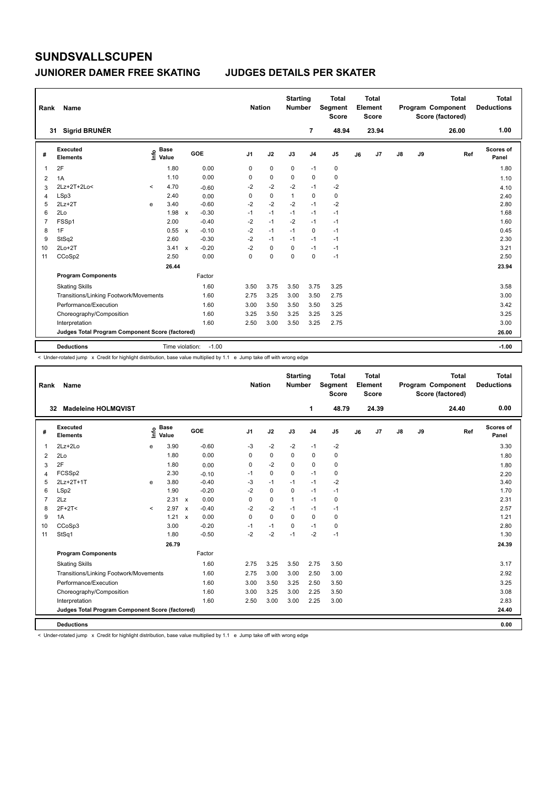#### **JUNIORER DAMER FREE SKATING JUDGES DETAILS PER SKATER**

| Rank | Name                                            |         |                      |                           |         |                | <b>Nation</b> | <b>Starting</b><br><b>Number</b> |                | <b>Total</b><br>Segment<br><b>Score</b> |    | <b>Total</b><br>Element<br><b>Score</b> |               |    | <b>Total</b><br>Program Component<br>Score (factored) | <b>Total</b><br><b>Deductions</b> |
|------|-------------------------------------------------|---------|----------------------|---------------------------|---------|----------------|---------------|----------------------------------|----------------|-----------------------------------------|----|-----------------------------------------|---------------|----|-------------------------------------------------------|-----------------------------------|
|      | <b>Sigrid BRUNÉR</b><br>31                      |         |                      |                           |         |                |               |                                  | 7              | 48.94                                   |    | 23.94                                   |               |    | 26.00                                                 | 1.00                              |
| #    | Executed<br><b>Elements</b>                     | ١nfo    | <b>Base</b><br>Value |                           | GOE     | J <sub>1</sub> | J2            | J3                               | J <sub>4</sub> | J <sub>5</sub>                          | J6 | J7                                      | $\mathsf{J}8$ | J9 | Ref                                                   | <b>Scores of</b><br>Panel         |
| 1    | 2F                                              |         | 1.80                 |                           | 0.00    | 0              | $\mathbf 0$   | $\mathbf 0$                      | $-1$           | $\pmb{0}$                               |    |                                         |               |    |                                                       | 1.80                              |
| 2    | 1A                                              |         | 1.10                 |                           | 0.00    | 0              | 0             | 0                                | 0              | 0                                       |    |                                         |               |    |                                                       | 1.10                              |
| 3    | 2Lz+2T+2Lo<                                     | $\,<\,$ | 4.70                 |                           | $-0.60$ | $-2$           | $-2$          | $-2$                             | $-1$           | $-2$                                    |    |                                         |               |    |                                                       | 4.10                              |
| 4    | LSp3                                            |         | 2.40                 |                           | 0.00    | 0              | 0             | $\mathbf{1}$                     | 0              | 0                                       |    |                                         |               |    |                                                       | 2.40                              |
| 5    | $2Lz+2T$                                        | e       | 3.40                 |                           | $-0.60$ | $-2$           | $-2$          | $-2$                             | $-1$           | $-2$                                    |    |                                         |               |    |                                                       | 2.80                              |
| 6    | 2Lo                                             |         | 1.98                 | $\mathsf{x}$              | $-0.30$ | $-1$           | $-1$          | $-1$                             | $-1$           | $-1$                                    |    |                                         |               |    |                                                       | 1.68                              |
| 7    | FSSp1                                           |         | 2.00                 |                           | $-0.40$ | $-2$           | $-1$          | $-2$                             | $-1$           | $-1$                                    |    |                                         |               |    |                                                       | 1.60                              |
| 8    | 1F                                              |         | 0.55                 | $\mathbf{x}$              | $-0.10$ | $-2$           | $-1$          | $-1$                             | 0              | $-1$                                    |    |                                         |               |    |                                                       | 0.45                              |
| 9    | StSq2                                           |         | 2.60                 |                           | $-0.30$ | $-2$           | $-1$          | $-1$                             | $-1$           | $-1$                                    |    |                                         |               |    |                                                       | 2.30                              |
| 10   | $2Lo+2T$                                        |         | 3.41                 | $\boldsymbol{\mathsf{x}}$ | $-0.20$ | $-2$           | $\mathbf 0$   | 0                                | $-1$           | $-1$                                    |    |                                         |               |    |                                                       | 3.21                              |
| 11   | CCoSp2                                          |         | 2.50                 |                           | 0.00    | 0              | 0             | $\Omega$                         | $\mathbf 0$    | $-1$                                    |    |                                         |               |    |                                                       | 2.50                              |
|      |                                                 |         | 26.44                |                           |         |                |               |                                  |                |                                         |    |                                         |               |    |                                                       | 23.94                             |
|      | <b>Program Components</b>                       |         |                      |                           | Factor  |                |               |                                  |                |                                         |    |                                         |               |    |                                                       |                                   |
|      | <b>Skating Skills</b>                           |         |                      |                           | 1.60    | 3.50           | 3.75          | 3.50                             | 3.75           | 3.25                                    |    |                                         |               |    |                                                       | 3.58                              |
|      | Transitions/Linking Footwork/Movements          |         |                      |                           | 1.60    | 2.75           | 3.25          | 3.00                             | 3.50           | 2.75                                    |    |                                         |               |    |                                                       | 3.00                              |
|      | Performance/Execution                           |         |                      |                           | 1.60    | 3.00           | 3.50          | 3.50                             | 3.50           | 3.25                                    |    |                                         |               |    |                                                       | 3.42                              |
|      | Choreography/Composition                        |         |                      |                           | 1.60    | 3.25           | 3.50          | 3.25                             | 3.25           | 3.25                                    |    |                                         |               |    |                                                       | 3.25                              |
|      | Interpretation                                  |         |                      |                           | 1.60    | 2.50           | 3.00          | 3.50                             | 3.25           | 2.75                                    |    |                                         |               |    |                                                       | 3.00                              |
|      | Judges Total Program Component Score (factored) |         |                      |                           |         |                |               |                                  |                |                                         |    |                                         |               |    |                                                       | 26.00                             |
|      | <b>Deductions</b>                               |         | Time violation:      |                           | $-1.00$ |                |               |                                  |                |                                         |    |                                         |               |    |                                                       | $-1.00$                           |

< Under-rotated jump x Credit for highlight distribution, base value multiplied by 1.1 e Jump take off with wrong edge

| Rank           | Name                                            |         |                      |              |         | <b>Nation</b>  |             | <b>Starting</b><br><b>Number</b> |                | Total<br>Segment<br><b>Score</b> |    | <b>Total</b><br>Element<br>Score |               |    | <b>Total</b><br>Program Component<br>Score (factored) | <b>Total</b><br><b>Deductions</b> |
|----------------|-------------------------------------------------|---------|----------------------|--------------|---------|----------------|-------------|----------------------------------|----------------|----------------------------------|----|----------------------------------|---------------|----|-------------------------------------------------------|-----------------------------------|
|                | <b>Madeleine HOLMOVIST</b><br>32                |         |                      |              |         |                |             |                                  | 1              | 48.79                            |    | 24.39                            |               |    | 24.40                                                 | 0.00                              |
| #              | Executed<br><b>Elements</b>                     | ١mfo    | <b>Base</b><br>Value |              | GOE     | J <sub>1</sub> | J2          | J3                               | J <sub>4</sub> | J <sub>5</sub>                   | J6 | J <sub>7</sub>                   | $\mathsf{J}8$ | J9 | Ref                                                   | <b>Scores of</b><br>Panel         |
| 1              | $2Lz+2Lo$                                       | e       | 3.90                 |              | $-0.60$ | $-3$           | $-2$        | $-2$                             | $-1$           | $-2$                             |    |                                  |               |    |                                                       | 3.30                              |
| 2              | 2Lo                                             |         | 1.80                 |              | 0.00    | 0              | $\mathbf 0$ | $\Omega$                         | $\mathbf 0$    | 0                                |    |                                  |               |    |                                                       | 1.80                              |
| 3              | 2F                                              |         | 1.80                 |              | 0.00    | 0              | $-2$        | 0                                | 0              | 0                                |    |                                  |               |    |                                                       | 1.80                              |
| 4              | FCSSp2                                          |         | 2.30                 |              | $-0.10$ | $-1$           | $\mathbf 0$ | $\Omega$                         | $-1$           | 0                                |    |                                  |               |    |                                                       | 2.20                              |
| 5              | 2Lz+2T+1T                                       | e       | 3.80                 |              | $-0.40$ | $-3$           | $-1$        | $-1$                             | $-1$           | $-2$                             |    |                                  |               |    |                                                       | 3.40                              |
| 6              | LSp2                                            |         | 1.90                 |              | $-0.20$ | $-2$           | $\mathbf 0$ | $\mathbf 0$                      | $-1$           | $-1$                             |    |                                  |               |    |                                                       | 1.70                              |
| $\overline{7}$ | 2Lz                                             |         | 2.31                 | $\mathsf{x}$ | 0.00    | 0              | $\mathbf 0$ | $\mathbf{1}$                     | $-1$           | 0                                |    |                                  |               |    |                                                       | 2.31                              |
| 8              | $2F+2T2$                                        | $\prec$ | 2.97                 | $\mathbf{x}$ | $-0.40$ | $-2$           | $-2$        | $-1$                             | $-1$           | $-1$                             |    |                                  |               |    |                                                       | 2.57                              |
| 9              | 1A                                              |         | 1.21                 | $\mathsf{x}$ | 0.00    | 0              | $\mathbf 0$ | $\Omega$                         | $\mathbf 0$    | 0                                |    |                                  |               |    |                                                       | 1.21                              |
| 10             | CCoSp3                                          |         | 3.00                 |              | $-0.20$ | $-1$           | $-1$        | $\Omega$                         | $-1$           | 0                                |    |                                  |               |    |                                                       | 2.80                              |
| 11             | StSq1                                           |         | 1.80                 |              | $-0.50$ | $-2$           | $-2$        | $-1$                             | $-2$           | $-1$                             |    |                                  |               |    |                                                       | 1.30                              |
|                |                                                 |         | 26.79                |              |         |                |             |                                  |                |                                  |    |                                  |               |    |                                                       | 24.39                             |
|                | <b>Program Components</b>                       |         |                      |              | Factor  |                |             |                                  |                |                                  |    |                                  |               |    |                                                       |                                   |
|                | <b>Skating Skills</b>                           |         |                      |              | 1.60    | 2.75           | 3.25        | 3.50                             | 2.75           | 3.50                             |    |                                  |               |    |                                                       | 3.17                              |
|                | Transitions/Linking Footwork/Movements          |         |                      |              | 1.60    | 2.75           | 3.00        | 3.00                             | 2.50           | 3.00                             |    |                                  |               |    |                                                       | 2.92                              |
|                | Performance/Execution                           |         |                      |              | 1.60    | 3.00           | 3.50        | 3.25                             | 2.50           | 3.50                             |    |                                  |               |    |                                                       | 3.25                              |
|                | Choreography/Composition                        |         |                      |              | 1.60    | 3.00           | 3.25        | 3.00                             | 2.25           | 3.50                             |    |                                  |               |    |                                                       | 3.08                              |
|                | Interpretation                                  |         |                      |              | 1.60    | 2.50           | 3.00        | 3.00                             | 2.25           | 3.00                             |    |                                  |               |    |                                                       | 2.83                              |
|                | Judges Total Program Component Score (factored) |         |                      |              |         |                |             |                                  |                |                                  |    |                                  |               |    |                                                       | 24.40                             |
|                | <b>Deductions</b>                               |         |                      |              |         |                |             |                                  |                |                                  |    |                                  |               |    |                                                       | 0.00                              |

< Under-rotated jump x Credit for highlight distribution, base value multiplied by 1.1 e Jump take off with wrong edge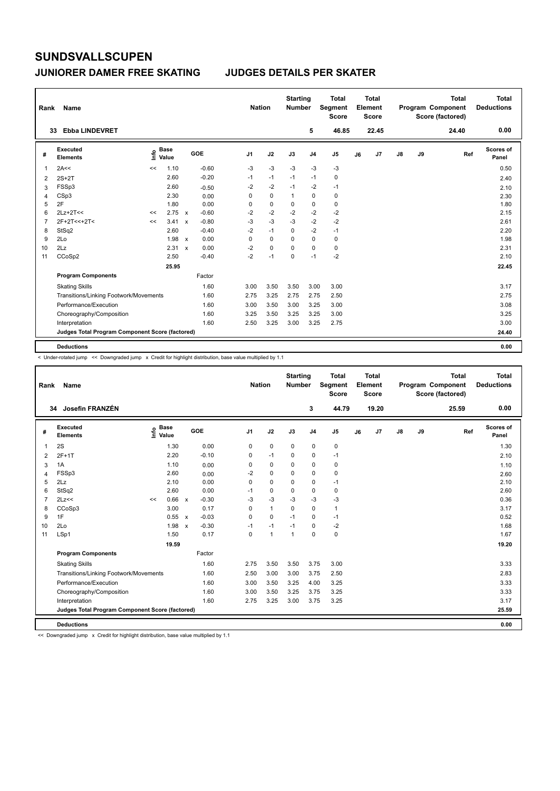#### **JUNIORER DAMER FREE SKATING JUDGES DETAILS PER SKATER**

| Rank | Name                                            |    |                      |                           |            |                | <b>Nation</b> |             | <b>Starting</b><br>Number |                | <b>Total</b><br>Segment<br><b>Score</b> |    | <b>Total</b><br>Element<br><b>Score</b> |               |    | <b>Total</b><br>Program Component<br>Score (factored) | <b>Total</b><br><b>Deductions</b> |
|------|-------------------------------------------------|----|----------------------|---------------------------|------------|----------------|---------------|-------------|---------------------------|----------------|-----------------------------------------|----|-----------------------------------------|---------------|----|-------------------------------------------------------|-----------------------------------|
|      | <b>Ebba LINDEVRET</b><br>33                     |    |                      |                           |            |                |               |             |                           | 5              | 46.85                                   |    | 22.45                                   |               |    | 24.40                                                 | 0.00                              |
| #    | Executed<br><b>Elements</b>                     | ۴ê | <b>Base</b><br>Value |                           | <b>GOE</b> | J <sub>1</sub> |               | J2          | J3                        | J <sub>4</sub> | J <sub>5</sub>                          | J6 | J <sub>7</sub>                          | $\mathsf{J}8$ | J9 | Ref                                                   | <b>Scores of</b><br>Panel         |
| 1    | 2A<<                                            | << | 1.10                 |                           | $-0.60$    | $-3$           |               | $-3$        | $-3$                      | $-3$           | $-3$                                    |    |                                         |               |    |                                                       | 0.50                              |
| 2    | $2S+2T$                                         |    | 2.60                 |                           | $-0.20$    | $-1$           |               | $-1$        | $-1$                      | $-1$           | 0                                       |    |                                         |               |    |                                                       | 2.40                              |
| 3    | FSSp3                                           |    | 2.60                 |                           | $-0.50$    | $-2$           |               | $-2$        | $-1$                      | $-2$           | $-1$                                    |    |                                         |               |    |                                                       | 2.10                              |
| 4    | CSp3                                            |    | 2.30                 |                           | 0.00       | 0              |               | $\mathbf 0$ | $\mathbf{1}$              | $\mathbf 0$    | 0                                       |    |                                         |               |    |                                                       | 2.30                              |
| 5    | 2F                                              |    | 1.80                 |                           | 0.00       | 0              |               | $\mathbf 0$ | 0                         | $\mathbf 0$    | $\mathbf 0$                             |    |                                         |               |    |                                                       | 1.80                              |
| 6    | $2Lz+2T<<$                                      | << | 2.75                 | $\mathbf{x}$              | $-0.60$    | $-2$           |               | $-2$        | $-2$                      | $-2$           | $-2$                                    |    |                                         |               |    |                                                       | 2.15                              |
| 7    | 2F+2T<<+2T<                                     | << | 3.41                 | $\boldsymbol{\mathsf{x}}$ | $-0.80$    | $-3$           |               | $-3$        | $-3$                      | $-2$           | $-2$                                    |    |                                         |               |    |                                                       | 2.61                              |
| 8    | StSq2                                           |    | 2.60                 |                           | $-0.40$    | $-2$           |               | $-1$        | $\Omega$                  | $-2$           | $-1$                                    |    |                                         |               |    |                                                       | 2.20                              |
| 9    | 2Lo                                             |    | 1.98                 | $\mathsf{x}$              | 0.00       | 0              |               | $\mathbf 0$ | $\mathbf 0$               | $\mathbf 0$    | $\mathbf 0$                             |    |                                         |               |    |                                                       | 1.98                              |
| 10   | 2Lz                                             |    | 2.31 x               |                           | 0.00       | $-2$           |               | $\mathbf 0$ | $\Omega$                  | $\mathbf 0$    | $\pmb{0}$                               |    |                                         |               |    |                                                       | 2.31                              |
| 11   | CCoSp2                                          |    | 2.50                 |                           | $-0.40$    | $-2$           |               | $-1$        | $\mathbf 0$               | $-1$           | $-2$                                    |    |                                         |               |    |                                                       | 2.10                              |
|      |                                                 |    | 25.95                |                           |            |                |               |             |                           |                |                                         |    |                                         |               |    |                                                       | 22.45                             |
|      | <b>Program Components</b>                       |    |                      |                           | Factor     |                |               |             |                           |                |                                         |    |                                         |               |    |                                                       |                                   |
|      | <b>Skating Skills</b>                           |    |                      |                           | 1.60       | 3.00           |               | 3.50        | 3.50                      | 3.00           | 3.00                                    |    |                                         |               |    |                                                       | 3.17                              |
|      | Transitions/Linking Footwork/Movements          |    |                      |                           | 1.60       | 2.75           |               | 3.25        | 2.75                      | 2.75           | 2.50                                    |    |                                         |               |    |                                                       | 2.75                              |
|      | Performance/Execution                           |    |                      |                           | 1.60       | 3.00           |               | 3.50        | 3.00                      | 3.25           | 3.00                                    |    |                                         |               |    |                                                       | 3.08                              |
|      | Choreography/Composition                        |    |                      |                           | 1.60       | 3.25           |               | 3.50        | 3.25                      | 3.25           | 3.00                                    |    |                                         |               |    |                                                       | 3.25                              |
|      | Interpretation                                  |    |                      |                           | 1.60       | 2.50           |               | 3.25        | 3.00                      | 3.25           | 2.75                                    |    |                                         |               |    |                                                       | 3.00                              |
|      | Judges Total Program Component Score (factored) |    |                      |                           |            |                |               |             |                           |                |                                         |    |                                         |               |    |                                                       | 24.40                             |
|      | <b>Deductions</b>                               |    |                      |                           |            |                |               |             |                           |                |                                         |    |                                         |               |    |                                                       | 0.00                              |

< Under-rotated jump << Downgraded jump x Credit for highlight distribution, base value multiplied by 1.1

| Rank           | Name                                            |                            |       |              |         | <b>Nation</b>  |              | <b>Starting</b><br><b>Number</b> |                | <b>Total</b><br>Segment<br><b>Score</b> |    | <b>Total</b><br>Element<br><b>Score</b> |               |    | <b>Total</b><br>Program Component<br>Score (factored) | Total<br><b>Deductions</b> |
|----------------|-------------------------------------------------|----------------------------|-------|--------------|---------|----------------|--------------|----------------------------------|----------------|-----------------------------------------|----|-----------------------------------------|---------------|----|-------------------------------------------------------|----------------------------|
|                | 34 Josefin FRANZÉN                              |                            |       |              |         |                |              |                                  | 3              | 44.79                                   |    | 19.20                                   |               |    | 25.59                                                 | 0.00                       |
| #              | Executed<br><b>Elements</b>                     | <b>Base</b><br>١m<br>Value |       |              | GOE     | J <sub>1</sub> | J2           | J3                               | J <sub>4</sub> | J <sub>5</sub>                          | J6 | J7                                      | $\mathsf{J}8$ | J9 | Ref                                                   | Scores of<br>Panel         |
| 1              | 2S                                              |                            | 1.30  |              | 0.00    | 0              | $\pmb{0}$    | $\mathbf 0$                      | 0              | $\pmb{0}$                               |    |                                         |               |    |                                                       | 1.30                       |
| 2              | $2F+1T$                                         |                            | 2.20  |              | $-0.10$ | 0              | $-1$         | 0                                | 0              | $-1$                                    |    |                                         |               |    |                                                       | 2.10                       |
| 3              | 1A                                              |                            | 1.10  |              | 0.00    | 0              | $\mathbf 0$  | $\mathbf 0$                      | 0              | $\pmb{0}$                               |    |                                         |               |    |                                                       | 1.10                       |
| 4              | FSSp3                                           |                            | 2.60  |              | 0.00    | $-2$           | $\mathbf 0$  | $\Omega$                         | $\mathbf 0$    | 0                                       |    |                                         |               |    |                                                       | 2.60                       |
| 5              | 2Lz                                             |                            | 2.10  |              | 0.00    | $\Omega$       | $\Omega$     | $\Omega$                         | 0              | $-1$                                    |    |                                         |               |    |                                                       | 2.10                       |
| 6              | StSq2                                           |                            | 2.60  |              | 0.00    | $-1$           | $\mathbf 0$  | $\mathbf 0$                      | 0              | $\pmb{0}$                               |    |                                         |               |    |                                                       | 2.60                       |
| $\overline{7}$ | 2Lz<<                                           | <<                         | 0.66  | $\mathbf{x}$ | $-0.30$ | $-3$           | $-3$         | $-3$                             | $-3$           | $-3$                                    |    |                                         |               |    |                                                       | 0.36                       |
| 8              | CCoSp3                                          |                            | 3.00  |              | 0.17    | $\Omega$       | $\mathbf{1}$ | $\Omega$                         | $\Omega$       | $\mathbf{1}$                            |    |                                         |               |    |                                                       | 3.17                       |
| 9              | 1F                                              |                            | 0.55  | $\mathsf{x}$ | $-0.03$ | $\Omega$       | $\mathbf 0$  | $-1$                             | 0              | $-1$                                    |    |                                         |               |    |                                                       | 0.52                       |
| 10             | 2Lo                                             |                            | 1.98  | $\mathsf{x}$ | $-0.30$ | $-1$           | $-1$         | $-1$                             | 0              | $-2$                                    |    |                                         |               |    |                                                       | 1.68                       |
| 11             | LSp1                                            |                            | 1.50  |              | 0.17    | 0              | $\mathbf{1}$ | $\mathbf{1}$                     | $\mathbf 0$    | $\mathbf 0$                             |    |                                         |               |    |                                                       | 1.67                       |
|                |                                                 |                            | 19.59 |              |         |                |              |                                  |                |                                         |    |                                         |               |    |                                                       | 19.20                      |
|                | <b>Program Components</b>                       |                            |       |              | Factor  |                |              |                                  |                |                                         |    |                                         |               |    |                                                       |                            |
|                | <b>Skating Skills</b>                           |                            |       |              | 1.60    | 2.75           | 3.50         | 3.50                             | 3.75           | 3.00                                    |    |                                         |               |    |                                                       | 3.33                       |
|                | Transitions/Linking Footwork/Movements          |                            |       |              | 1.60    | 2.50           | 3.00         | 3.00                             | 3.75           | 2.50                                    |    |                                         |               |    |                                                       | 2.83                       |
|                | Performance/Execution                           |                            |       |              | 1.60    | 3.00           | 3.50         | 3.25                             | 4.00           | 3.25                                    |    |                                         |               |    |                                                       | 3.33                       |
|                | Choreography/Composition                        |                            |       |              | 1.60    | 3.00           | 3.50         | 3.25                             | 3.75           | 3.25                                    |    |                                         |               |    |                                                       | 3.33                       |
|                | Interpretation                                  |                            |       |              | 1.60    | 2.75           | 3.25         | 3.00                             | 3.75           | 3.25                                    |    |                                         |               |    |                                                       | 3.17                       |
|                | Judges Total Program Component Score (factored) |                            |       |              |         |                |              |                                  |                |                                         |    |                                         |               |    |                                                       | 25.59                      |
|                | <b>Deductions</b>                               |                            |       |              |         |                |              |                                  |                |                                         |    |                                         |               |    |                                                       | 0.00                       |